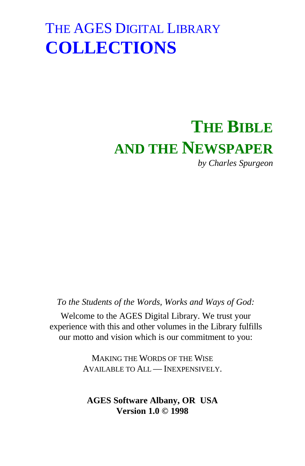# **THE BIBLE AND THE NEWSPAPER**

*by Charles Spurgeon*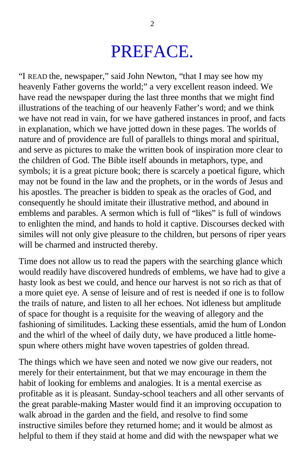#### PREFACE.

"I READ the, newspaper," said John Newton, "that I may see how my heavenly Father governs the world;" a very excellent reason indeed. We have read the newspaper during the last three months that we might find illustrations of the teaching of our heavenly Father's word; and we think we have not read in vain, for we have gathered instances in proof, and facts in explanation, which we have jotted down in these pages. The worlds of nature and of providence are full of parallels to things moral and spiritual, and serve as pictures to make the written book of inspiration more clear to the children of God. The Bible itself abounds in metaphors, type, and symbols; it is a great picture book; there is scarcely a poetical figure, which may not be found in the law and the prophets, or in the words of Jesus and his apostles. The preacher is bidden to speak as the oracles of God, and consequently he should imitate their illustrative method, and abound in emblems and parables. A sermon which is full of "likes" is full of windows to enlighten the mind, and hands to hold it captive. Discourses decked with similes will not only give pleasure to the children, but persons of riper years will be charmed and instructed thereby.

Time does not allow us to read the papers with the searching glance which would readily have discovered hundreds of emblems, we have had to give a hasty look as best we could, and hence our harvest is not so rich as that of a more quiet eye. A sense of leisure and of rest is needed if one is to follow the trails of nature, and listen to all her echoes. Not idleness but amplitude of space for thought is a requisite for the weaving of allegory and the fashioning of similitudes. Lacking these essentials, amid the hum of London and the whirl of the wheel of daily duty, we have produced a little homespun where others might have woven tapestries of golden thread.

The things which we have seen and noted we now give our readers, not merely for their entertainment, but that we may encourage in them the habit of looking for emblems and analogies. It is a mental exercise as profitable as it is pleasant. Sunday-school teachers and all other servants of the great parable-making Master would find it an improving occupation to walk abroad in the garden and the field, and resolve to find some instructive similes before they returned home; and it would be almost as helpful to them if they staid at home and did with the newspaper what we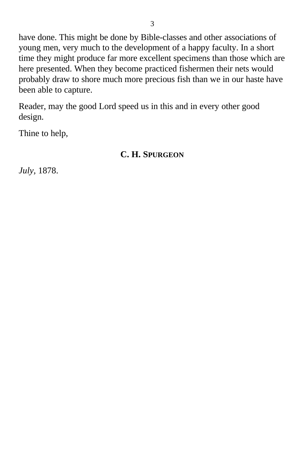have done. This might be done by Bible-classes and other associations of young men, very much to the development of a happy faculty. In a short time they might produce far more excellent specimens than those which are here presented. When they become practiced fishermen their nets would probably draw to shore much more precious fish than we in our haste have been able to capture.

Reader, may the good Lord speed us in this and in every other good design.

Thine to help,

#### **C. H. SPURGEON**

*July,* 1878.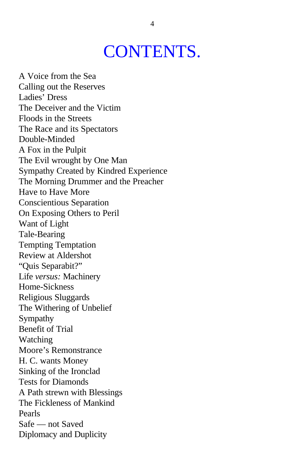### CONTENTS.

A Voice from the Sea Calling out the Reserves Ladies' Dress The Deceiver and the Victim Floods in the Streets The Race and its Spectators Double-Minded A Fox in the Pulpit The Evil wrought by One Man Sympathy Created by Kindred Experience The Morning Drummer and the Preacher Have to Have More Conscientious Separation On Exposing Others to Peril Want of Light Tale-Bearing Tempting Temptation Review at Aldershot "Quis Separabit?" Life *versus:* Machinery Home-Sickness Religious Sluggards The Withering of Unbelief Sympathy Benefit of Trial Watching Moore's Remonstrance H. C. wants Money Sinking of the Ironclad Tests for Diamonds A Path strewn with Blessings The Fickleness of Mankind Pearls Safe — not Saved Diplomacy and Duplicity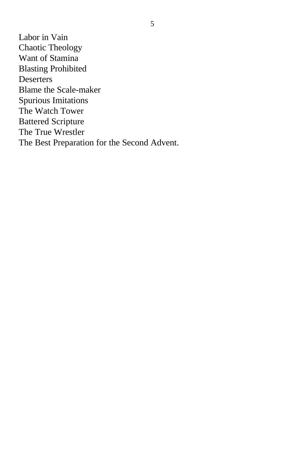Labor in Vain Chaotic Theology Want of Stamina Blasting Prohibited **Deserters** Blame the Scale-maker Spurious Imitations The Watch Tower Battered Scripture The True Wrestler The Best Preparation for the Second Advent.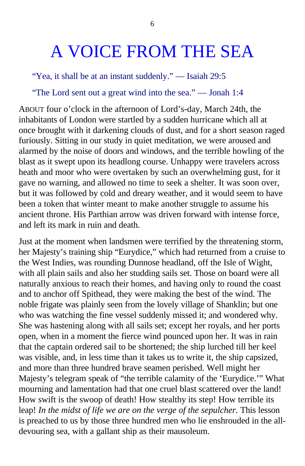## A VOICE FROM THE SEA

"Yea, it shall be at an instant suddenly." — Isaiah 29:5

"The Lord sent out a great wind into the sea." — Jonah 1:4

ABOUT four o'clock in the afternoon of Lord's-day, March 24th, the inhabitants of London were startled by a sudden hurricane which all at once brought with it darkening clouds of dust, and for a short season raged furiously. Sitting in our study in quiet meditation, we were aroused and alarmed by the noise of doors and windows, and the terrible howling of the blast as it swept upon its headlong course. Unhappy were travelers across heath and moor who were overtaken by such an overwhelming gust, for it gave no warning, and allowed no time to seek a shelter. It was soon over, but it was followed by cold and dreary weather, and it would seem to have been a token that winter meant to make another struggle to assume his ancient throne. His Parthian arrow was driven forward with intense force, and left its mark in ruin and death.

Just at the moment when landsmen were terrified by the threatening storm, her Majesty's training ship "Eurydice," which had returned from a cruise to the West Indies, was rounding Dunnose headland, off the Isle of Wight, with all plain sails and also her studding sails set. Those on board were all naturally anxious to reach their homes, and having only to round the coast and to anchor off Spithead, they were making the best of the wind. The noble frigate was plainly seen from the lovely village of Shanklin; but one who was watching the fine vessel suddenly missed it; and wondered why. She was hastening along with all sails set; except her royals, and her ports open, when in a moment the fierce wind pounced upon her. It was in rain that the captain ordered sail to be shortened; the ship lurched till her keel was visible, and, in less time than it takes us to write it, the ship capsized, and more than three hundred brave seamen perished. Well might her Majesty's telegram speak of "the terrible calamity of the 'Eurydice.'" What mourning and lamentation had that one cruel blast scattered over the land! How swift is the swoop of death! How stealthy its step! How terrible its leap! In the midst of life we are on the verge of the sepulcher. This lesson is preached to us by those three hundred men who lie enshrouded in the alldevouring sea, with a gallant ship as their mausoleum.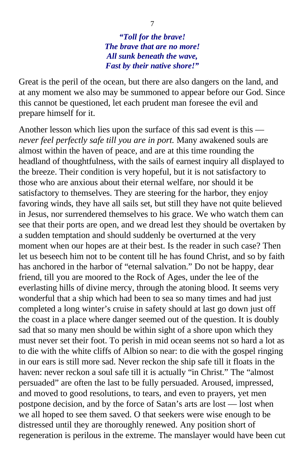*"Toll for the brave! The brave that are no more! All sunk beneath the wave, Fast by their native shore!"*

Great is the peril of the ocean, but there are also dangers on the land, and at any moment we also may be summoned to appear before our God. Since this cannot be questioned, let each prudent man foresee the evil and prepare himself for it.

Another lesson which lies upon the surface of this sad event is this *never feel perfectly safe till you are in port.* Many awakened souls are almost within the haven of peace, and are at this time rounding the headland of thoughtfulness, with the sails of earnest inquiry all displayed to the breeze. Their condition is very hopeful, but it is not satisfactory to those who are anxious about their eternal welfare, nor should it be satisfactory to themselves. They are steering for the harbor, they enjoy favoring winds, they have all sails set, but still they have not quite believed in Jesus, nor surrendered themselves to his grace. We who watch them can see that their ports are open, and we dread lest they should be overtaken by a sudden temptation and should suddenly be overturned at the very moment when our hopes are at their best. Is the reader in such case? Then let us beseech him not to be content till he has found Christ, and so by faith has anchored in the harbor of "eternal salvation." Do not be happy, dear friend, till you are moored to the Rock of Ages, under the lee of the everlasting hills of divine mercy, through the atoning blood. It seems very wonderful that a ship which had been to sea so many times and had just completed a long winter's cruise in safety should at last go down just off the coast in a place where danger seemed out of the question. It is doubly sad that so many men should be within sight of a shore upon which they must never set their foot. To perish in mid ocean seems not so hard a lot as to die with the white cliffs of Albion so near: to die with the gospel ringing in our ears is still more sad. Never reckon the ship safe till it floats in the haven: never reckon a soul safe till it is actually "in Christ." The "almost persuaded" are often the last to be fully persuaded. Aroused, impressed, and moved to good resolutions, to tears, and even to prayers, yet men postpone decision, and by the force of Satan's arts are lost — lost when we all hoped to see them saved. O that seekers were wise enough to be distressed until they are thoroughly renewed. Any position short of regeneration is perilous in the extreme. The manslayer would have been cut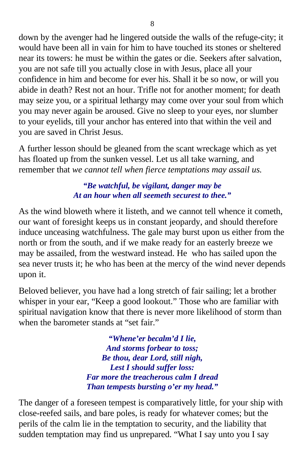down by the avenger had he lingered outside the walls of the refuge-city; it would have been all in vain for him to have touched its stones or sheltered near its towers: he must be within the gates or die. Seekers after salvation, you are not safe till you actually close in with Jesus, place all your confidence in him and become for ever his. Shall it be so now, or will you abide in death? Rest not an hour. Trifle not for another moment; for death may seize you, or a spiritual lethargy may come over your soul from which you may never again be aroused. Give no sleep to your eyes, nor slumber to your eyelids, till your anchor has entered into that within the veil and you are saved in Christ Jesus.

A further lesson should be gleaned from the scant wreckage which as yet has floated up from the sunken vessel. Let us all take warning, and remember that *we cannot tell when fierce temptations may assail us.*

> *"Be watchful, be vigilant, danger may be At an hour when all seemeth securest to thee."*

As the wind bloweth where it listeth, and we cannot tell whence it cometh, our want of foresight keeps us in constant jeopardy, and should therefore induce unceasing watchfulness. The gale may burst upon us either from the north or from the south, and if we make ready for an easterly breeze we may be assailed, from the westward instead. He who has sailed upon the sea never trusts it; he who has been at the mercy of the wind never depends upon it.

Beloved believer, you have had a long stretch of fair sailing; let a brother whisper in your ear, "Keep a good lookout." Those who are familiar with spiritual navigation know that there is never more likelihood of storm than when the barometer stands at "set fair."

> *"Whene'er becalm'd I lie, And storms forbear to toss; Be thou, dear Lord, still nigh, Lest I should suffer loss: Far more the treacherous calm I dread Than tempests bursting o'er my head."*

The danger of a foreseen tempest is comparatively little, for your ship with close-reefed sails, and bare poles, is ready for whatever comes; but the perils of the calm lie in the temptation to security, and the liability that sudden temptation may find us unprepared. "What I say unto you I say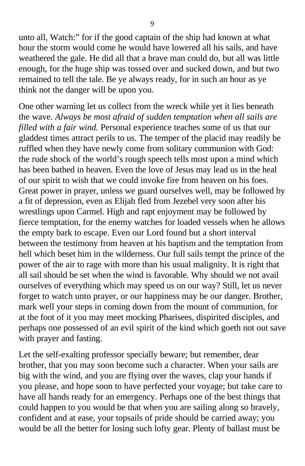unto all, Watch:" for if the good captain of the ship had known at what hour the storm would come he would have lowered all his sails, and have weathered the gale. He did all that a brave man could do, but all was little enough, for the huge ship was tossed over and sucked down, and but two remained to tell the tale. Be ye always ready, for in such an hour as ye think not the danger will be upon you.

One other warning let us collect from the wreck while yet it lies beneath the wave. *Always be most afraid of sudden temptation when all sails are filled with a fair wind.* Personal experience teaches some of us that our gladdest times attract perils to us. The temper of the placid may readily be ruffled when they have newly come from solitary communion with God: the rude shock of the world's rough speech tells most upon a mind which has been bathed in heaven. Even the love of Jesus may lead us in the heal of our spirit to wish that we could invoke fire from heaven on his foes. Great power in prayer, unless we guard ourselves well, may be followed by a fit of depression, even as Elijah fled from Jezebel very soon after his wrestlings upon Carmel. High and rapt enjoyment may be followed by fierce temptation, for the enemy watches for loaded vessels when he allows the empty bark to escape. Even our Lord found but a short interval between the testimony from heaven at his baptism and the temptation from hell which beset him in the wilderness. Our full sails tempt the prince of the power of the air to rage with more than his usual malignity. It is right that all sail should be set when the wind is favorable. Why should we not avail ourselves of everything which may speed us on our way? Still, let us never forget to watch unto prayer, or our happiness may be our danger. Brother, mark well your steps in coming down from the mount of communion, for at the foot of it you may meet mocking Pharisees, dispirited disciples, and perhaps one possessed of an evil spirit of the kind which goeth not out save with prayer and fasting.

Let the self-exalting professor specially beware; but remember, dear brother, that you may soon become such a character. When your sails are big with the wind, and you are flying over the waves, clap your hands if you please, and hope soon to have perfected your voyage; but take care to have all hands ready for an emergency. Perhaps one of the best things that could happen to you would be that when you are sailing along so bravely, confident and at ease, your topsails of pride should be carried away; you would be all the better for losing such lofty gear. Plenty of ballast must be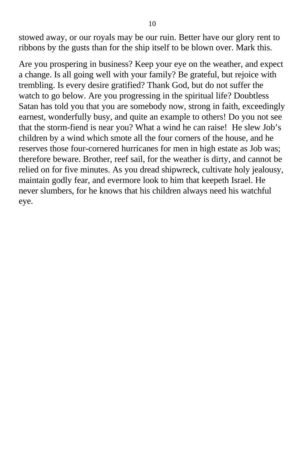stowed away, or our royals may be our ruin. Better have our glory rent to ribbons by the gusts than for the ship itself to be blown over. Mark this.

Are you prospering in business? Keep your eye on the weather, and expect a change. Is all going well with your family? Be grateful, but rejoice with trembling. Is every desire gratified? Thank God, but do not suffer the watch to go below. Are you progressing in the spiritual life? Doubtless Satan has told you that you are somebody now, strong in faith, exceedingly earnest, wonderfully busy, and quite an example to others! Do you not see that the storm-fiend is near you? What a wind he can raise! He slew Job's children by a wind which smote all the four corners of the house, and he reserves those four-cornered hurricanes for men in high estate as Job was; therefore beware. Brother, reef sail, for the weather is dirty, and cannot be relied on for five minutes. As you dread shipwreck, cultivate holy jealousy, maintain godly fear, and evermore look to him that keepeth Israel. He never slumbers, for he knows that his children always need his watchful eye.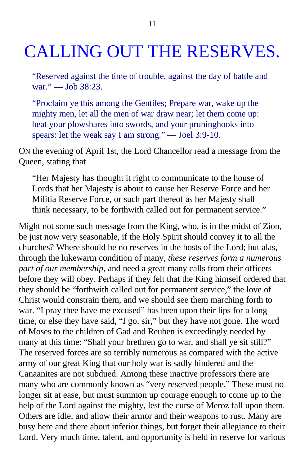## CALLING OUT THE RESERVES.

"Reserved against the time of trouble, against the day of battle and war." — Job 38:23.

"Proclaim ye this among the Gentiles; Prepare war, wake up the mighty men, let all the men of war draw near; let them come up: beat your plowshares into swords, and your pruninghooks into spears: let the weak say I am strong." — Joel 3:9-10.

ON the evening of April 1st, the Lord Chancellor read a message from the Queen, stating that

"Her Majesty has thought it right to communicate to the house of Lords that her Majesty is about to cause her Reserve Force and her Militia Reserve Force, or such part thereof as her Majesty shall think necessary, to be forthwith called out for permanent service."

Might not some such message from the King, who, is in the midst of Zion, be just now very seasonable, if the Holy Spirit should convey it to all the churches? Where should be no reserves in the hosts of the Lord; but alas, through the lukewarm condition of many, *these reserves form a numerous part of our membership,* and need a great many calls from their officers before they will obey. Perhaps if they felt that the King himself ordered that they should be "forthwith called out for permanent service," the love of Christ would constrain them, and we should see them marching forth to war. "I pray thee have me excused" has been upon their lips for a long time, or else they have said, "I go, sir," but they have not gone. The word of Moses to the children of Gad and Reuben is exceedingly needed by many at this time: "Shall your brethren go to war, and shall ye sit still?" The reserved forces are so terribly numerous as compared with the active army of our great King that our holy war is sadly hindered and the Canaanites are not subdued. Among these inactive professors there are many who are commonly known as "very reserved people." These must no longer sit at ease, but must summon up courage enough to come up to the help of the Lord against the mighty, lest the curse of Meroz fall upon them. Others are idle, and allow their armor and their weapons to rust. Many are busy here and there about inferior things, but forget their allegiance to their Lord. Very much time, talent, and opportunity is held in reserve for various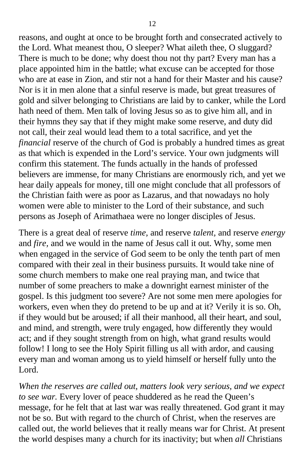reasons, and ought at once to be brought forth and consecrated actively to the Lord. What meanest thou, O sleeper? What aileth thee, O sluggard? There is much to be done; why doest thou not thy part? Every man has a place appointed him in the battle; what excuse can be accepted for those who are at ease in Zion, and stir not a hand for their Master and his cause? Nor is it in men alone that a sinful reserve is made, but great treasures of gold and silver belonging to Christians are laid by to canker, while the Lord hath need of them. Men talk of loving Jesus so as to give him all, and in their hymns they say that if they might make some reserve, and duty did not call, their zeal would lead them to a total sacrifice, and yet the *financial* reserve of the church of God is probably a hundred times as great as that which is expended in the Lord's service. Your own judgments will confirm this statement. The funds actually in the hands of professed believers are immense, for many Christians are enormously rich, and yet we hear daily appeals for money, till one might conclude that all professors of the Christian faith were as poor as Lazarus, and that nowadays no holy women were able to minister to the Lord of their substance, and such persons as Joseph of Arimathaea were no longer disciples of Jesus.

There is a great deal of reserve *time,* and reserve *talent,* and reserve *energy* and *fire,* and we would in the name of Jesus call it out. Why, some men when engaged in the service of God seem to be only the tenth part of men compared with their zeal in their business pursuits. It would take nine of some church members to make one real praying man, and twice that number of some preachers to make a downright earnest minister of the gospel. Is this judgment too severe? Are not some men mere apologies for workers, even when they do pretend to be up and at it? Verily it is so. Oh, if they would but be aroused; if all their manhood, all their heart, and soul, and mind, and strength, were truly engaged, how differently they would act; and if they sought strength from on high, what grand results would follow! I long to see the Holy Spirit filling us all with ardor, and causing every man and woman among us to yield himself or herself fully unto the Lord.

*When the reserves are called out, matters look very serious, and we expect to see war.* Every lover of peace shuddered as he read the Queen's message, for he felt that at last war was really threatened. God grant it may not be so. But with regard to the church of Christ, when the reserves are called out, the world believes that it really means war for Christ. At present the world despises many a church for its inactivity; but when *all* Christians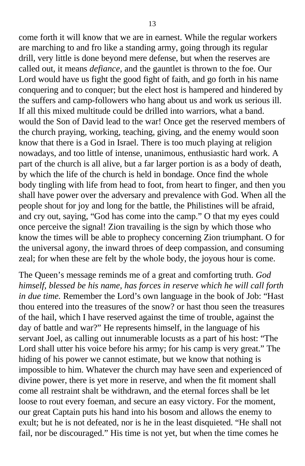come forth it will know that we are in earnest. While the regular workers are marching to and fro like a standing army, going through its regular drill, very little is done beyond mere defense, but when the reserves are called out, it means *defiance,* and the gauntlet is thrown to the foe. Our Lord would have us fight the good fight of faith, and go forth in his name conquering and to conquer; but the elect host is hampered and hindered by the suffers and camp-followers who hang about us and work us serious ill. If all this mixed multitude could be drilled into warriors, what a band. would the Son of David lead to the war! Once get the reserved members of the church praying, working, teaching, giving, and the enemy would soon know that there is a God in Israel. There is too much playing at religion nowadays, and too little of intense, unanimous, enthusiastic hard work. A part of the church is all alive, but a far larger portion is as a body of death, by which the life of the church is held in bondage. Once find the whole body tingling with life from head to foot, from heart to finger, and then you shall have power over the adversary and prevalence with God. When all the people shout for joy and long for the battle, the Philistines will be afraid, and cry out, saying, "God has come into the camp." O that my eyes could once perceive the signal! Zion travailing is the sign by which those who know the times will be able to prophecy concerning Zion triumphant. O for the universal agony, the inward throes of deep compassion, and consuming zeal; for when these are felt by the whole body, the joyous hour is come.

The Queen's message reminds me of a great and comforting truth. *God himself, blessed be his name, has forces in reserve which he will call forth in due time.* Remember the Lord's own language in the book of Job: "Hast thou entered into the treasures of the snow? or hast thou seen the treasures of the hail, which I have reserved against the time of trouble, against the day of battle and war?" He represents himself, in the language of his servant Joel, as calling out innumerable locusts as a part of his host: "The Lord shall utter his voice before his army; for his camp is very great." The hiding of his power we cannot estimate, but we know that nothing is impossible to him. Whatever the church may have seen and experienced of divine power, there is yet more in reserve, and when the fit moment shall come all restraint shalt be withdrawn, and the eternal forces shall be let loose to rout every foeman, and secure an easy victory. For the moment, our great Captain puts his hand into his bosom and allows the enemy to exult; but he is not defeated, nor is he in the least disquieted. "He shall not fail, nor be discouraged." His time is not yet, but when the time comes he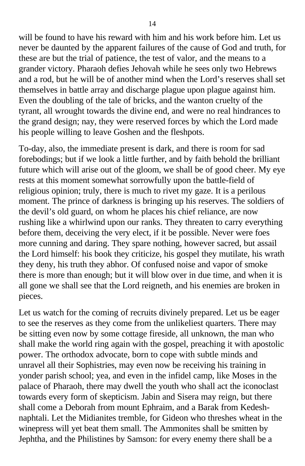will be found to have his reward with him and his work before him. Let us never be daunted by the apparent failures of the cause of God and truth, for these are but the trial of patience, the test of valor, and the means to a grander victory. Pharaoh defies Jehovah while he sees only two Hebrews and a rod, but he will be of another mind when the Lord's reserves shall set themselves in battle array and discharge plague upon plague against him. Even the doubling of the tale of bricks, and the wanton cruelty of the tyrant, all wrought towards the divine end, and were no real hindrances to the grand design; nay, they were reserved forces by which the Lord made his people willing to leave Goshen and the fleshpots.

To-day, also, the immediate present is dark, and there is room for sad forebodings; but if we look a little further, and by faith behold the brilliant future which will arise out of the gloom, we shall be of good cheer. My eye rests at this moment somewhat sorrowfully upon the battle-field of religious opinion; truly, there is much to rivet my gaze. It is a perilous moment. The prince of darkness is bringing up his reserves. The soldiers of the devil's old guard, on whom he places his chief reliance, are now rushing like a whirlwind upon our ranks. They threaten to carry everything before them, deceiving the very elect, if it be possible. Never were foes more cunning and daring. They spare nothing, however sacred, but assail the Lord himself: his book they criticize, his gospel they mutilate, his wrath they deny, his truth they abhor. Of confused noise and vapor of smoke there is more than enough; but it will blow over in due time, and when it is all gone we shall see that the Lord reigneth, and his enemies are broken in pieces.

Let us watch for the coming of recruits divinely prepared. Let us be eager to see the reserves as they come from the unlikeliest quarters. There may be sitting even now by some cottage fireside, all unknown, the man who shall make the world ring again with the gospel, preaching it with apostolic power. The orthodox advocate, born to cope with subtle minds and unravel all their Sophistries, may even now be receiving his training in yonder parish school; yea, and even in the infidel camp, like Moses in the palace of Pharaoh, there may dwell the youth who shall act the iconoclast towards every form of skepticism. Jabin and Sisera may reign, but there shall come a Deborah from mount Ephraim, and a Barak from Kedeshnaphtali. Let the Midianites tremble, for Gideon who threshes wheat in the winepress will yet beat them small. The Ammonites shall be smitten by Jephtha, and the Philistines by Samson: for every enemy there shall be a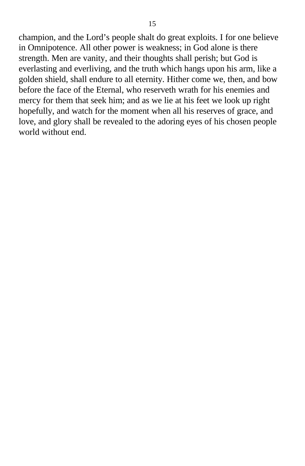champion, and the Lord's people shalt do great exploits. I for one believe in Omnipotence. All other power is weakness; in God alone is there strength. Men are vanity, and their thoughts shall perish; but God is everlasting and everliving, and the truth which hangs upon his arm, like a golden shield, shall endure to all eternity. Hither come we, then, and bow before the face of the Eternal, who reserveth wrath for his enemies and mercy for them that seek him; and as we lie at his feet we look up right hopefully, and watch for the moment when all his reserves of grace, and love, and glory shall be revealed to the adoring eyes of his chosen people world without end.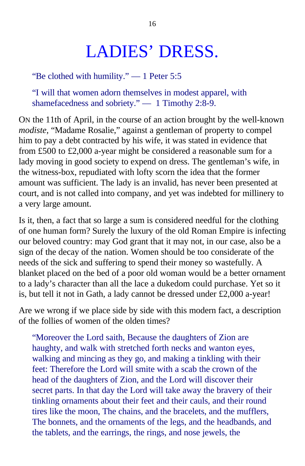## LADIES' DRESS.

"Be clothed with humility." — 1 Peter 5:5

"I will that women adorn themselves in modest apparel, with shamefacedness and sobriety." — 1 Timothy 2:8-9.

ON the 11th of April, in the course of an action brought by the well-known *modiste,* "Madame Rosalie," against a gentleman of property to compel him to pay a debt contracted by his wife, it was stated in evidence that from £500 to £2,000 a-year might be considered a reasonable sum for a lady moving in good society to expend on dress. The gentleman's wife, in the witness-box, repudiated with lofty scorn the idea that the former amount was sufficient. The lady is an invalid, has never been presented at court, and is not called into company, and yet was indebted for millinery to a very large amount.

Is it, then, a fact that so large a sum is considered needful for the clothing of one human form? Surely the luxury of the old Roman Empire is infecting our beloved country: may God grant that it may not, in our case, also be a sign of the decay of the nation. Women should be too considerate of the needs of the sick and suffering to spend their money so wastefully. A blanket placed on the bed of a poor old woman would be a better ornament to a lady's character than all the lace a dukedom could purchase. Yet so it is, but tell it not in Gath, a lady cannot be dressed under £2,000 a-year!

Are we wrong if we place side by side with this modern fact, a description of the follies of women of the olden times?

"Moreover the Lord saith, Because the daughters of Zion are haughty, and walk with stretched forth necks and wanton eyes, walking and mincing as they go, and making a tinkling with their feet: Therefore the Lord will smite with a scab the crown of the head of the daughters of Zion, and the Lord will discover their secret parts. In that day the Lord will take away the bravery of their tinkling ornaments about their feet and their cauls, and their round tires like the moon, The chains, and the bracelets, and the mufflers, The bonnets, and the ornaments of the legs, and the headbands, and the tablets, and the earrings, the rings, and nose jewels, the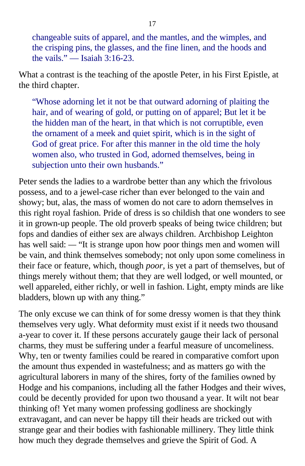changeable suits of apparel, and the mantles, and the wimples, and the crisping pins, the glasses, and the fine linen, and the hoods and the vails." — Isaiah 3:16-23.

What a contrast is the teaching of the apostle Peter, in his First Epistle, at the third chapter.

"Whose adorning let it not be that outward adorning of plaiting the hair, and of wearing of gold, or putting on of apparel; But let it be the hidden man of the heart, in that which is not corruptible, even the ornament of a meek and quiet spirit, which is in the sight of God of great price. For after this manner in the old time the holy women also, who trusted in God, adorned themselves, being in subjection unto their own husbands."

Peter sends the ladies to a wardrobe better than any which the frivolous possess, and to a jewel-case richer than ever belonged to the vain and showy; but, alas, the mass of women do not care to adorn themselves in this right royal fashion. Pride of dress is so childish that one wonders to see it in grown-up people. The old proverb speaks of being twice children; but fops and dandies of either sex are always children. Archbishop Leighton has well said: *—* "It is strange upon how poor things men and women will be vain, and think themselves somebody; not only upon some comeliness in their face or feature, which, though *poor,* is yet a part of themselves, but of things merely without them; that they are well lodged, or well mounted, or well appareled, either richly, or well in fashion. Light, empty minds are like bladders, blown up with any thing."

The only excuse we can think of for some dressy women is that they think themselves very ugly. What deformity must exist if it needs two thousand a-year to cover it. If these persons accurately gauge their lack of personal charms, they must be suffering under a fearful measure of uncomeliness. Why, ten or twenty families could be reared in comparative comfort upon the amount thus expended in wastefulness; and as matters go with the agricultural laborers in many of the shires, forty of the families owned by Hodge and his companions, including all the father Hodges and their wives, could be decently provided for upon two thousand a year. It wilt not bear thinking of! Yet many women professing godliness are shockingly extravagant, and can never be happy till their heads are tricked out with strange gear and their bodies with fashionable millinery. They little think how much they degrade themselves and grieve the Spirit of God. A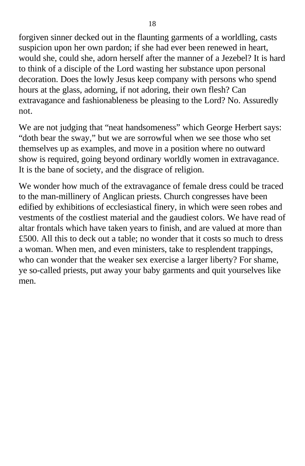forgiven sinner decked out in the flaunting garments of a worldling, casts suspicion upon her own pardon; if she had ever been renewed in heart, would she, could she, adorn herself after the manner of a Jezebel? It is hard to think of a disciple of the Lord wasting her substance upon personal decoration. Does the lowly Jesus keep company with persons who spend hours at the glass, adorning, if not adoring, their own flesh? Can extravagance and fashionableness be pleasing to the Lord? No. Assuredly not.

We are not judging that "neat handsomeness" which George Herbert says: "doth bear the sway," but we are sorrowful when we see those who set themselves up as examples, and move in a position where no outward show is required, going beyond ordinary worldly women in extravagance. It is the bane of society, and the disgrace of religion.

We wonder how much of the extravagance of female dress could be traced to the man-millinery of Anglican priests. Church congresses have been edified by exhibitions of ecclesiastical finery, in which were seen robes and vestments of the costliest material and the gaudiest colors. We have read of altar frontals which have taken years to finish, and are valued at more than £500. All this to deck out a table; no wonder that it costs so much to dress a woman. When men, and even ministers, take to resplendent trappings, who can wonder that the weaker sex exercise a larger liberty? For shame, ye so-called priests, put away your baby garments and quit yourselves like men.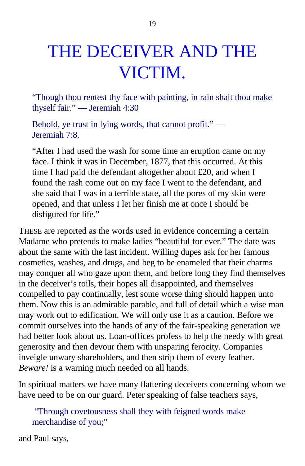# THE DECEIVER AND THE VICTIM.

"Though thou rentest thy face with painting, in rain shalt thou make thyself fair." — Jeremiah 4:30

Behold, ye trust in lying words, that cannot profit." — Jeremiah 7:8.

"After I had used the wash for some time an eruption came on my face. I think it was in December, 1877, that this occurred. At this time I had paid the defendant altogether about £20, and when I found the rash come out on my face I went to the defendant, and she said that I was in a terrible state, all the pores of my skin were opened, and that unless I let her finish me at once I should be disfigured for life."

THESE are reported as the words used in evidence concerning a certain Madame who pretends to make ladies "beautiful for ever." The date was about the same with the last incident. Willing dupes ask for her famous cosmetics, washes, and drugs, and beg to be enameled that their charms may conquer all who gaze upon them, and before long they find themselves in the deceiver's toils, their hopes all disappointed, and themselves compelled to pay continually, lest some worse thing should happen unto them. Now this is an admirable parable, and full of detail which a wise man may work out to edification. We will only use it as a caution. Before we commit ourselves into the hands of any of the fair-speaking generation we had better look about us. Loan-offices profess to help the needy with great generosity and then devour them with unsparing ferocity. Companies inveigle unwary shareholders, and then strip them of every feather. *Beware!* is a warning much needed on all hands.

In spiritual matters we have many flattering deceivers concerning whom we have need to be on our guard. Peter speaking of false teachers says,

"Through covetousness shall they with feigned words make merchandise of you;"

and Paul says,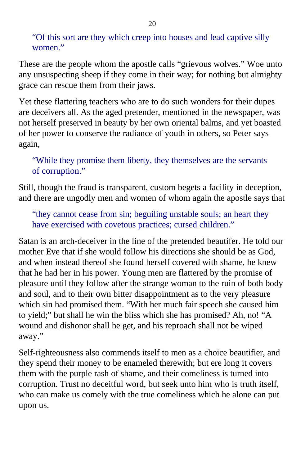"Of this sort are they which creep into houses and lead captive silly women."

These are the people whom the apostle calls "grievous wolves." Woe unto any unsuspecting sheep if they come in their way; for nothing but almighty grace can rescue them from their jaws.

Yet these flattering teachers who are to do such wonders for their dupes are deceivers all. As the aged pretender, mentioned in the newspaper, was not herself preserved in beauty by her own oriental balms, and yet boasted of her power to conserve the radiance of youth in others, so Peter says again,

"While they promise them liberty, they themselves are the servants of corruption."

Still, though the fraud is transparent, custom begets a facility in deception, and there are ungodly men and women of whom again the apostle says that

"they cannot cease from sin; beguiling unstable souls; an heart they have exercised with covetous practices; cursed children."

Satan is an arch-deceiver in the line of the pretended beautifer. He told our mother Eve that if she would follow his directions she should be as God, and when instead thereof she found herself covered with shame, he knew that he had her in his power. Young men are flattered by the promise of pleasure until they follow after the strange woman to the ruin of both body and soul, and to their own bitter disappointment as to the very pleasure which sin had promised them. "With her much fair speech she caused him to yield;" but shall he win the bliss which she has promised? Ah, no! "A wound and dishonor shall he get, and his reproach shall not be wiped away."

Self-righteousness also commends itself to men as a choice beautifier, and they spend their money to be enameled therewith; but ere long it covers them with the purple rash of shame, and their comeliness is turned into corruption. Trust no deceitful word, but seek unto him who is truth itself, who can make us comely with the true comeliness which he alone can put upon us.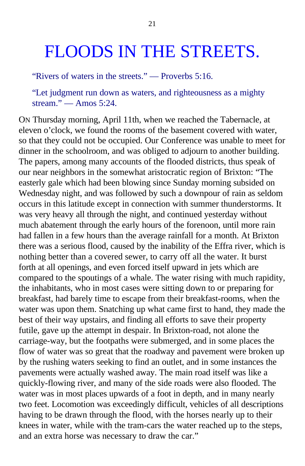### FLOODS IN THE STREETS.

"Rivers of waters in the streets." — Proverbs 5:16.

"Let judgment run down as waters, and righteousness as a mighty stream." — Amos 5:24.

ON Thursday morning, April 11th, when we reached the Tabernacle, at eleven o'clock, we found the rooms of the basement covered with water, so that they could not be occupied. Our Conference was unable to meet for dinner in the schoolroom, and was obliged to adjourn to another building. The papers, among many accounts of the flooded districts, thus speak of our near neighbors in the somewhat aristocratic region of Brixton: "The easterly gale which had been blowing since Sunday morning subsided on Wednesday night, and was followed by such a downpour of rain as seldom occurs in this latitude except in connection with summer thunderstorms. It was very heavy all through the night, and continued yesterday without much abatement through the early hours of the forenoon, until more rain had fallen in a few hours than the average rainfall for a month. At Brixton there was a serious flood, caused by the inability of the Effra river, which is nothing better than a covered sewer, to carry off all the water. It burst forth at all openings, and even forced itself upward in jets which are compared to the spoutings of a whale. The water rising with much rapidity, the inhabitants, who in most cases were sitting down to or preparing for breakfast, had barely time to escape from their breakfast-rooms, when the water was upon them. Snatching up what came first to hand, they made the best of their way upstairs, and finding all efforts to save their property futile, gave up the attempt in despair. In Brixton-road, not alone the carriage-way, but the footpaths were submerged, and in some places the flow of water was so great that the roadway and pavement were broken up by the rushing waters seeking to find an outlet, and in some instances the pavements were actually washed away. The main road itself was like a quickly-flowing river, and many of the side roads were also flooded. The water was in most places upwards of a foot in depth, and in many nearly two feet. Locomotion was exceedingly difficult, vehicles of all descriptions having to be drawn through the flood, with the horses nearly up to their knees in water, while with the tram-cars the water reached up to the steps, and an extra horse was necessary to draw the car."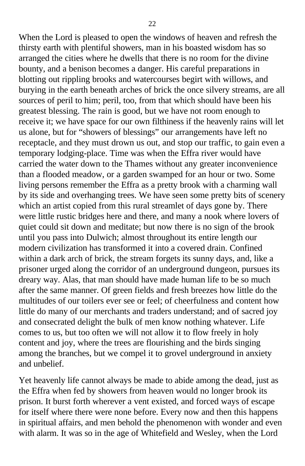When the Lord is pleased to open the windows of heaven and refresh the thirsty earth with plentiful showers, man in his boasted wisdom has so arranged the cities where he dwells that there is no room for the divine bounty, and a benison becomes a danger. His careful preparations in blotting out rippling brooks and watercourses begirt with willows, and burying in the earth beneath arches of brick the once silvery streams, are all sources of peril to him; peril, too, from that which should have been his greatest blessing. The rain is good, but we have not room enough to receive it; we have space for our own filthiness if the heavenly rains will let us alone, but for "showers of blessings" our arrangements have left no receptacle, and they must drown us out, and stop our traffic, to gain even a temporary lodging-place. Time was when the Effra river would have carried the water down to the Thames without any greater inconvenience than a flooded meadow, or a garden swamped for an hour or two. Some living persons remember the Effra as a pretty brook with a charming wall by its side and overhanging trees. We have seen some pretty bits of scenery which an artist copied from this rural streamlet of days gone by. There were little rustic bridges here and there, and many a nook where lovers of quiet could sit down and meditate; but now there is no sign of the brook until you pass into Dulwich; almost throughout its entire length our modern civilization has transformed it into a covered drain. Confined within a dark arch of brick, the stream forgets its sunny days, and, like a prisoner urged along the corridor of an underground dungeon, pursues its dreary way. Alas, that man should have made human life to be so much after the same manner. Of green fields and fresh breezes how little do the multitudes of our toilers ever see or feel; of cheerfulness and content how little do many of our merchants and traders understand; and of sacred joy and consecrated delight the bulk of men know nothing whatever. Life comes to us, but too often we will not allow it to flow freely in holy content and joy, where the trees are flourishing and the birds singing among the branches, but we compel it to grovel underground in anxiety and unbelief.

Yet heavenly life cannot always be made to abide among the dead, just as the Effra when fed by showers from heaven would no longer brook its prison. It burst forth wherever a vent existed, and forced ways of escape for itself where there were none before. Every now and then this happens in spiritual affairs, and men behold the phenomenon with wonder and even with alarm. It was so in the age of Whitefield and Wesley, when the Lord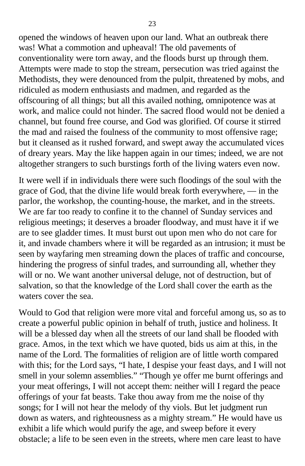opened the windows of heaven upon our land. What an outbreak there was! What a commotion and upheaval! The old pavements of conventionality were torn away, and the floods burst up through them. Attempts were made to stop the stream, persecution was tried against the Methodists, they were denounced from the pulpit, threatened by mobs, and ridiculed as modern enthusiasts and madmen, and regarded as the offscouring of all things; but all this availed nothing, omnipotence was at work, and malice could not hinder. The sacred flood would not be denied a channel, but found free course, and God was glorified. Of course it stirred the mad and raised the foulness of the community to most offensive rage; but it cleansed as it rushed forward, and swept away the accumulated vices of dreary years. May the like happen again in our times; indeed, we are not altogether strangers to such burstings forth of the living waters even now.

It were well if in individuals there were such floodings of the soul with the grace of God, that the divine life would break forth everywhere, — in the parlor, the workshop, the counting-house, the market, and in the streets. We are far too ready to confine it to the channel of Sunday services and religious meetings; it deserves a broader floodway, and must have it if we are to see gladder times. It must burst out upon men who do not care for it, and invade chambers where it will be regarded as an intrusion; it must be seen by wayfaring men streaming down the places of traffic and concourse, hindering the progress of sinful trades, and surrounding all, whether they will or no. We want another universal deluge, not of destruction, but of salvation, so that the knowledge of the Lord shall cover the earth as the waters cover the sea.

Would to God that religion were more vital and forceful among us, so as to create a powerful public opinion in behalf of truth, justice and holiness. It will be a blessed day when all the streets of our land shall be flooded with grace. Amos, in the text which we have quoted, bids us aim at this, in the name of the Lord. The formalities of religion are of little worth compared with this; for the Lord says, "I hate, I despise your feast days, and I will not smell in your solemn assemblies." "Though ye offer me burnt offerings and your meat offerings, I will not accept them: neither will I regard the peace offerings of your fat beasts. Take thou away from me the noise of thy songs; for I will not hear the melody of thy viols. But let judgment run down as waters, and righteousness as a mighty stream." He would have us exhibit a life which would purify the age, and sweep before it every obstacle; a life to be seen even in the streets, where men care least to have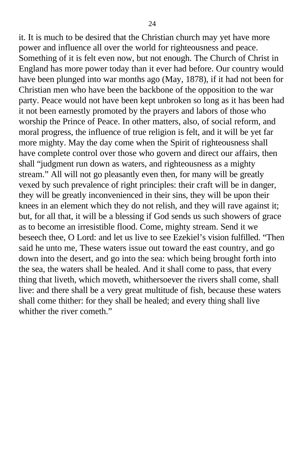it. It is much to be desired that the Christian church may yet have more power and influence all over the world for righteousness and peace. Something of it is felt even now, but not enough. The Church of Christ in England has more power today than it ever had before. Our country would have been plunged into war months ago (May, 1878), if it had not been for Christian men who have been the backbone of the opposition to the war party. Peace would not have been kept unbroken so long as it has been had it not been earnestly promoted by the prayers and labors of those who worship the Prince of Peace. In other matters, also, of social reform, and moral progress, the influence of true religion is felt, and it will be yet far more mighty. May the day come when the Spirit of righteousness shall have complete control over those who govern and direct our affairs, then shall "judgment run down as waters, and righteousness as a mighty stream." All will not go pleasantly even then, for many will be greatly vexed by such prevalence of right principles: their craft will be in danger, they will be greatly inconvenienced in their sins, they will be upon their knees in an element which they do not relish, and they will rave against it; but, for all that, it will be a blessing if God sends us such showers of grace as to become an irresistible flood. Come, mighty stream. Send it we beseech thee, O Lord: and let us live to see Ezekiel's vision fulfilled. "Then said he unto me, These waters issue out toward the east country, and go down into the desert, and go into the sea: which being brought forth into the sea, the waters shall be healed. And it shall come to pass, that every thing that liveth, which moveth, whithersoever the rivers shall come, shall live: and there shall be a very great multitude of fish, because these waters shall come thither: for they shall be healed; and every thing shall live whither the river cometh."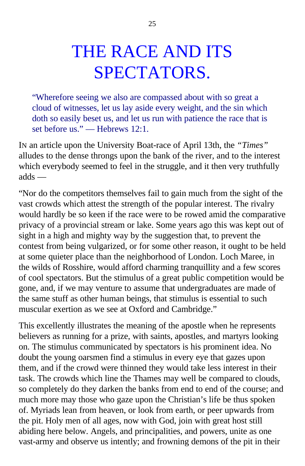# THE RACE AND ITS SPECTATORS.

"Wherefore seeing we also are compassed about with so great a cloud of witnesses, let us lay aside every weight, and the sin which doth so easily beset us, and let us run with patience the race that is set before us." — Hebrews 12:1.

IN an article upon the University Boat-race of April 13th, the *"Times"* alludes to the dense throngs upon the bank of the river, and to the interest which everybody seemed to feel in the struggle, and it then very truthfully adds —

"Nor do the competitors themselves fail to gain much from the sight of the vast crowds which attest the strength of the popular interest. The rivalry would hardly be so keen if the race were to be rowed amid the comparative privacy of a provincial stream or lake. Some years ago this was kept out of sight in a high and mighty way by the suggestion that, to prevent the contest from being vulgarized, or for some other reason, it ought to be held at some quieter place than the neighborhood of London. Loch Maree, in the wilds of Rosshire, would afford charming tranquillity and a few scores of cool spectators. But the stimulus of a great public competition would be gone, and, if we may venture to assume that undergraduates are made of the same stuff as other human beings, that stimulus is essential to such muscular exertion as we see at Oxford and Cambridge."

This excellently illustrates the meaning of the apostle when he represents believers as running for a prize, with saints, apostles, and martyrs looking on. The stimulus communicated by spectators is his prominent idea. No doubt the young oarsmen find a stimulus in every eye that gazes upon them, and if the crowd were thinned they would take less interest in their task. The crowds which line the Thames may well be compared to clouds, so completely do they darken the banks from end to end of the course; and much more may those who gaze upon the Christian's life be thus spoken of. Myriads lean from heaven, or look from earth, or peer upwards from the pit. Holy men of all ages, now with God, join with great host still abiding here below. Angels, and principalities, and powers, unite as one vast-army and observe us intently; and frowning demons of the pit in their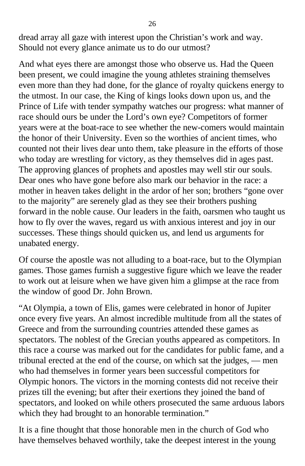dread array all gaze with interest upon the Christian's work and way. Should not every glance animate us to do our utmost?

And what eyes there are amongst those who observe us. Had the Queen been present, we could imagine the young athletes straining themselves even more than they had done, for the glance of royalty quickens energy to the utmost. In our case, the King of kings looks down upon us, and the Prince of Life with tender sympathy watches our progress: what manner of race should ours be under the Lord's own eye? Competitors of former years were at the boat-race to see whether the new-comers would maintain the honor of their University. Even so the worthies of ancient times, who counted not their lives dear unto them, take pleasure in the efforts of those who today are wrestling for victory, as they themselves did in ages past. The approving glances of prophets and apostles may well stir our souls. Dear ones who have gone before also mark our behavior in the race: a mother in heaven takes delight in the ardor of her son; brothers "gone over to the majority" are serenely glad as they see their brothers pushing forward in the noble cause. Our leaders in the faith, oarsmen who taught us how to fly over the waves, regard us with anxious interest and joy in our successes. These things should quicken us, and lend us arguments for unabated energy.

Of course the apostle was not alluding to a boat-race, but to the Olympian games. Those games furnish a suggestive figure which we leave the reader to work out at leisure when we have given him a glimpse at the race from the window of good Dr. John Brown.

"At Olympia, a town of Elis, games were celebrated in honor of Jupiter once every five years. An almost incredible multitude from all the states of Greece and from the surrounding countries attended these games as spectators. The noblest of the Grecian youths appeared as competitors. In this race a course was marked out for the candidates for public fame, and a tribunal erected at the end of the course, on which sat the judges, — men who had themselves in former years been successful competitors for Olympic honors. The victors in the morning contests did not receive their prizes till the evening; but after their exertions they joined the band of spectators, and looked on while others prosecuted the same arduous labors which they had brought to an honorable termination."

It is a fine thought that those honorable men in the church of God who have themselves behaved worthily, take the deepest interest in the young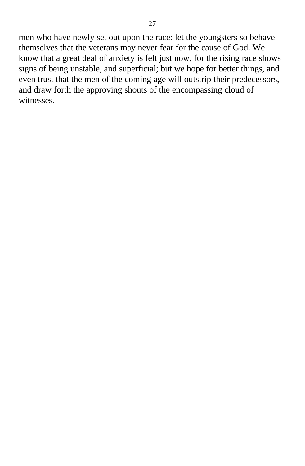men who have newly set out upon the race: let the youngsters so behave themselves that the veterans may never fear for the cause of God. We know that a great deal of anxiety is felt just now, for the rising race shows signs of being unstable, and superficial; but we hope for better things, and even trust that the men of the coming age will outstrip their predecessors, and draw forth the approving shouts of the encompassing cloud of witnesses.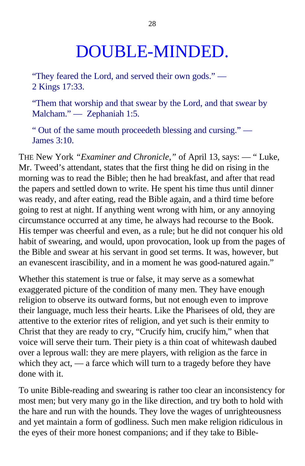## DOUBLE-MINDED.

"They feared the Lord, and served their own gods." — 2 Kings 17:33.

"Them that worship and that swear by the Lord, and that swear by Malcham." — Zephaniah 1:5.

" Out of the same mouth proceedeth blessing and cursing." — James 3:10.

THE New York *"Examiner and Chronicle,"* of April 13, says: — " Luke, Mr. Tweed's attendant, states that the first thing he did on rising in the morning was to read the Bible; then he had breakfast, and after that read the papers and settled down to write. He spent his time thus until dinner was ready, and after eating, read the Bible again, and a third time before going to rest at night. If anything went wrong with him, or any annoying circumstance occurred at any time, he always had recourse to the Book. His temper was cheerful and even, as a rule; but he did not conquer his old habit of swearing, and would, upon provocation, look up from the pages of the Bible and swear at his servant in good set terms. It was, however, but an evanescent irascibility, and in a moment he was good-natured again."

Whether this statement is true or false, it may serve as a somewhat exaggerated picture of the condition of many men. They have enough religion to observe its outward forms, but not enough even to improve their language, much less their hearts. Like the Pharisees of old, they are attentive to the exterior rites of religion, and yet such is their enmity to Christ that they are ready to cry, "Crucify him, crucify him," when that voice will serve their turn. Their piety is a thin coat of whitewash daubed over a leprous wall: they are mere players, with religion as the farce in which they act, — a farce which will turn to a tragedy before they have done with it.

To unite Bible-reading and swearing is rather too clear an inconsistency for most men; but very many go in the like direction, and try both to hold with the hare and run with the hounds. They love the wages of unrighteousness and yet maintain a form of godliness. Such men make religion ridiculous in the eyes of their more honest companions; and if they take to Bible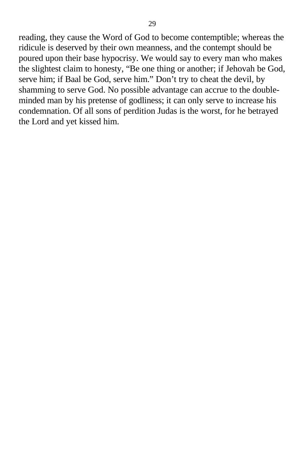reading, they cause the Word of God to become contemptible; whereas the ridicule is deserved by their own meanness, and the contempt should be poured upon their base hypocrisy. We would say to every man who makes the slightest claim to honesty, "Be one thing or another; if Jehovah be God, serve him; if Baal be God, serve him." Don't try to cheat the devil, by shamming to serve God. No possible advantage can accrue to the doubleminded man by his pretense of godliness; it can only serve to increase his condemnation. Of all sons of perdition Judas is the worst, for he betrayed the Lord and yet kissed him.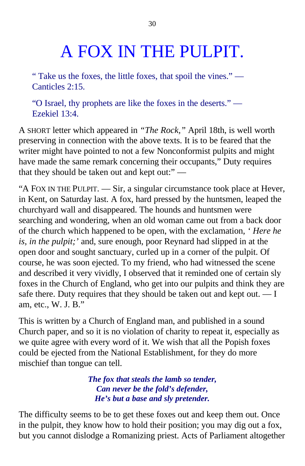# A FOX IN THE PULPIT.

" Take us the foxes, the little foxes, that spoil the vines." — Canticles 2:15.

"O Israel, thy prophets are like the foxes in the deserts." — Ezekiel 13:4.

A SHORT letter which appeared in *"The Rock,"* April 18th, is well worth preserving in connection with the above texts. It is to be feared that the writer might have pointed to not a few Nonconformist pulpits and might have made the same remark concerning their occupants," Duty requires that they should be taken out and kept out:" —

"A FOX IN THE PULPIT. — Sir, a singular circumstance took place at Hever, in Kent, on Saturday last. A fox, hard pressed by the huntsmen, leaped the churchyard wall and disappeared. The hounds and huntsmen were searching and wondering, when an old woman came out from a back door of the church which happened to be open, with the exclamation, *' Here he is, in the pulpit;'* and, sure enough, poor Reynard had slipped in at the open door and sought sanctuary, curled up in a corner of the pulpit. Of course, he was soon ejected. To my friend, who had witnessed the scene and described it very vividly, I observed that it reminded one of certain sly foxes in the Church of England, who get into our pulpits and think they are safe there. Duty requires that they should be taken out and kept out. — I am, etc., W. J. B."

This is written by a Church of England man, and published in a sound Church paper, and so it is no violation of charity to repeat it, especially as we quite agree with every word of it. We wish that all the Popish foxes could be ejected from the National Establishment, for they do more mischief than tongue can tell.

> *The fox that steals the lamb so tender, Can never be the fold's defender, He's but a base and sly pretender.*

The difficulty seems to be to get these foxes out and keep them out. Once in the pulpit, they know how to hold their position; you may dig out a fox, but you cannot dislodge a Romanizing priest. Acts of Parliament altogether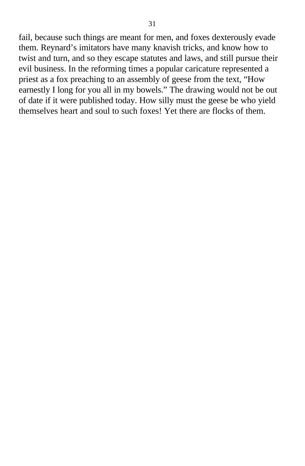fail, because such things are meant for men, and foxes dexterously evade them. Reynard's imitators have many knavish tricks, and know how to twist and turn, and so they escape statutes and laws, and still pursue their evil business. In the reforming times a popular caricature represented a priest as a fox preaching to an assembly of geese from the text, "How earnestly I long for you all in my bowels." The drawing would not be out of date if it were published today. How silly must the geese be who yield themselves heart and soul to such foxes! Yet there are flocks of them.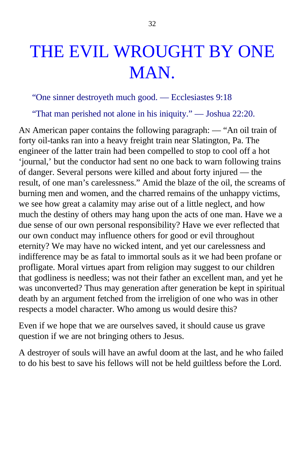# THE EVIL WROUGHT BY ONE MAN.

"One sinner destroyeth much good. — Ecclesiastes 9:18

"That man perished not alone in his iniquity." — Joshua 22:20.

AN American paper contains the following paragraph: — "An oil train of forty oil-tanks ran into a heavy freight train near Slatington, Pa. The engineer of the latter train had been compelled to stop to cool off a hot 'journal,' but the conductor had sent no one back to warn following trains of danger. Several persons were killed and about forty injured — the result, of one man's carelessness." Amid the blaze of the oil, the screams of burning men and women, and the charred remains of the unhappy victims, we see how great a calamity may arise out of a little neglect, and how much the destiny of others may hang upon the acts of one man. Have we a due sense of our own personal responsibility? Have we ever reflected that our own conduct may influence others for good or evil throughout eternity? We may have no wicked intent, and yet our carelessness and indifference may be as fatal to immortal souls as it we had been profane or profligate. Moral virtues apart from religion may suggest to our children that godliness is needless; was not their father an excellent man, and yet he was unconverted? Thus may generation after generation be kept in spiritual death by an argument fetched from the irreligion of one who was in other respects a model character. Who among us would desire this?

Even if we hope that we are ourselves saved, it should cause us grave question if we are not bringing others to Jesus.

A destroyer of souls will have an awful doom at the last, and he who failed to do his best to save his fellows will not be held guiltless before the Lord.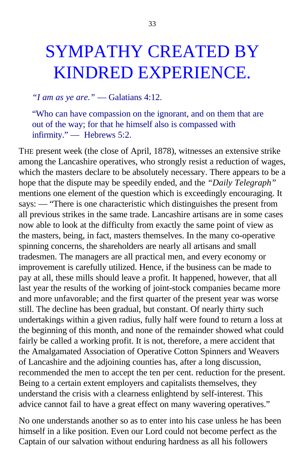## SYMPATHY CREATED BY KINDRED EXPERIENCE.

#### *"I am as ye are."* — Galatians 4:12.

"Who can have compassion on the ignorant, and on them that are out of the way; for that he himself also is compassed with infirmity." — Hebrews 5:2.

THE present week (the close of April, 1878), witnesses an extensive strike among the Lancashire operatives, who strongly resist a reduction of wages, which the masters declare to be absolutely necessary. There appears to be a hope that the dispute may be speedily ended, and the *"Daily Telegraph"* mentions one element of the question which is exceedingly encouraging. It says: — "There is one characteristic which distinguishes the present from all previous strikes in the same trade. Lancashire artisans are in some cases now able to look at the difficulty from exactly the same point of view as the masters, being, in fact, masters themselves. In the many co-operative spinning concerns, the shareholders are nearly all artisans and small tradesmen. The managers are all practical men, and every economy or improvement is carefully utilized. Hence, if the business can be made to pay at all, these mills should leave a profit. It happened, however, that all last year the results of the working of joint-stock companies became more and more unfavorable; and the first quarter of the present year was worse still. The decline has been gradual, but constant. Of nearly thirty such undertakings within a given radius, fully half were found to return a loss at the beginning of this month, and none of the remainder showed what could fairly be called a working profit. It is not, therefore, a mere accident that the Amalgamated Association of Operative Cotton Spinners and Weavers of Lancashire and the adjoining counties has, after a long discussion, recommended the men to accept the ten per cent. reduction for the present. Being to a certain extent employers and capitalists themselves, they understand the crisis with a clearness enlightend by self-interest. This advice cannot fail to have a great effect on many wavering operatives."

No one understands another so as to enter into his case unless he has been himself in a like position. Even our Lord could not become perfect as the Captain of our salvation without enduring hardness as all his followers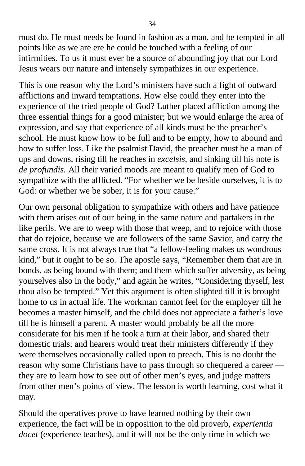must do. He must needs be found in fashion as a man, and be tempted in all points like as we are ere he could be touched with a feeling of our infirmities. To us it must ever be a source of abounding joy that our Lord Jesus wears our nature and intensely sympathizes in our experience.

This is one reason why the Lord's ministers have such a fight of outward afflictions and inward temptations. How else could they enter into the experience of the tried people of God? Luther placed affliction among the three essential things for a good minister; but we would enlarge the area of expression, and say that experience of all kinds must be the preacher's school. He must know how to be full and to be empty, how to abound and how to suffer loss. Like the psalmist David, the preacher must be a man of ups and downs, rising till he reaches in *excelsis,* and sinking till his note is *de profundis.* All their varied moods are meant to qualify men of God to sympathize with the afflicted. "For whether we be beside ourselves, it is to God: or whether we be sober, it is for your cause."

Our own personal obligation to sympathize with others and have patience with them arises out of our being in the same nature and partakers in the like perils. We are to weep with those that weep, and to rejoice with those that do rejoice, because we are followers of the same Savior, and carry the same cross. It is not always true that "a fellow-feeling makes us wondrous kind," but it ought to be so. The apostle says, "Remember them that are in bonds, as being bound with them; and them which suffer adversity, as being yourselves also in the body," and again he writes, "Considering thyself, lest thou also be tempted." Yet this argument is often slighted till it is brought home to us in actual life. The workman cannot feel for the employer till he becomes a master himself, and the child does not appreciate a father's love till he is himself a parent. A master would probably be all the more considerate for his men if he took a turn at their labor, and shared their domestic trials; and hearers would treat their ministers differently if they were themselves occasionally called upon to preach. This is no doubt the reason why some Christians have to pass through so chequered a career they are to learn how to see out of other men's eyes, and judge matters from other men's points of view. The lesson is worth learning, cost what it may.

Should the operatives prove to have learned nothing by their own experience, the fact will be in opposition to the old proverb, *experientia docet* (experience teaches), and it will not be the only time in which we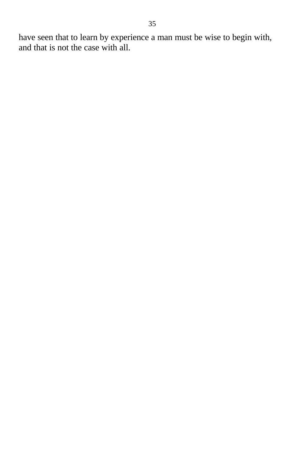have seen that to learn by experience a man must be wise to begin with, and that is not the case with all.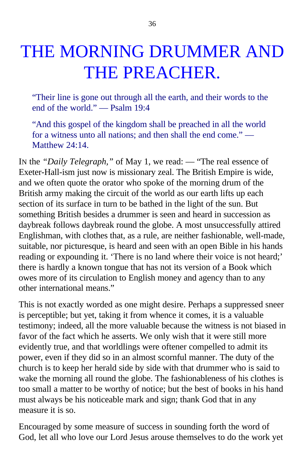# THE MORNING DRUMMER AND THE PREACHER.

"Their line is gone out through all the earth, and their words to the end of the world." — Psalm 19:4

"And this gospel of the kingdom shall be preached in all the world for a witness unto all nations; and then shall the end come." — Matthew 24:14

In the *"Daily Telegraph*," of May 1, we read: — "The real essence of Exeter-Hall-ism just now is missionary zeal. The British Empire is wide, and we often quote the orator who spoke of the morning drum of the British army making the circuit of the world as our earth lifts up each section of its surface in turn to be bathed in the light of the sun. But something British besides a drummer is seen and heard in succession as daybreak follows daybreak round the globe. A most unsuccessfully attired Englishman, with clothes that, as a rule, are neither fashionable, well-made, suitable, nor picturesque, is heard and seen with an open Bible in his hands reading or expounding it. 'There is no land where their voice is not heard;' there is hardly a known tongue that has not its version of a Book which owes more of its circulation to English money and agency than to any other international means."

This is not exactly worded as one might desire. Perhaps a suppressed sneer is perceptible; but yet, taking it from whence it comes, it is a valuable testimony; indeed, all the more valuable because the witness is not biased in favor of the fact which he asserts. We only wish that it were still more evidently true, and that worldlings were oftener compelled to admit its power, even if they did so in an almost scornful manner. The duty of the church is to keep her herald side by side with that drummer who is said to wake the morning all round the globe. The fashionableness of his clothes is too small a matter to be worthy of notice; but the best of books in his hand must always be his noticeable mark and sign; thank God that in any measure it is so.

Encouraged by some measure of success in sounding forth the word of God, let all who love our Lord Jesus arouse themselves to do the work yet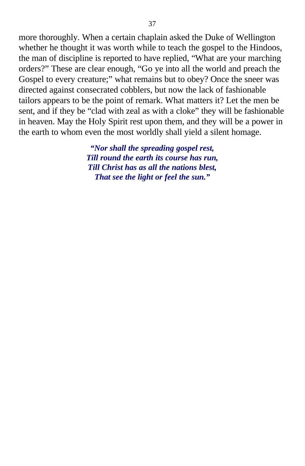more thoroughly. When a certain chaplain asked the Duke of Wellington whether he thought it was worth while to teach the gospel to the Hindoos, the man of discipline is reported to have replied, "What are your marching orders?" These are clear enough, "Go ye into all the world and preach the Gospel to every creature;" what remains but to obey? Once the sneer was directed against consecrated cobblers, but now the lack of fashionable tailors appears to be the point of remark. What matters it? Let the men be sent, and if they be "clad with zeal as with a cloke" they will be fashionable in heaven. May the Holy Spirit rest upon them, and they will be a power in the earth to whom even the most worldly shall yield a silent homage.

> *"Nor shall the spreading gospel rest, Till round the earth its course has run, Till Christ has as all the nations blest, That see the light or feel the sun."*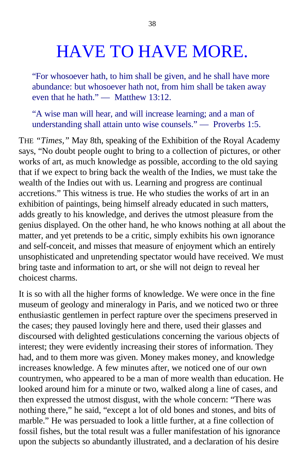## HAVE TO HAVE MORE.

"For whosoever hath, to him shall be given, and he shall have more abundance: but whosoever hath not, from him shall be taken away even that he hath." — Matthew 13:12.

"A wise man will hear, and will increase learning; and a man of understanding shall attain unto wise counsels." — Proverbs 1:5.

THE *"Times,"* May 8th, speaking of the Exhibition of the Royal Academy says, "No doubt people ought to bring to a collection of pictures, or other works of art, as much knowledge as possible, according to the old saying that if we expect to bring back the wealth of the Indies, we must take the wealth of the Indies out with us. Learning and progress are continual accretions." This witness is true. He who studies the works of art in an exhibition of paintings, being himself already educated in such matters, adds greatly to his knowledge, and derives the utmost pleasure from the genius displayed. On the other hand, he who knows nothing at all about the matter, and yet pretends to be a critic, simply exhibits his own ignorance and self-conceit, and misses that measure of enjoyment which an entirely unsophisticated and unpretending spectator would have received. We must bring taste and information to art, or she will not deign to reveal her choicest charms.

It is so with all the higher forms of knowledge. We were once in the fine museum of geology and mineralogy in Paris, and we noticed two or three enthusiastic gentlemen in perfect rapture over the specimens preserved in the cases; they paused lovingly here and there, used their glasses and discoursed with delighted gesticulations concerning the various objects of interest; they were evidently increasing their stores of information. They had, and to them more was given. Money makes money, and knowledge increases knowledge. A few minutes after, we noticed one of our own countrymen, who appeared to be a man of more wealth than education. He looked around him for a minute or two, walked along a line of cases, and then expressed the utmost disgust, with the whole concern: "There was nothing there," he said, "except a lot of old bones and stones, and bits of marble." He was persuaded to look a little further, at a fine collection of fossil fishes, but the total result was a fuller manifestation of his ignorance upon the subjects so abundantly illustrated, and a declaration of his desire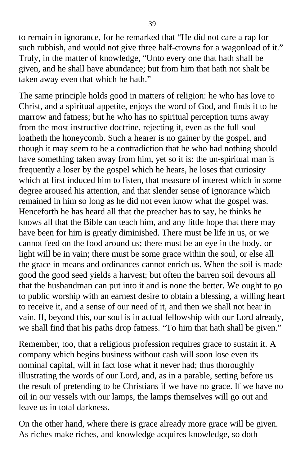to remain in ignorance, for he remarked that "He did not care a rap for such rubbish, and would not give three half-crowns for a wagonload of it." Truly, in the matter of knowledge, "Unto every one that hath shall be given, and he shall have abundance; but from him that hath not shalt be taken away even that which he hath."

The same principle holds good in matters of religion: he who has love to Christ, and a spiritual appetite, enjoys the word of God, and finds it to be marrow and fatness; but he who has no spiritual perception turns away from the most instructive doctrine, rejecting it, even as the full soul loatheth the honeycomb. Such a hearer is no gainer by the gospel, and though it may seem to be a contradiction that he who had nothing should have something taken away from him, yet so it is: the un-spiritual man is frequently a loser by the gospel which he hears, he loses that curiosity which at first induced him to listen, that measure of interest which in some degree aroused his attention, and that slender sense of ignorance which remained in him so long as he did not even know what the gospel was. Henceforth he has heard all that the preacher has to say, he thinks he knows all that the Bible can teach him, and any little hope that there may have been for him is greatly diminished. There must be life in us, or we cannot feed on the food around us; there must be an eye in the body, or light will be in vain; there must be some grace within the soul, or else all the grace in means and ordinances cannot enrich us. When the soil is made good the good seed yields a harvest; but often the barren soil devours all that the husbandman can put into it and is none the better. We ought to go to public worship with an earnest desire to obtain a blessing, a willing heart to receive it, and a sense of our need of it, and then we shall not hear in vain. If, beyond this, our soul is in actual fellowship with our Lord already, we shall find that his paths drop fatness. "To him that hath shall be given."

Remember, too, that a religious profession requires grace to sustain it. A company which begins business without cash will soon lose even its nominal capital, will in fact lose what it never had; thus thoroughly illustrating the words of our Lord, and, as in a parable, setting before us the result of pretending to be Christians if we have no grace. If we have no oil in our vessels with our lamps, the lamps themselves will go out and leave us in total darkness.

On the other hand, where there is grace already more grace will be given. As riches make riches, and knowledge acquires knowledge, so doth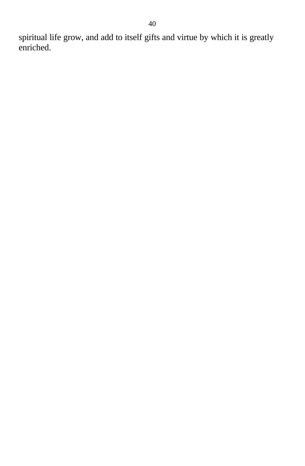spiritual life grow, and add to itself gifts and virtue by which it is greatly enriched.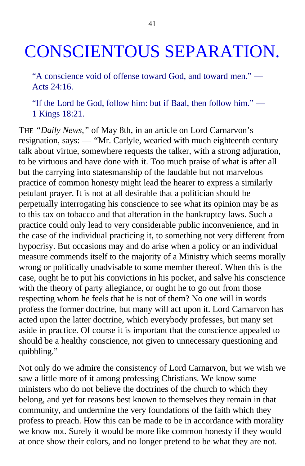## CONSCIENTOUS SEPARATION.

"A conscience void of offense toward God, and toward men." — Acts 24:16.

"If the Lord be God, follow him: but if Baal, then follow him." — 1 Kings 18:21.

THE *"Daily News,"* of May 8th, in an article on Lord Carnarvon's resignation, says: — *"*Mr. Carlyle, wearied with much eighteenth century talk about virtue, somewhere requests the talker, with a strong adjuration, to be virtuous and have done with it. Too much praise of what is after all but the carrying into statesmanship of the laudable but not marvelous practice of common honesty might lead the hearer to express a similarly petulant prayer. It is not at all desirable that a politician should be perpetually interrogating his conscience to see what its opinion may be as to this tax on tobacco and that alteration in the bankruptcy laws. Such a practice could only lead to very considerable public inconvenience, and in the case of the individual practicing it, to something not very different from hypocrisy. But occasions may and do arise when a policy or an individual measure commends itself to the majority of a Ministry which seems morally wrong or politically unadvisable to some member thereof. When this is the case, ought he to put his convictions in his pocket, and salve his conscience with the theory of party allegiance, or ought he to go out from those respecting whom he feels that he is not of them? No one will in words profess the former doctrine, but many will act upon it. Lord Carnarvon has acted upon the latter doctrine, which everybody professes, but many set aside in practice. Of course it is important that the conscience appealed to should be a healthy conscience, not given to unnecessary questioning and quibbling."

Not only do we admire the consistency of Lord Carnarvon, but we wish we saw a little more of it among professing Christians. We know some ministers who do not believe the doctrines of the church to which they belong, and yet for reasons best known to themselves they remain in that community, and undermine the very foundations of the faith which they profess to preach. How this can be made to be in accordance with morality we know not. Surely it would be more like common honesty if they would at once show their colors, and no longer pretend to be what they are not.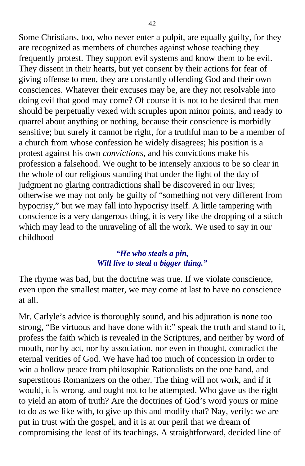Some Christians, too, who never enter a pulpit, are equally guilty, for they are recognized as members of churches against whose teaching they frequently protest. They support evil systems and know them to be evil. They dissent in their hearts, but yet consent by their actions for fear of giving offense to men, they are constantly offending God and their own consciences. Whatever their excuses may be, are they not resolvable into doing evil that good may come? Of course it is not to be desired that men should be perpetually vexed with scruples upon minor points, and ready to quarrel about anything or nothing, because their conscience is morbidly sensitive; but surely it cannot be right, for a truthful man to be a member of a church from whose confession he widely disagrees; his position is a protest against his own *convictions,* and his convictions make his profession a falsehood. We ought to be intensely anxious to be so clear in the whole of our religious standing that under the light of the day of judgment no glaring contradictions shall be discovered in our lives; otherwise we may not only be guilty of "something not very different from hypocrisy," but we may fall into hypocrisy itself. A little tampering with conscience is a very dangerous thing, it is very like the dropping of a stitch which may lead to the unraveling of all the work. We used to say in our childhood —

#### *"He who steals a pin, Will live to steal a bigger thing."*

The rhyme was bad, but the doctrine was true. If we violate conscience, even upon the smallest matter, we may come at last to have no conscience at all.

Mr. Carlyle's advice is thoroughly sound, and his adjuration is none too strong, "Be virtuous and have done with it:" speak the truth and stand to it, profess the faith which is revealed in the Scriptures, and neither by word of mouth, nor by act, nor by association, nor even in thought, contradict the eternal verities of God. We have had too much of concession in order to win a hollow peace from philosophic Rationalists on the one hand, and superstitous Romanizers on the other. The thing will not work, and if it would, it is wrong, and ought not to be attempted. Who gave us the right to yield an atom of truth? Are the doctrines of God's word yours or mine to do as we like with, to give up this and modify that? Nay, verily: we are put in trust with the gospel, and it is at our peril that we dream of compromising the least of its teachings. A straightforward, decided line of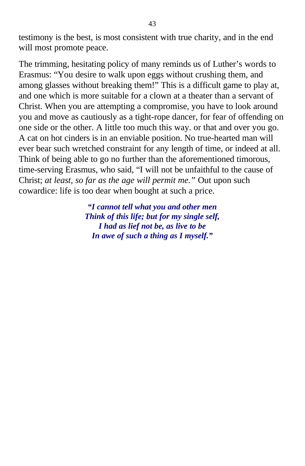testimony is the best*,* is most consistent with true charity, and in the end will most promote peace.

The trimming, hesitating policy of many reminds us of Luther's words to Erasmus: "You desire to walk upon eggs without crushing them, and among glasses without breaking them!" This is a difficult game to play at, and one which is more suitable for a clown at a theater than a servant of Christ. When you are attempting a compromise, you have to look around you and move as cautiously as a tight-rope dancer, for fear of offending on one side or the other. A little too much this way. or that and over you go. A cat on hot cinders is in an enviable position. No true-hearted man will ever bear such wretched constraint for any length of time, or indeed at all. Think of being able to go no further than the aforementioned timorous, time-serving Erasmus, who said, "I will not be unfaithful to the cause of Christ; *at least, so far as the age will permit me."* Out upon such cowardice: life is too dear when bought at such a price.

> *"I cannot tell what you and other men Think of this life; but for my single self, I had as lief not be, as live to be In awe of such a thing as I myself."*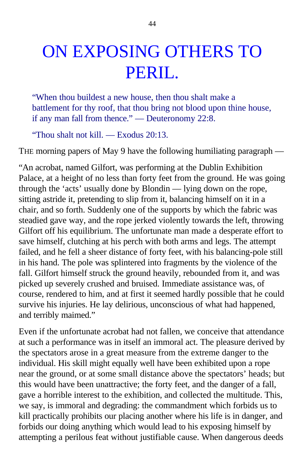## ON EXPOSING OTHERS TO PERIL.

"When thou buildest a new house, then thou shalt make a battlement for thy roof, that thou bring not blood upon thine house, if any man fall from thence." — Deuteronomy 22:8.

"Thou shalt not kill. — Exodus 20:13.

THE morning papers of May 9 have the following humiliating paragraph —

"An acrobat, named Gilfort, was performing at the Dublin Exhibition Palace, at a height of no less than forty feet from the ground. He was going through the 'acts' usually done by Blondin — lying down on the rope, sitting astride it, pretending to slip from it, balancing himself on it in a chair, and so forth. Suddenly one of the supports by which the fabric was steadied gave way, and the rope jerked violently towards the left, throwing Gilfort off his equilibrium. The unfortunate man made a desperate effort to save himself, clutching at his perch with both arms and legs. The attempt failed, and he fell a sheer distance of forty feet, with his balancing-pole still in his hand. The pole was splintered into fragments by the violence of the fall. Gilfort himself struck the ground heavily, rebounded from it, and was picked up severely crushed and bruised. Immediate assistance was, of course, rendered to him, and at first it seemed hardly possible that he could survive his injuries. He lay delirious, unconscious of what had happened, and terribly maimed."

Even if the unfortunate acrobat had not fallen, we conceive that attendance at such a performance was in itself an immoral act. The pleasure derived by the spectators arose in a great measure from the extreme danger to the individual. His skill might equally well have been exhibited upon a rope near the ground, or at some small distance above the spectators' heads; but this would have been unattractive; the forty feet, and the danger of a fall, gave a horrible interest to the exhibition, and collected the multitude. This, we say, is immoral and degrading: the commandment which forbids us to kill practically prohibits our placing another where his life is in danger, and forbids our doing anything which would lead to his exposing himself by attempting a perilous feat without justifiable cause. When dangerous deeds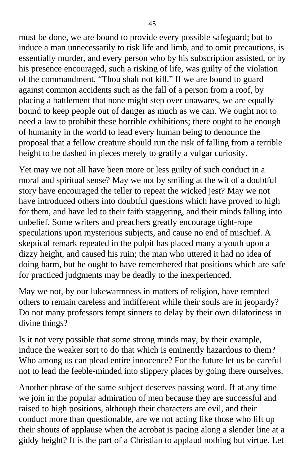must be done, we are bound to provide every possible safeguard; but to induce a man unnecessarily to risk life and limb, and to omit precautions, is essentially murder, and every person who by his subscription assisted, or by his presence encouraged, such a risking of life, was guilty of the violation of the commandment, "Thou shalt not kill." If we are bound to guard against common accidents such as the fall of a person from a roof, by placing a battlement that none might step over unawares, we are equally bound to keep people out of danger as much as we can. We ought not to need a law to prohibit these horrible exhibitions; there ought to be enough of humanity in the world to lead every human being to denounce the proposal that a fellow creature should run the risk of falling from a terrible height to be dashed in pieces merely to gratify a vulgar curiosity.

Yet may we not all have been more or less guilty of such conduct in a moral and spiritual sense? May we not by smiling at the wit of a doubtful story have encouraged the teller to repeat the wicked jest? May we not have introduced others into doubtful questions which have proved to high for them, and have led to their faith staggering, and their minds falling into unbelief. Some writers and preachers greatly encourage tight-rope speculations upon mysterious subjects, and cause no end of mischief. A skeptical remark repeated in the pulpit has placed many a youth upon a dizzy height, and caused his ruin; the man who uttered it had no idea of doing harm, but he ought to have remembered that positions which are safe for practiced judgments may be deadly to the inexperienced.

May we not, by our lukewarmness in matters of religion, have tempted others to remain careless and indifferent while their souls are in jeopardy? Do not many professors tempt sinners to delay by their own dilatoriness in divine things?

Is it not very possible that some strong minds may, by their example, induce the weaker sort to do that which is eminently hazardous to them? Who among us can plead entire innocence? For the future let us be careful not to lead the feeble-minded into slippery places by going there ourselves.

Another phrase of the same subject deserves passing word. If at any time we join in the popular admiration of men because they are successful and raised to high positions, although their characters are evil, and their conduct more than questionable, are we not acting like those who lift up their shouts of applause when the acrobat is pacing along a slender line at a giddy height? It is the part of a Christian to applaud nothing but virtue. Let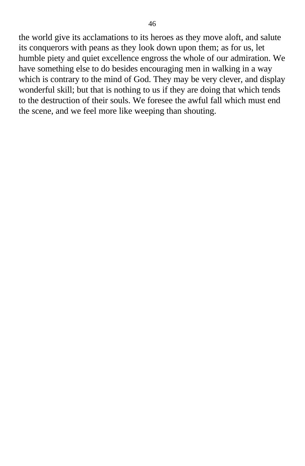the world give its acclamations to its heroes as they move aloft, and salute its conquerors with peans as they look down upon them; as for us, let humble piety and quiet excellence engross the whole of our admiration. We have something else to do besides encouraging men in walking in a way which is contrary to the mind of God. They may be very clever, and display wonderful skill; but that is nothing to us if they are doing that which tends to the destruction of their souls. We foresee the awful fall which must end the scene, and we feel more like weeping than shouting.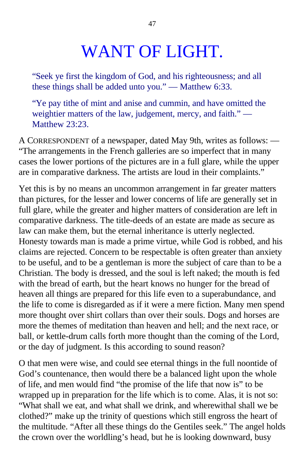## WANT OF LIGHT.

"Seek ye first the kingdom of God, and his righteousness; and all these things shall be added unto you." — Matthew 6:33.

"Ye pay tithe of mint and anise and cummin, and have omitted the weightier matters of the law, judgement, mercy, and faith." — Matthew 23:23.

A CORRESPONDENT of a newspaper, dated May 9th, writes as follows: — "The arrangements in the French galleries are so imperfect that in many cases the lower portions of the pictures are in a full glare, while the upper are in comparative darkness. The artists are loud in their complaints."

Yet this is by no means an uncommon arrangement in far greater matters than pictures, for the lesser and lower concerns of life are generally set in full glare, while the greater and higher matters of consideration are left in comparative darkness. The title-deeds of an estate are made as secure as law can make them, but the eternal inheritance is utterly neglected. Honesty towards man is made a prime virtue, while God is robbed, and his claims are rejected. Concern to be respectable is often greater than anxiety to be useful, and to be a gentleman is more the subject of care than to be a Christian. The body is dressed, and the soul is left naked; the mouth is fed with the bread of earth, but the heart knows no hunger for the bread of heaven all things are prepared for this life even to a superabundance*,* and the life to come is disregarded as if it were a mere fiction. Many men spend more thought over shirt collars than over their souls. Dogs and horses are more the themes of meditation than heaven and hell; and the next race, or ball, or kettle-drum calls forth more thought than the coming of the Lord, or the day of judgment. Is this according to sound reason?

O that men were wise, and could see eternal things in the full noontide of God's countenance, then would there be a balanced light upon the whole of life, and men would find "the promise of the life that now is" to be wrapped up in preparation for the life which is to come. Alas, it is not so: "What shall we eat, and what shall we drink, and wherewithal shall we be clothed?" make up the trinity of questions which still engross the heart of the multitude. "After all these things do the Gentiles seek." The angel holds the crown over the worldling's head, but he is looking downward, busy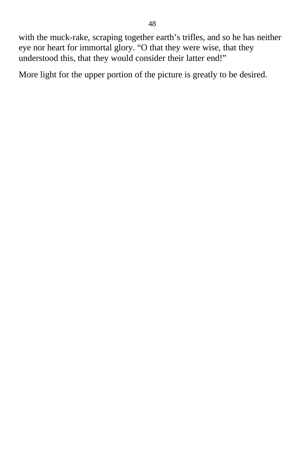with the muck-rake, scraping together earth's trifles, and so he has neither eye nor heart for immortal glory. "O that they were wise, that they understood this, that they would consider their latter end!"

More light for the upper portion of the picture is greatly to be desired.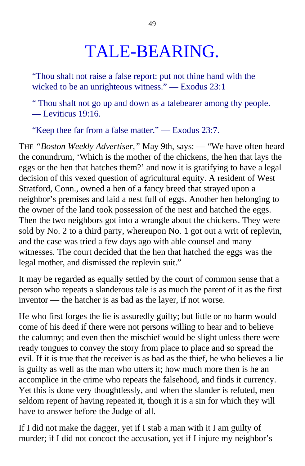## TALE-BEARING.

"Thou shalt not raise a false report: put not thine hand with the wicked to be an unrighteous witness." — Exodus 23:1

" Thou shalt not go up and down as a talebearer among thy people. — Leviticus 19:16.

"Keep thee far from a false matter." — Exodus 23:7.

THE *"Boston Weekly Advertiser,"* May 9th, says: — "We have often heard the conundrum, 'Which is the mother of the chickens, the hen that lays the eggs or the hen that hatches them?' and now it is gratifying to have a legal decision of this vexed question of agricultural equity. A resident of West Stratford, Conn., owned a hen of a fancy breed that strayed upon a neighbor's premises and laid a nest full of eggs. Another hen belonging to the owner of the land took possession of the nest and hatched the eggs. Then the two neighbors got into a wrangle about the chickens. They were sold by No. 2 to a third party, whereupon No. 1 got out a writ of replevin, and the case was tried a few days ago with able counsel and many witnesses. The court decided that the hen that hatched the eggs was the legal mother, and dismissed the replevin suit."

It may be regarded as equally settled by the court of common sense that a person who repeats a slanderous tale is as much the parent of it as the first inventor — the hatcher is as bad as the layer, if not worse.

He who first forges the lie is assuredly guilty; but little or no harm would come of his deed if there were not persons willing to hear and to believe the calumny; and even then the mischief would be slight unless there were ready tongues to convey the story from place to place and so spread the evil. If it is true that the receiver is as bad as the thief, he who believes a lie is guilty as well as the man who utters it; how much more then is he an accomplice in the crime who repeats the falsehood, and finds it currency. Yet this is done very thoughtlessly, and when the slander is refuted, men seldom repent of having repeated it, though it is a sin for which they will have to answer before the Judge of all.

If I did not make the dagger, yet if I stab a man with it I am guilty of murder; if I did not concoct the accusation, yet if I injure my neighbor's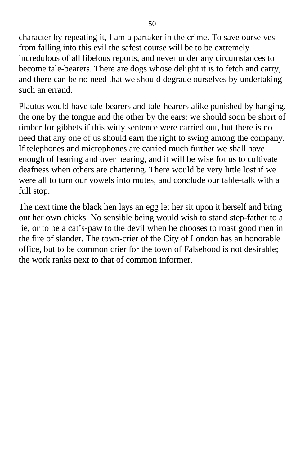character by repeating it, I am a partaker in the crime. To save ourselves from falling into this evil the safest course will be to be extremely incredulous of all libelous reports, and never under any circumstances to become tale-bearers. There are dogs whose delight it is to fetch and carry, and there can be no need that we should degrade ourselves by undertaking such an errand.

Plautus would have tale-bearers and tale-hearers alike punished by hanging, the one by the tongue and the other by the ears: we should soon be short of timber for gibbets if this witty sentence were carried out, but there is no need that any one of us should earn the right to swing among the company. If telephones and microphones are carried much further we shall have enough of hearing and over hearing, and it will be wise for us to cultivate deafness when others are chattering. There would be very little lost if we were all to turn our vowels into mutes, and conclude our table-talk with a full stop.

The next time the black hen lays an egg let her sit upon it herself and bring out her own chicks. No sensible being would wish to stand step-father to a lie, or to be a cat's-paw to the devil when he chooses to roast good men in the fire of slander. The town-crier of the City of London has an honorable office, but to be common crier for the town of Falsehood is not desirable; the work ranks next to that of common informer.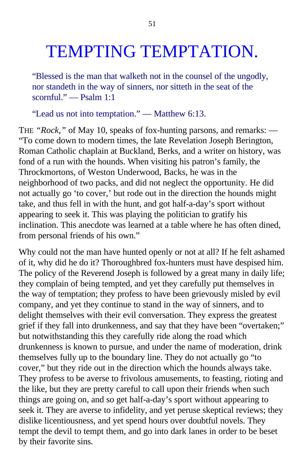## TEMPTING TEMPTATION.

"Blessed is the man that walketh not in the counsel of the ungodly, nor standeth in the way of sinners, nor sitteth in the seat of the scornful." — Psalm 1:1

"Lead us not into temptation." — Matthew 6:13.

THE *"Rock,"* of May 10, speaks of fox-hunting parsons, and remarks: — "To come down to modern times, the late Revelation Joseph Berington, Roman Catholic chaplain at Buckland, Berks, and a writer on history, was fond of a run with the hounds. When visiting his patron's family, the Throckmortons, of Weston Underwood, Backs, he was in the neighborhood of two packs, and did not neglect the opportunity. He did not actually go 'to cover,' but rode out in the direction the hounds might take, and thus fell in with the hunt, and got half-a-day's sport without appearing to seek it. This was playing the politician to gratify his inclination. This anecdote was learned at a table where he has often dined, from personal friends of his own."

Why could not the man have hunted openly or not at all? If he felt ashamed of it, why did he do it? Thoroughbred fox-hunters must have despised him. The policy of the Reverend Joseph is followed by a great many in daily life; they complain of being tempted, and yet they carefully put themselves in the way of temptation; they profess to have been grievously misled by evil company, and yet they continue to stand in the way of sinners, and to delight themselves with their evil conversation. They express the greatest grief if they fall into drunkenness, and say that they have been "overtaken;" but notwithstanding this they carefully ride along the road which drunkenness is known to pursue, and under the name of moderation, drink themselves fully up to the boundary line. They do not actually go "to cover," but they ride out in the direction which the hounds always take. They profess to be averse to frivolous amusements, to feasting, rioting and the like, but they are pretty careful to call upon their friends when such things are going on, and so get half-a-day's sport without appearing to seek it. They are averse to infidelity, and yet peruse skeptical reviews; they dislike licentiousness, and yet spend hours over doubtful novels. They tempt the devil to tempt them, and go into dark lanes in order to be beset by their favorite sins.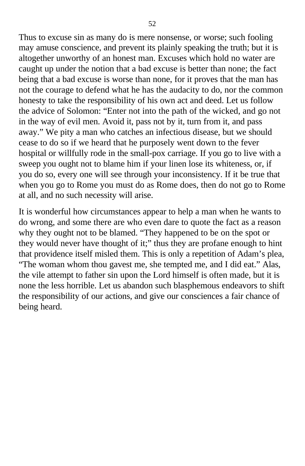Thus to excuse sin as many do is mere nonsense, or worse; such fooling may amuse conscience, and prevent its plainly speaking the truth; but it is altogether unworthy of an honest man. Excuses which hold no water are caught up under the notion that a bad excuse is better than none; the fact being that a bad excuse is worse than none, for it proves that the man has not the courage to defend what he has the audacity to do, nor the common honesty to take the responsibility of his own act and deed. Let us follow the advice of Solomon: "Enter not into the path of the wicked, and go not in the way of evil men. Avoid it, pass not by it, turn from it, and pass away." We pity a man who catches an infectious disease, but we should cease to do so if we heard that he purposely went down to the fever hospital or willfully rode in the small-pox carriage. If you go to live with a sweep you ought not to blame him if your linen lose its whiteness, or, if you do so, every one will see through your inconsistency. If it be true that when you go to Rome you must do as Rome does, then do not go to Rome at all, and no such necessity will arise.

It is wonderful how circumstances appear to help a man when he wants to do wrong, and some there are who even dare to quote the fact as a reason why they ought not to be blamed. "They happened to be on the spot or they would never have thought of it;" thus they are profane enough to hint that providence itself misled them. This is only a repetition of Adam's plea, "The woman whom thou gavest me, she tempted me, and I did eat." Alas, the vile attempt to father sin upon the Lord himself is often made, but it is none the less horrible. Let us abandon such blasphemous endeavors to shift the responsibility of our actions, and give our consciences a fair chance of being heard.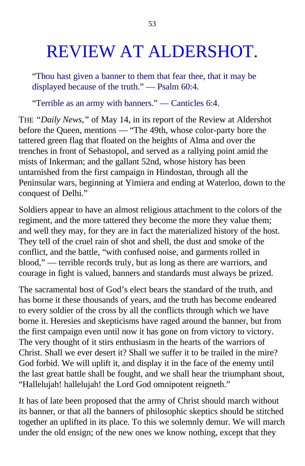## REVIEW AT ALDERSHOT.

"Thou hast given a banner to them that fear thee, that it may be displayed because of the truth." — Psalm 60:4.

"Terrible as an army with banners." — Canticles 6:4.

THE *"Daily News,"* of May 14, in its report of the Review at Aldershot before the Queen, mentions — "The 49th, whose color-party bore the tattered green flag that floated on the heights of Alma and over the trenches in front of Sebastopol, and served as a rallying point amid the mists of Inkerman; and the gallant 52nd, whose history has been untarnished from the first campaign in Hindostan, through all the Peninsular wars, beginning at Yimiera and ending at Waterloo, down to the conquest of Delhi."

Soldiers appear to have an almost religious attachment to the colors of the regiment, and the more tattered they become the more they value them; and well they may, for they are in fact the materialized history of the host. They tell of the cruel rain of shot and shell, the dust and smoke of the conflict, and the battle, "with confused noise, and garments rolled in blood," — terrible records truly, but as long as there are warriors, and courage in fight is valued, banners and standards must always be prized.

The sacramental host of God's elect bears the standard of the truth, and has borne it these thousands of years, and the truth has become endeared to every soldier of the cross by all the conflicts through which we have borne it. Heresies and skepticisms have raged around the banner, but from the first campaign even until now it has gone on from victory to victory. The very thought of it stirs enthusiasm in the hearts of the warriors of Christ. Shall we ever desert it? Shall we suffer it to be trailed in the mire? God forbid. We will uplift it, and display it in the face of the enemy until the last great battle shall be fought, and we shall hear the triumphant shout, "Hallelujah! hallelujah! the Lord God omnipotent reigneth."

It has of late been proposed that the army of Christ should march without its banner, or that all the banners of philosophic skeptics should be stitched together an uplifted in its place. To this we solemnly demur. We will march under the old ensign; of the new ones we know nothing, except that they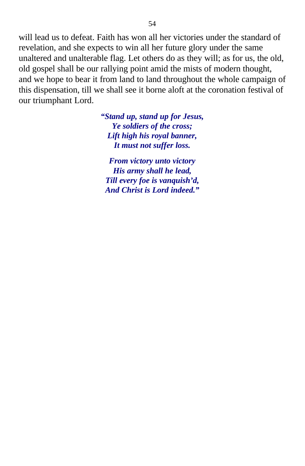will lead us to defeat. Faith has won all her victories under the standard of revelation, and she expects to win all her future glory under the same unaltered and unalterable flag. Let others do as they will; as for us, the old, old gospel shall be our rallying point amid the mists of modern thought, and we hope to bear it from land to land throughout the whole campaign of this dispensation, till we shall see it borne aloft at the coronation festival of our triumphant Lord.

> *"Stand up, stand up for Jesus, Ye soldiers of the cross; Lift high his royal banner, It must not suffer loss.*

*From victory unto victory His army shall he lead, Till every foe is vanquish'd, And Christ is Lord indeed."*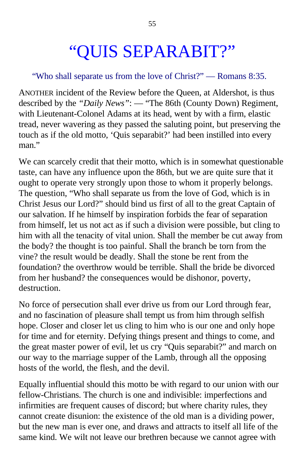# "QUIS SEPARABIT?"

### "Who shall separate us from the love of Christ?" — Romans 8:35.

ANOTHER incident of the Review before the Queen, at Aldershot, is thus described by the *"Daily News"*: — "The 86th (County Down) Regiment, with Lieutenant-Colonel Adams at its head, went by with a firm, elastic tread, never wavering as they passed the saluting point, but preserving the touch as if the old motto, 'Quis separabit?' had been instilled into every man."

We can scarcely credit that their motto, which is in somewhat questionable taste, can have any influence upon the 86th, but we are quite sure that it ought to operate very strongly upon those to whom it properly belongs. The question, "Who shall separate us from the love of God, which is in Christ Jesus our Lord?" should bind us first of all to the great Captain of our salvation. If he himself by inspiration forbids the fear of separation from himself, let us not act as if such a division were possible, but cling to him with all the tenacity of vital union. Shall the member be cut away from the body? the thought is too painful. Shall the branch be torn from the vine? the result would be deadly. Shall the stone be rent from the foundation? the overthrow would be terrible. Shall the bride be divorced from her husband? the consequences would be dishonor, poverty, destruction.

No force of persecution shall ever drive us from our Lord through fear, and no fascination of pleasure shall tempt us from him through selfish hope. Closer and closer let us cling to him who is our one and only hope for time and for eternity. Defying things present and things to come, and the great master power of evil, let us cry "Quis separabit?" and march on our way to the marriage supper of the Lamb, through all the opposing hosts of the world, the flesh, and the devil.

Equally influential should this motto be with regard to our union with our fellow-Christians. The church is one and indivisible: imperfections and infirmities are frequent causes of discord; but where charity rules, they cannot create disunion: the existence of the old man is a dividing power, but the new man is ever one, and draws and attracts to itself all life of the same kind. We wilt not leave our brethren because we cannot agree with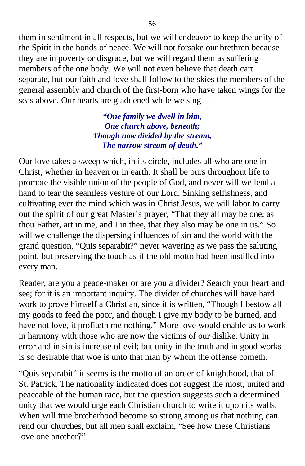them in sentiment in all respects, but we will endeavor to keep the unity of the Spirit in the bonds of peace. We will not forsake our brethren because they are in poverty or disgrace, but we will regard them as suffering members of the one body. We will not even believe that death cart separate, but our faith and love shall follow to the skies the members of the general assembly and church of the first-born who have taken wings for the seas above. Our hearts are gladdened while we sing —

> *"One family we dwell in him, One church above, beneath; Though now divided by the stream, The narrow stream of death."*

Our love takes a sweep which, in its circle, includes all who are one in Christ, whether in heaven or in earth. It shall be ours throughout life to promote the visible union of the people of God, and never will we lend a hand to tear the seamless vesture of our Lord. Sinking selfishness, and cultivating ever the mind which was in Christ Jesus, we will labor to carry out the spirit of our great Master's prayer, "That they all may be one; as thou Father, art in me, and I in thee, that they also may be one in us." So will we challenge the dispersing influences of sin and the world with the grand question, "Quis separabit?" never wavering as we pass the saluting point, but preserving the touch as if the old motto had been instilled into every man.

Reader, are you a peace-maker or are you a divider? Search your heart and see; for it is an important inquiry. The divider of churches will have hard work to prove himself a Christian, since it is written, "Though I bestow all my goods to feed the poor, and though I give my body to be burned, and have not love, it profiteth me nothing." More love would enable us to work in harmony with those who are now the victims of our dislike. Unity in error and in sin is increase of evil; but unity in the truth and in good works is so desirable that woe is unto that man by whom the offense cometh.

"Quis separabit" it seems is the motto of an order of knighthood, that of St. Patrick. The nationality indicated does not suggest the most, united and peaceable of the human race, but the question suggests such a determined unity that we would urge each Christian church to write it upon its walls. When will true brotherhood become so strong among us that nothing can rend our churches, but all men shall exclaim, "See how these Christians love one another?"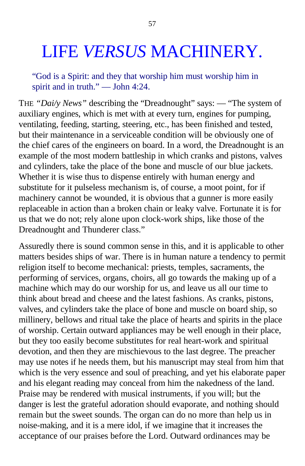## LIFE *VERSUS* MACHINERY.

"God is a Spirit: and they that worship him must worship him in spirit and in truth." — John 4:24.

THE *"Dai/y News"* describing the "Dreadnought" says: — "The system of auxiliary engines, which is met with at every turn, engines for pumping, ventilating, feeding, starting, steering, etc., has been finished and tested, but their maintenance in a serviceable condition will be obviously one of the chief cares of the engineers on board. In a word, the Dreadnought is an example of the most modern battleship in which cranks and pistons, valves and cylinders, take the place of the bone and muscle of our blue jackets. Whether it is wise thus to dispense entirely with human energy and substitute for it pulseless mechanism is, of course, a moot point, for if machinery cannot be wounded, it is obvious that a gunner is more easily replaceable in action than a broken chain or leaky valve. Fortunate it is for us that we do not; rely alone upon clock-work ships, like those of the Dreadnought and Thunderer class."

Assuredly there is sound common sense in this, and it is applicable to other matters besides ships of war. There is in human nature a tendency to permit religion itself to become mechanical: priests, temples, sacraments, the performing of services, organs, choirs, all go towards the making up of a machine which may do our worship for us, and leave us all our time to think about bread and cheese and the latest fashions. As cranks, pistons, valves, and cylinders take the place of bone and muscle on board ship, so millinery, bellows and ritual take the place of hearts and spirits in the place of worship. Certain outward appliances may be well enough in their place, but they too easily become substitutes for real heart-work and spiritual devotion, and then they are mischievous to the last degree. The preacher may use notes if he needs them, but his manuscript may steal from him that which is the very essence and soul of preaching, and yet his elaborate paper and his elegant reading may conceal from him the nakedness of the land. Praise may be rendered with musical instruments, if you will; but the danger is lest the grateful adoration should evaporate, and nothing should remain but the sweet sounds. The organ can do no more than help us in noise-making, and it is a mere idol, if we imagine that it increases the acceptance of our praises before the Lord. Outward ordinances may be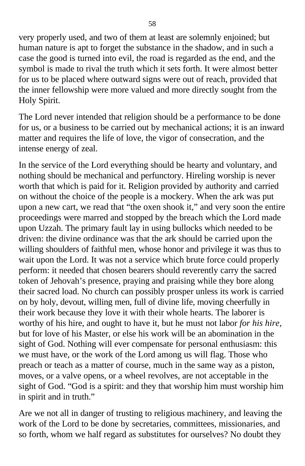very properly used, and two of them at least are solemnly enjoined; but human nature is apt to forget the substance in the shadow, and in such a case the good is turned into evil, the road is regarded as the end, and the symbol is made to rival the truth which it sets forth. It were almost better for us to be placed where outward signs were out of reach, provided that the inner fellowship were more valued and more directly sought from the Holy Spirit.

The Lord never intended that religion should be a performance to be done for us, or a business to be carried out by mechanical actions; it is an inward matter and requires the life of love, the vigor of consecration, and the intense energy of zeal.

In the service of the Lord everything should be hearty and voluntary, and nothing should be mechanical and perfunctory. Hireling worship is never worth that which is paid for it. Religion provided by authority and carried on without the choice of the people is a mockery. When the ark was put upon a new cart, we read that "the oxen shook it," and very soon the entire proceedings were marred and stopped by the breach which the Lord made upon Uzzah. The primary fault lay in using bullocks which needed to be driven: the divine ordinance was that the ark should be carried upon the willing shoulders of faithful men, whose honor and privilege it was thus to wait upon the Lord. It was not a service which brute force could properly perform: it needed that chosen bearers should reverently carry the sacred token of Jehovah's presence, praying and praising while they bore along their sacred load. No church can possibly prosper unless its work is carried on by holy, devout, willing men, full of divine life, moving cheerfully in their work because they love it with their whole hearts. The laborer is worthy of his hire, and ought to have it, but he must not labor *for his hire,* but for love of his Master, or else his work will be an abomination in the sight of God. Nothing will ever compensate for personal enthusiasm: this we must have, or the work of the Lord among us will flag. Those who preach or teach as a matter of course, much in the same way as a piston, moves, or a valve opens, or a wheel revolves, are not acceptable in the sight of God. "God is a spirit: and they that worship him must worship him in spirit and in truth."

Are we not all in danger of trusting to religious machinery, and leaving the work of the Lord to be done by secretaries, committees, missionaries, and so forth, whom we half regard as substitutes for ourselves? No doubt they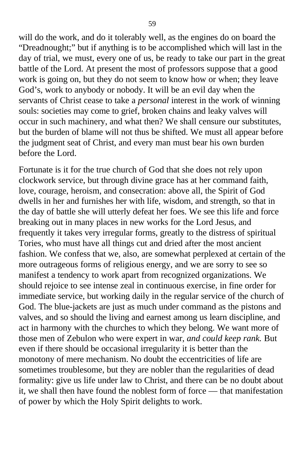will do the work, and do it tolerably well, as the engines do on board the "Dreadnought;" but if anything is to be accomplished which will last in the day of trial, we must, every one of us, be ready to take our part in the great battle of the Lord. At present the most of professors suppose that a good work is going on, but they do not seem to know how or when; they leave God's, work to anybody or nobody. It will be an evil day when the servants of Christ cease to take a *personal* interest in the work of winning souls: societies may come to grief, broken chains and leaky valves will occur in such machinery, and what then? We shall censure our substitutes, but the burden of blame will not thus be shifted. We must all appear before the judgment seat of Christ, and every man must bear his own burden before the Lord.

Fortunate is it for the true church of God that she does not rely upon clockwork service, but through divine grace has at her command faith, love, courage, heroism, and consecration: above all, the Spirit of God dwells in her and furnishes her with life, wisdom, and strength, so that in the day of battle she will utterly defeat her foes. We see this life and force breaking out in many places in new works for the Lord Jesus, and frequently it takes very irregular forms, greatly to the distress of spiritual Tories, who must have all things cut and dried after the most ancient fashion. We confess that we, also, are somewhat perplexed at certain of the more outrageous forms of religious energy, and we are sorry to see so manifest a tendency to work apart from recognized organizations. We should rejoice to see intense zeal in continuous exercise, in fine order for immediate service, but working daily in the regular service of the church of God. The blue-jackets are just as much under command as the pistons and valves, and so should the living and earnest among us learn discipline, and act in harmony with the churches to which they belong. We want more of those men of Zebulon who were expert in war, *and could keep rank.* But even if there should be occasional irregularity it is better than the monotony of mere mechanism. No doubt the eccentricities of life are sometimes troublesome, but they are nobler than the regularities of dead formality: give us life under law to Christ, and there can be no doubt about it, we shall then have found the noblest form of force — that manifestation of power by which the Holy Spirit delights to work.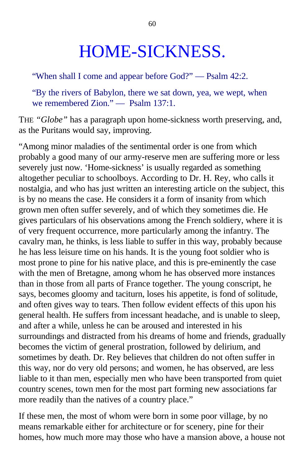## HOME-SICKNESS.

"When shall I come and appear before God?" — Psalm 42:2.

"By the rivers of Babylon, there we sat down, yea, we wept, when we remembered Zion." — Psalm 137:1.

THE *"Globe"* has a paragraph upon home-sickness worth preserving, and, as the Puritans would say, improving.

"Among minor maladies of the sentimental order is one from which probably a good many of our army-reserve men are suffering more or less severely just now. 'Home-sickness' is usually regarded as something altogether peculiar to schoolboys. According to Dr. H. Rey, who calls it nostalgia, and who has just written an interesting article on the subject, this is by no means the case. He considers it a form of insanity from which grown men often suffer severely, and of which they sometimes die. He gives particulars of his observations among the French soldiery, where it is of very frequent occurrence, more particularly among the infantry. The cavalry man, he thinks, is less liable to suffer in this way, probably because he has less leisure time on his hands. It is the young foot soldier who is most prone to pine for his native place, and this is pre-eminently the case with the men of Bretagne, among whom he has observed more instances than in those from all parts of France together. The young conscript, he says, becomes gloomy and taciturn, loses his appetite, is fond of solitude, and often gives way to tears. Then follow evident effects of this upon his general health. He suffers from incessant headache, and is unable to sleep, and after a while, unless he can be aroused and interested in his surroundings and distracted from his dreams of home and friends, gradually becomes the victim of general prostration, followed by delirium, and sometimes by death. Dr. Rey believes that children do not often suffer in this way, nor do very old persons; and women, he has observed, are less liable to it than men, especially men who have been transported from quiet country scenes, town men for the most part forming new associations far more readily than the natives of a country place."

If these men, the most of whom were born in some poor village, by no means remarkable either for architecture or for scenery, pine for their homes, how much more may those who have a mansion above, a house not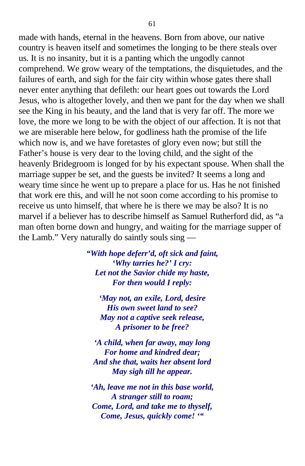made with hands, eternal in the heavens. Born from above, our native country is heaven itself and sometimes the longing to be there steals over us. It is no insanity, but it is a panting which the ungodly cannot comprehend. We grow weary of the temptations, the disquietudes, and the failures of earth, and sigh for the fair city within whose gates there shall never enter anything that defileth: our heart goes out towards the Lord Jesus, who is altogether lovely, and then we pant for the day when we shall see the King in his beauty, and the land that is very far off. The more we love, the more we long to be with the object of our affection. It is not that we are miserable here below, for godliness hath the promise of the life which now is, and we have foretastes of glory even now; but still the Father's house is very dear to the loving child, and the sight of the heavenly Bridegroom is longed for by his expectant spouse. When shall the marriage supper be set, and the guests be invited? It seems a long and weary time since he went up to prepare a place for us. Has he not finished that work ere this, and will he not soon come according to his promise to receive us unto himself, that where he is there we may be also? It is no marvel if a believer has to describe himself as Samuel Rutherford did, as "a man often borne down and hungry, and waiting for the marriage supper of the Lamb." Very naturally do saintly souls sing —

> *"With hope deferr'd, oft sick and faint, 'Why tarries he?' I cry: Let not the Savior chide my haste, For then would I reply:*

*'May not, an exile, Lord, desire His own sweet land to see? May not a captive seek release, A prisoner to be free?*

*'A child, when far away, may long For home and kindred dear; And she that, waits her absent lord May sigh till he appear.*

*'Ah, leave me not in this base world, A stranger still to roam; Come, Lord, and take me to thyself, Come, Jesus, quickly come! '"*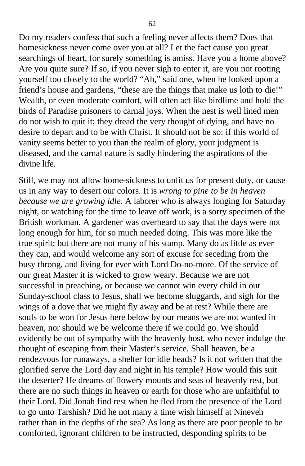Do my readers confess that such a feeling never affects them? Does that homesickness never come over you at all? Let the fact cause you great searchings of heart, for surely something is amiss. Have you a home above? Are you quite sure? If so, if you never sigh to enter it, are you not rooting yourself too closely to the world? "Ah," said one, when he looked upon a friend's house and gardens, "these are the things that make us loth to die!" Wealth, or even moderate comfort, will often act like birdlime and hold the birds of Paradise prisoners to carnal joys. When the nest is well lined men do not wish to quit it; they dread the very thought of dying, and have no desire to depart and to be with Christ. It should not be so: if this world of vanity seems better to you than the realm of glory, your judgment is diseased, and the carnal nature is sadly hindering the aspirations of the divine life.

Still, we may not allow home-sickness to unfit us for present duty, or cause us in any way to desert our colors. It is *wrong to pine to be in heaven because we are growing idle.* A laborer who is always longing for Saturday night, or watching for the time to leave off work, is a sorry specimen of the British workman. A gardener was overheard to say that the days were not long enough for him, for so much needed doing. This was more like the true spirit; but there are not many of his stamp. Many do as little as ever they can, and would welcome any sort of excuse for seceding from the busy throng, and living for ever with Lord Do-no-more. Of the service of our great Master it is wicked to grow weary. Because we are not successful in preaching, or because we cannot win every child in our Sunday-school class to Jesus, shall we become sluggards, and sigh for the wings of a dove that we might fly away and be at rest? While there are souls to be won for Jesus here below by our means we are not wanted in heaven, nor should we be welcome there if we could go. We should evidently be out of sympathy with the heavenly host, who never indulge the thought of escaping from their Master's service. Shall heaven, be a rendezvous for runaways, a shelter for idle heads? Is it not written that the glorified serve the Lord day and night in his temple? How would this suit the deserter? He dreams of flowery mounts and seas of heavenly rest, but there are no such things in heaven or earth for those who are unfaithful to their Lord. Did Jonah find rest when he fled from the presence of the Lord to go unto Tarshish? Did he not many a time wish himself at Nineveh rather than in the depths of the sea? As long as there are poor people to be comforted, ignorant children to be instructed, desponding spirits to be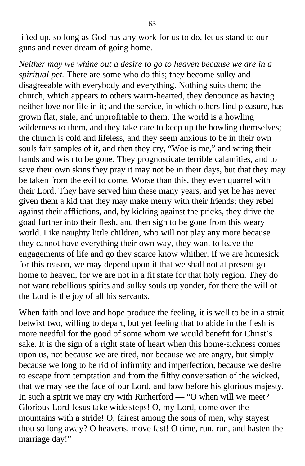lifted up, so long as God has any work for us to do, let us stand to our guns and never dream of going home.

*Neither may we whine out a desire to go to heaven because we are in a spiritual pet.* There are some who do this; they become sulky and disagreeable with everybody and everything. Nothing suits them; the church, which appears to others warm-hearted, they denounce as having neither love nor life in it; and the service, in which others find pleasure, has grown flat, stale, and unprofitable to them. The world is a howling wilderness to them, and they take care to keep up the howling themselves; the church is cold and lifeless, and they seem anxious to be in their own souls fair samples of it, and then they cry, "Woe is me," and wring their hands and wish to be gone. They prognosticate terrible calamities, and to save their own skins they pray it may not be in their days, but that they may be taken from the evil to come. Worse than this, they even quarrel with their Lord. They have served him these many years, and yet he has never given them a kid that they may make merry with their friends; they rebel against their afflictions, and, by kicking against the pricks, they drive the goad further into their flesh, and then sigh to be gone from this weary world. Like naughty little children, who will not play any more because they cannot have everything their own way, they want to leave the engagements of life and go they scarce know whither. If we are homesick for this reason, we may depend upon it that we shall not at present go home to heaven, for we are not in a fit state for that holy region. They do not want rebellious spirits and sulky souls up yonder, for there the will of the Lord is the joy of all his servants.

When faith and love and hope produce the feeling, it is well to be in a strait betwixt two, willing to depart, but yet feeling that to abide in the flesh is more needful for the good of some whom we would benefit for Christ's sake. It is the sign of a right state of heart when this home-sickness comes upon us, not because we are tired, nor because we are angry, but simply because we long to be rid of infirmity and imperfection, because we desire to escape from temptation and from the filthy conversation of the wicked, that we may see the face of our Lord, and bow before his glorious majesty. In such a spirit we may cry with Rutherford — "O when will we meet? Glorious Lord Jesus take wide steps! O, my Lord, come over the mountains with a stride! O, fairest among the sons of men, why stayest thou so long away? O heavens, move fast! O time, run, run, and hasten the marriage day!"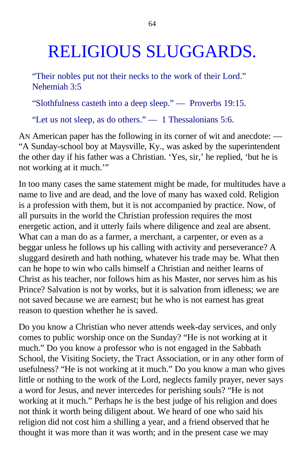## RELIGIOUS SLUGGARDS.

"Their nobles put not their necks to the work of their Lord." Nehemiah 3:5

"Slothfulness casteth into a deep sleep." — Proverbs 19:15.

"Let us not sleep, as do others." — 1 Thessalonians 5:6.

AN American paper has the following in its corner of wit and anecdote: — "A Sunday-school boy at Maysville, Ky., was asked by the superintendent the other day if his father was a Christian. 'Yes, sir,' he replied, 'but he is not working at it much.'"

In too many cases the same statement might be made, for multitudes have a name to live and are dead, and the love of many has waxed cold. Religion is a profession with them, but it is not accompanied by practice. Now, of all pursuits in the world the Christian profession requires the most energetic action, and it utterly fails where diligence and zeal are absent. What can a man do as a farmer, a merchant, a carpenter, or even as a beggar unless he follows up his calling with activity and perseverance? A sluggard desireth and hath nothing, whatever his trade may be. What then can he hope to win who calls himself a Christian and neither learns of Christ as his teacher, nor follows him as his Master, nor serves him as his Prince? Salvation is not by works, but it is salvation from idleness; we are not saved because we are earnest; but he who is not earnest has great reason to question whether he is saved.

Do you know a Christian who never attends week-day services, and only comes to public worship once on the Sunday? "He is not working at it much." Do you know a professor who is not engaged in the Sabbath School, the Visiting Society, the Tract Association, or in any other form of usefulness? "He is not working at it much." Do you know a man who gives little or nothing to the work of the Lord, neglects family prayer, never says a word for Jesus, and never intercedes for perishing souls? "He is not working at it much." Perhaps he is the best judge of his religion and does not think it worth being diligent about. We heard of one who said his religion did not cost him a shilling a year, and a friend observed that he thought it was more than it was worth; and in the present case we may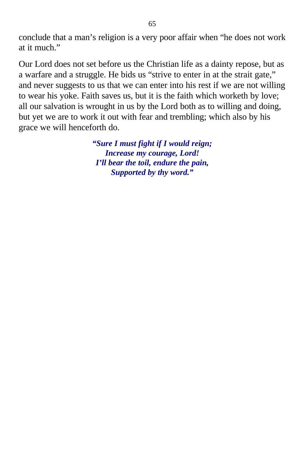conclude that a man's religion is a very poor affair when "he does not work at it much."

Our Lord does not set before us the Christian life as a dainty repose, but as a warfare and a struggle. He bids us "strive to enter in at the strait gate," and never suggests to us that we can enter into his rest if we are not willing to wear his yoke. Faith saves us, but it is the faith which worketh by love; all our salvation is wrought in us by the Lord both as to willing and doing, but yet we are to work it out with fear and trembling; which also by his grace we will henceforth do.

> *"Sure I must fight if I would reign; Increase my courage, Lord! I'll bear the toil, endure the pain, Supported by thy word."*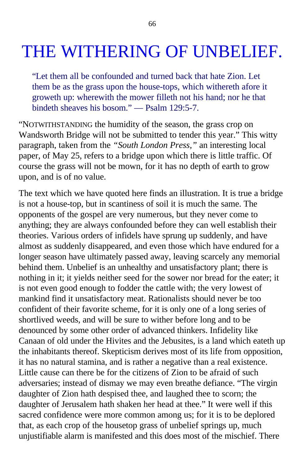## THE WITHERING OF UNBELIEF.

"Let them all be confounded and turned back that hate Zion. Let them be as the grass upon the house-tops, which withereth afore it groweth up: wherewith the mower filleth not his hand; nor he that bindeth sheaves his bosom." — Psalm 129:5-7.

"NOTWITHSTANDING the humidity of the season, the grass crop on Wandsworth Bridge will not be submitted to tender this year." This witty paragraph, taken from the *"South London Press,"* an interesting local paper, of May 25, refers to a bridge upon which there is little traffic. Of course the grass will not be mown, for it has no depth of earth to grow upon, and is of no value.

The text which we have quoted here finds an illustration. It is true a bridge is not a house-top, but in scantiness of soil it is much the same. The opponents of the gospel are very numerous, but they never come to anything; they are always confounded before they can well establish their theories. Various orders of infidels have sprung up suddenly, and have almost as suddenly disappeared, and even those which have endured for a longer season have ultimately passed away, leaving scarcely any memorial behind them. Unbelief is an unhealthy and unsatisfactory plant; there is nothing in it; it yields neither seed for the sower nor bread for the eater; it is not even good enough to fodder the cattle with; the very lowest of mankind find it unsatisfactory meat. Rationalists should never be too confident of their favorite scheme, for it is only one of a long series of shortlived weeds, and will be sure to wither before long and to be denounced by some other order of advanced thinkers. Infidelity like Canaan of old under the Hivites and the Jebusites, is a land which eateth up the inhabitants thereof. Skepticism derives most of its life from opposition, it has no natural stamina, and is rather a negative than a real existence. Little cause can there be for the citizens of Zion to be afraid of such adversaries; instead of dismay we may even breathe defiance. "The virgin daughter of Zion hath despised thee, and laughed thee to scorn; the daughter of Jerusalem hath shaken her head at thee." It were well if this sacred confidence were more common among us; for it is to be deplored that, as each crop of the housetop grass of unbelief springs up, much unjustifiable alarm is manifested and this does most of the mischief. There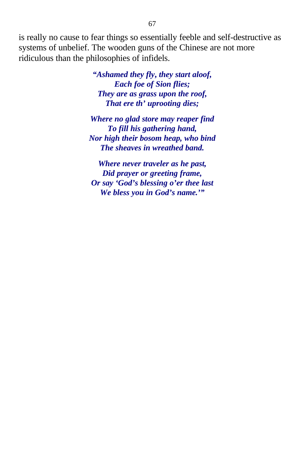is really no cause to fear things so essentially feeble and self-destructive as systems of unbelief. The wooden guns of the Chinese are not more ridiculous than the philosophies of infidels.

> *"Ashamed they fly***,** *they start aloof, Each foe of Sion flies; They are as grass upon the roof, That ere th' uprooting dies;*

*Where no glad store may reaper find To fill his gathering hand, Nor high their bosom heap, who bind The sheaves in wreathed band.*

*Where never traveler as he past, Did prayer or greeting frame, Or say 'God's blessing o'er thee last We bless you in God's name.'"*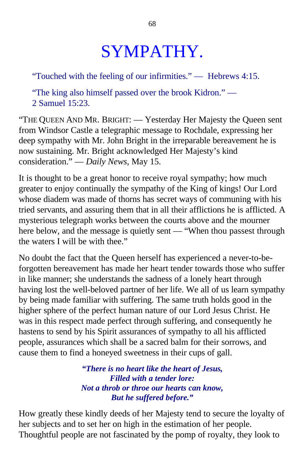## SYMPATHY.

"Touched with the feeling of our infirmities." — Hebrews 4:15.

"The king also himself passed over the brook Kidron." — 2 Samuel 15:23.

"THE QUEEN AND MR. BRIGHT: — Yesterday Her Majesty the Queen sent from Windsor Castle a telegraphic message to Rochdale, expressing her deep sympathy with Mr. John Bright in the irreparable bereavement he is now sustaining. Mr. Bright acknowledged Her Majesty's kind consideration." — *Daily News,* May 15.

It is thought to be a great honor to receive royal sympathy; how much greater to enjoy continually the sympathy of the King of kings! Our Lord whose diadem was made of thorns has secret ways of communing with his tried servants, and assuring them that in all their afflictions he is afflicted. A mysterious telegraph works between the courts above and the mourner here below, and the message is quietly sent — "When thou passest through the waters I will be with thee."

No doubt the fact that the Queen herself has experienced a never-to-beforgotten bereavement has made her heart tender towards those who suffer in like manner; she understands the sadness of a lonely heart through having lost the well-beloved partner of her life. We all of us learn sympathy by being made familiar with suffering. The same truth holds good in the higher sphere of the perfect human nature of our Lord Jesus Christ. He was in this respect made perfect through suffering, and consequently he hastens to send by his Spirit assurances of sympathy to all his afflicted people, assurances which shall be a sacred balm for their sorrows, and cause them to find a honeyed sweetness in their cups of gall.

> *"There is no heart like the heart of Jesus, Filled with a tender lore: Not a throb or throe our hearts can know, But he suffered before."*

How greatly these kindly deeds of her Majesty tend to secure the loyalty of her subjects and to set her on high in the estimation of her people. Thoughtful people are not fascinated by the pomp of royalty, they look to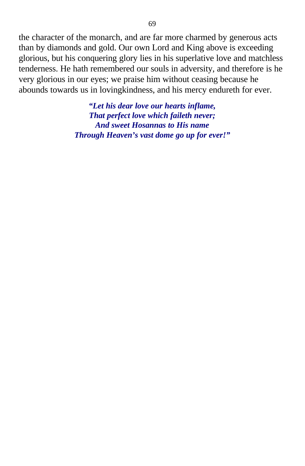the character of the monarch, and are far more charmed by generous acts than by diamonds and gold. Our own Lord and King above is exceeding glorious, but his conquering glory lies in his superlative love and matchless tenderness. He hath remembered our souls in adversity, and therefore is he very glorious in our eyes; we praise him without ceasing because he abounds towards us in lovingkindness, and his mercy endureth for ever.

> *"Let his dear love our hearts inflame, That perfect love which faileth never; And sweet Hosannas to His name Through Heaven's vast dome go up for ever!"*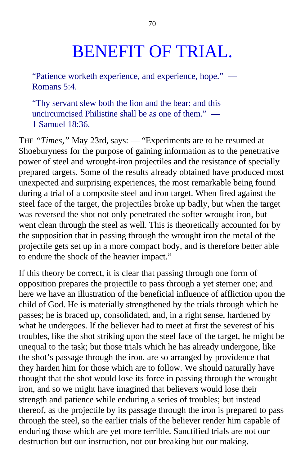## BENEFIT OF TRIAL.

"Patience worketh experience, and experience, hope." — Romans 5:4.

"Thy servant slew both the lion and the bear: and this uncircumcised Philistine shall be as one of them." — 1 Samuel 18:36.

THE *"Times,"* May 23rd, says: — "Experiments are to be resumed at Shoeburyness for the purpose of gaining information as to the penetrative power of steel and wrought-iron projectiles and the resistance of specially prepared targets. Some of the results already obtained have produced most unexpected and surprising experiences, the most remarkable being found during a trial of a composite steel and iron target. When fired against the steel face of the target, the projectiles broke up badly, but when the target was reversed the shot not only penetrated the softer wrought iron, but went clean through the steel as well. This is theoretically accounted for by the supposition that in passing through the wrought iron the metal of the projectile gets set up in a more compact body, and is therefore better able to endure the shock of the heavier impact."

If this theory be correct, it is clear that passing through one form of opposition prepares the projectile to pass through a yet sterner one; and here we have an illustration of the beneficial influence of affliction upon the child of God. He is materially strengthened by the trials through which he passes; he is braced up, consolidated, and, in a right sense, hardened by what he undergoes. If the believer had to meet at first the severest of his troubles, like the shot striking upon the steel face of the target, he might be unequal to the task; but those trials which he has already undergone, like the shot's passage through the iron, are so arranged by providence that they harden him for those which are to follow. We should naturally have thought that the shot would lose its force in passing through the wrought iron, and so we might have imagined that believers would lose their strength and patience while enduring a series of troubles; but instead thereof, as the projectile by its passage through the iron is prepared to pass through the steel, so the earlier trials of the believer render him capable of enduring those which are yet more terrible. Sanctified trials are not our destruction but our instruction, not our breaking but our making.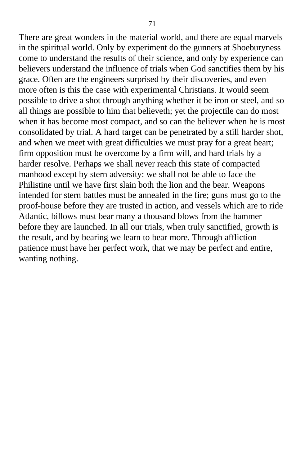There are great wonders in the material world, and there are equal marvels in the spiritual world. Only by experiment do the gunners at Shoeburyness come to understand the results of their science, and only by experience can believers understand the influence of trials when God sanctifies them by his grace. Often are the engineers surprised by their discoveries, and even more often is this the case with experimental Christians. It would seem possible to drive a shot through anything whether it be iron or steel, and so all things are possible to him that believeth; yet the projectile can do most when it has become most compact, and so can the believer when he is most consolidated by trial. A hard target can be penetrated by a still harder shot, and when we meet with great difficulties we must pray for a great heart; firm opposition must be overcome by a firm will, and hard trials by a harder resolve. Perhaps we shall never reach this state of compacted manhood except by stern adversity: we shall not be able to face the Philistine until we have first slain both the lion and the bear. Weapons intended for stern battles must be annealed in the fire; guns must go to the proof-house before they are trusted in action, and vessels which are to ride Atlantic, billows must bear many a thousand blows from the hammer before they are launched. In all our trials, when truly sanctified, growth is the result, and by bearing we learn to bear more. Through affliction patience must have her perfect work, that we may be perfect and entire, wanting nothing.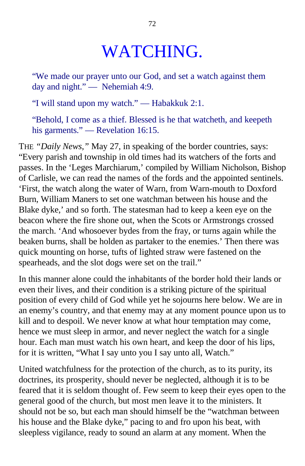## WATCHING.

"We made our prayer unto our God, and set a watch against them day and night." — Nehemiah 4:9.

"I will stand upon my watch." — Habakkuk 2:1.

"Behold, I come as a thief. Blessed is he that watcheth, and keepeth his garments." — Revelation 16:15.

THE *"Daily News,"* May 27, in speaking of the border countries, says: "Every parish and township in old times had its watchers of the forts and passes. In the 'Leges Marchiarum,' compiled by William Nicholson, Bishop of Carlisle, we can read the names of the fords and the appointed sentinels. 'First, the watch along the water of Warn, from Warn-mouth to Doxford Burn, William Maners to set one watchman between his house and the Blake dyke,' and so forth. The statesman had to keep a keen eye on the beacon where the fire shone out, when the Scots or Armstrongs crossed the march. 'And whosoever bydes from the fray, or turns again while the beaken burns, shall be holden as partaker to the enemies.' Then there was quick mounting on horse, tufts of lighted straw were fastened on the spearheads, and the slot dogs were set on the trail."

In this manner alone could the inhabitants of the border hold their lands or even their lives, and their condition is a striking picture of the spiritual position of every child of God while yet he sojourns here below. We are in an enemy's country, and that enemy may at any moment pounce upon us to kill and to despoil. We never know at what hour temptation may come, hence we must sleep in armor, and never neglect the watch for a single hour. Each man must watch his own heart, and keep the door of his lips, for it is written, "What I say unto you I say unto all, Watch."

United watchfulness for the protection of the church, as to its purity, its doctrines, its prosperity, should never be neglected, although it is to be feared that it is seldom thought of. Few seem to keep their eyes open to the general good of the church, but most men leave it to the ministers. It should not be so, but each man should himself be the "watchman between his house and the Blake dyke," pacing to and fro upon his beat, with sleepless vigilance, ready to sound an alarm at any moment. When the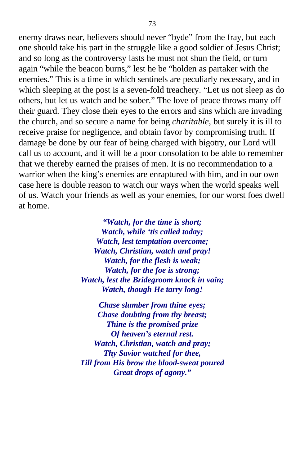enemy draws near, believers should never "byde" from the fray, but each one should take his part in the struggle like a good soldier of Jesus Christ; and so long as the controversy lasts he must not shun the field, or turn again "while the beacon burns," lest he be "holden as partaker with the enemies." This is a time in which sentinels are peculiarly necessary, and in which sleeping at the post is a seven-fold treachery. "Let us not sleep as do others, but let us watch and be sober." The love of peace throws many off their guard. They close their eyes to the errors and sins which are invading the church, and so secure a name for being *charitable,* but surely it is ill to receive praise for negligence, and obtain favor by compromising truth. If damage be done by our fear of being charged with bigotry, our Lord will call us to account, and it will be a poor consolation to be able to remember that we thereby earned the praises of men. It is no recommendation to a warrior when the king's enemies are enraptured with him, and in our own case here is double reason to watch our ways when the world speaks well of us. Watch your friends as well as your enemies, for our worst foes dwell at home.

> *"Watch, for the time is short; Watch, while 'tis called today; Watch, lest temptation overcome; Watch, Christian, watch and pray! Watch, for the flesh is weak; Watch, for the foe is strong; Watch, lest the Bridegroom knock in vain; Watch, though He tarry long!*

*Chase slumber from thine eyes; Chase doubting from thy breast; Thine is the promised prize Of heaven's eternal rest. Watch, Christian, watch and pray; Thy Savior watched for thee, Till from His brow the blood-sweat poured Great drops of agony."*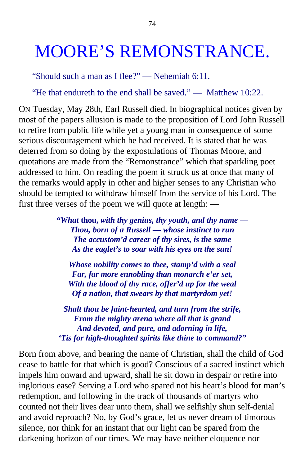## MOORE'S REMONSTRANCE.

"Should such a man as I flee?" — Nehemiah 6:11.

"He that endureth to the end shall be saved." — Matthew 10:22.

ON Tuesday, May 28th, Earl Russell died. In biographical notices given by most of the papers allusion is made to the proposition of Lord John Russell to retire from public life while yet a young man in consequence of some serious discouragement which he had received. It is stated that he was deterred from so doing by the expostulations of Thomas Moore, and quotations are made from the "Remonstrance" which that sparkling poet addressed to him. On reading the poem it struck us at once that many of the remarks would apply in other and higher senses to any Christian who should be tempted to withdraw himself from the service of his Lord. The first three verses of the poem we will quote at length: —

> *"What* **thou,** *with thy genius, thy youth, and thy name — Thou, born of a Russell — whose instinct to run The accustom'd career of thy sires, is the same As the eaglet's to soar with his eyes on the sun!*

*Whose nobility comes to thee, stamp'd with a seal Far, far more ennobling than monarch e'er set, With the blood of thy race, offer'd up for the weal Of a nation, that swears by that martyrdom yet!*

*Shalt thou be faint-hearted, and turn from the strife, From the mighty arena where all that is grand And devoted, and pure, and adorning in life, 'Tis for high-thoughted spirits like thine to command?"*

Born from above, and bearing the name of Christian, shall the child of God cease to battle for that which is good? Conscious of a sacred instinct which impels him onward and upward, shall he sit down in despair or retire into inglorious ease? Serving a Lord who spared not his heart's blood for man's redemption, and following in the track of thousands of martyrs who counted not their lives dear unto them, shall we selfishly shun self-denial and avoid reproach? No, by God's grace, let us never dream of timorous silence, nor think for an instant that our light can be spared from the darkening horizon of our times. We may have neither eloquence nor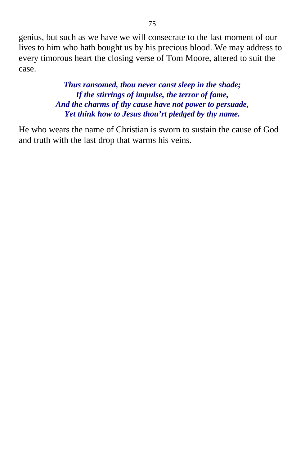genius, but such as we have we will consecrate to the last moment of our lives to him who hath bought us by his precious blood. We may address to every timorous heart the closing verse of Tom Moore, altered to suit the case.

> *Thus ransomed, thou never canst sleep in the shade; If the stirrings of impulse, the terror of fame, And the charms of thy cause have not power to persuade, Yet think how to Jesus thou'rt pledged by thy name.*

He who wears the name of Christian is sworn to sustain the cause of God and truth with the last drop that warms his veins.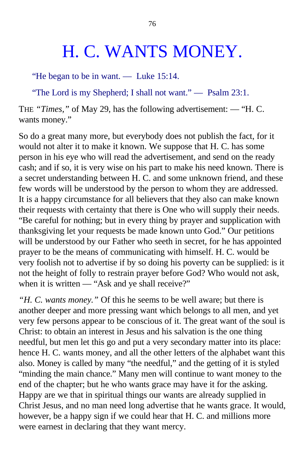## H. C. WANTS MONEY.

"He began to be in want. — Luke 15:14.

"The Lord is my Shepherd; I shall not want." — Psalm 23:1.

THE *"Times,"* of May 29, has the following advertisement: — "H. C. wants money."

So do a great many more, but everybody does not publish the fact, for it would not alter it to make it known. We suppose that H. C. has some person in his eye who will read the advertisement, and send on the ready cash; and if so, it is very wise on his part to make his need known. There is a secret understanding between H. C. and some unknown friend, and these few words will be understood by the person to whom they are addressed. It is a happy circumstance for all believers that they also can make known their requests with certainty that there is One who will supply their needs. "Be careful for nothing; but in every thing by prayer and supplication with thanksgiving let your requests be made known unto God." Our petitions will be understood by our Father who seeth in secret, for he has appointed prayer to be the means of communicating with himself. H. C. would be very foolish not to advertise if by so doing his poverty can be supplied: is it not the height of folly to restrain prayer before God? Who would not ask, when it is written — "Ask and ye shall receive?"

*"H. C. wants money."* Of this he seems to be well aware; but there is another deeper and more pressing want which belongs to all men, and yet very few persons appear to be conscious of it. The great want of the soul is Christ: to obtain an interest in Jesus and his salvation is the one thing needful, but men let this go and put a very secondary matter into its place: hence H. C. wants money, and all the other letters of the alphabet want this also. Money is called by many "the needful," and the getting of it is styled "minding the main chance." Many men will continue to want money to the end of the chapter; but he who wants grace may have it for the asking. Happy are we that in spiritual things our wants are already supplied in Christ Jesus, and no man need long advertise that he wants grace. It would, however, be a happy sign if we could hear that H. C. and millions more were earnest in declaring that they want mercy.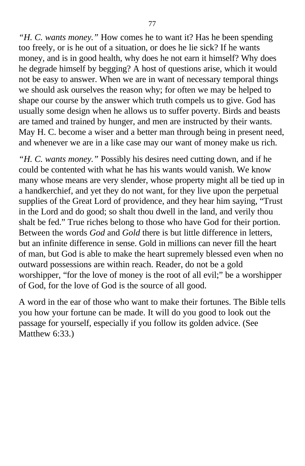*"H. C. wants money."* How comes he to want it? Has he been spending too freely, or is he out of a situation, or does he lie sick? If he wants money, and is in good health, why does he not earn it himself? Why does he degrade himself by begging? A host of questions arise, which it would not be easy to answer. When we are in want of necessary temporal things we should ask ourselves the reason why; for often we may be helped to shape our course by the answer which truth compels us to give. God has usually some design when he allows us to suffer poverty. Birds and beasts are tamed and trained by hunger, and men are instructed by their wants. May H. C. become a wiser and a better man through being in present need, and whenever we are in a like case may our want of money make us rich.

*"H. C. wants money."* Possibly his desires need cutting down, and if he could be contented with what he has his wants would vanish. We know many whose means are very slender, whose property might all be tied up in a handkerchief, and yet they do not want, for they live upon the perpetual supplies of the Great Lord of providence, and they hear him saying, "Trust in the Lord and do good; so shalt thou dwell in the land, and verily thou shalt be fed." True riches belong to those who have God for their portion. Between the words *God* and *Gold* there is but little difference in letters, but an infinite difference in sense. Gold in millions can never fill the heart of man, but God is able to make the heart supremely blessed even when no outward possessions are within reach. Reader, do not be a gold worshipper, "for the love of money is the root of all evil;" be a worshipper of God, for the love of God is the source of all good.

A word in the ear of those who want to make their fortunes. The Bible tells you how your fortune can be made. It will do you good to look out the passage for yourself, especially if you follow its golden advice. (See Matthew 6:33.)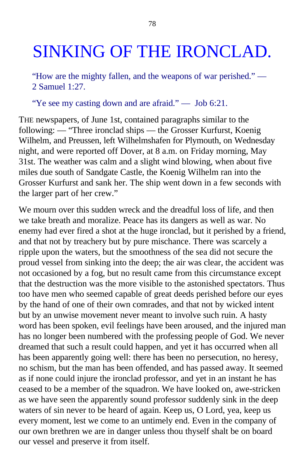## SINKING OF THE IRONCLAD.

"How are the mighty fallen, and the weapons of war perished." — 2 Samuel 1:27.

"Ye see my casting down and are afraid." — Job 6:21.

THE newspapers, of June 1st, contained paragraphs similar to the following: — "Three ironclad ships — the Grosser Kurfurst, Koenig Wilhelm, and Preussen, left Wilhelmshafen for Plymouth, on Wednesday night, and were reported off Dover, at 8 a.m. on Friday morning, May 31st. The weather was calm and a slight wind blowing, when about five miles due south of Sandgate Castle, the Koenig Wilhelm ran into the Grosser Kurfurst and sank her. The ship went down in a few seconds with the larger part of her crew."

We mourn over this sudden wreck and the dreadful loss of life, and then we take breath and moralize. Peace has its dangers as well as war. No enemy had ever fired a shot at the huge ironclad, but it perished by a friend, and that not by treachery but by pure mischance. There was scarcely a ripple upon the waters, but the smoothness of the sea did not secure the proud vessel from sinking into the deep; the air was clear, the accident was not occasioned by a fog, but no result came from this circumstance except that the destruction was the more visible to the astonished spectators. Thus too have men who seemed capable of great deeds perished before our eyes by the hand of one of their own comrades, and that not by wicked intent but by an unwise movement never meant to involve such ruin. A hasty word has been spoken, evil feelings have been aroused, and the injured man has no longer been numbered with the professing people of God. We never dreamed that such a result could happen, and yet it has occurred when all has been apparently going well: there has been no persecution, no heresy, no schism, but the man has been offended, and has passed away. It seemed as if none could injure the ironclad professor, and yet in an instant he has ceased to be a member of the squadron. We have looked on, awe-stricken as we have seen the apparently sound professor suddenly sink in the deep waters of sin never to be heard of again. Keep us, O Lord, yea, keep us every moment, lest we come to an untimely end. Even in the company of our own brethren we are in danger unless thou thyself shalt be on board our vessel and preserve it from itself.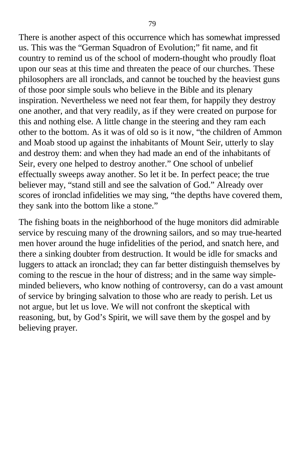There is another aspect of this occurrence which has somewhat impressed us. This was the "German Squadron of Evolution;" fit name, and fit country to remind us of the school of modern-thought who proudly float upon our seas at this time and threaten the peace of our churches. These philosophers are all ironclads, and cannot be touched by the heaviest guns of those poor simple souls who believe in the Bible and its plenary inspiration. Nevertheless we need not fear them, for happily they destroy one another, and that very readily, as if they were created on purpose for this and nothing else. A little change in the steering and they ram each other to the bottom. As it was of old so is it now, "the children of Ammon and Moab stood up against the inhabitants of Mount Seir, utterly to slay and destroy them: and when they had made an end of the inhabitants of Seir, every one helped to destroy another." One school of unbelief effectually sweeps away another. So let it be. In perfect peace; the true believer may, "stand still and see the salvation of God." Already over scores of ironclad infidelities we may sing, "the depths have covered them, they sank into the bottom like a stone."

The fishing boats in the neighborhood of the huge monitors did admirable service by rescuing many of the drowning sailors, and so may true-hearted men hover around the huge infidelities of the period, and snatch here, and there a sinking doubter from destruction. It would be idle for smacks and luggers to attack an ironclad; they can far better distinguish themselves by coming to the rescue in the hour of distress; and in the same way simpleminded believers, who know nothing of controversy, can do a vast amount of service by bringing salvation to those who are ready to perish. Let us not argue, but let us love. We will not confront the skeptical with reasoning, but, by God's Spirit, we will save them by the gospel and by believing prayer.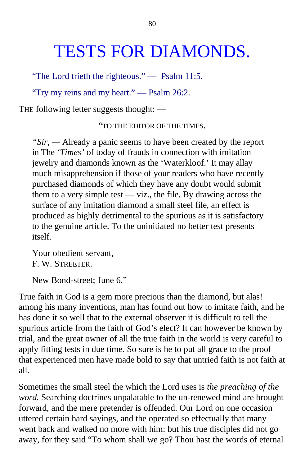## TESTS FOR DIAMONDS.

"The Lord trieth the righteous." — Psalm 11:5.

"Try my reins and my heart." — Psalm 26:2.

THE following letter suggests thought: —

"TO THE EDITOR OF THE TIMES.

*"Sir, —* Already a panic seems to have been created by the report in The *'Times'* of today of frauds in connection with imitation jewelry and diamonds known as the 'Waterkloof.' It may allay much misapprehension if those of your readers who have recently purchased diamonds of which they have any doubt would submit them to a very simple test — viz., the file. By drawing across the surface of any imitation diamond a small steel file, an effect is produced as highly detrimental to the spurious as it is satisfactory to the genuine article. To the uninitiated no better test presents itself.

Your obedient servant, F. W. STREETER.

New Bond-street; June 6."

True faith in God is a gem more precious than the diamond, but alas! among his many inventions, man has found out how to imitate faith, and he has done it so well that to the external observer it is difficult to tell the spurious article from the faith of God's elect? It can however be known by trial, and the great owner of all the true faith in the world is very careful to apply fitting tests in due time. So sure is he to put all grace to the proof that experienced men have made bold to say that untried faith is not faith at all.

Sometimes the small steel the which the Lord uses is *the preaching of the word.* Searching doctrines unpalatable to the un-renewed mind are brought forward, and the mere pretender is offended. Our Lord on one occasion uttered certain hard sayings, and the operated so effectually that many went back and walked no more with him: but his true disciples did not go away, for they said "To whom shall we go? Thou hast the words of eternal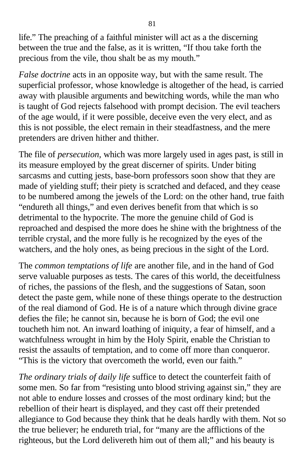life." The preaching of a faithful minister will act as a the discerning between the true and the false, as it is written, "If thou take forth the precious from the vile, thou shalt be as my mouth."

*False doctrine* acts in an opposite way, but with the same result. The superficial professor, whose knowledge is altogether of the head, is carried away with plausible arguments and bewitching words, while the man who is taught of God rejects falsehood with prompt decision. The evil teachers of the age would, if it were possible, deceive even the very elect, and as this is not possible, the elect remain in their steadfastness, and the mere pretenders are driven hither and thither.

The file of *persecution,* which was more largely used in ages past, is still in its measure employed by the great discerner of spirits. Under biting sarcasms and cutting jests, base-born professors soon show that they are made of yielding stuff; their piety is scratched and defaced, and they cease to be numbered among the jewels of the Lord: on the other hand, true faith "endureth all things," and even derives benefit from that which is so detrimental to the hypocrite. The more the genuine child of God is reproached and despised the more does he shine with the brightness of the terrible crystal, and the more fully is he recognized by the eyes of the watchers, and the holy ones, as being precious in the sight of the Lord.

The *common temptations of life* are another file, and in the hand of God serve valuable purposes as tests. The cares of this world, the deceitfulness of riches, the passions of the flesh, and the suggestions of Satan, soon detect the paste gem, while none of these things operate to the destruction of the real diamond of God. He is of a nature which through divine grace defies the file; he cannot sin, because he is born of God; the evil one toucheth him not. An inward loathing of iniquity, a fear of himself, and a watchfulness wrought in him by the Holy Spirit, enable the Christian to resist the assaults of temptation, and to come off more than conqueror. "This is the victory that overcometh the world, even our faith."

*The ordinary trials of daily life* suffice to detect the counterfeit faith of some men. So far from "resisting unto blood striving against sin," they are not able to endure losses and crosses of the most ordinary kind; but the rebellion of their heart is displayed, and they cast off their pretended allegiance to God because they think that he deals hardly with them. Not so the true believer; he endureth trial, for "many are the afflictions of the righteous, but the Lord delivereth him out of them all;" and his beauty is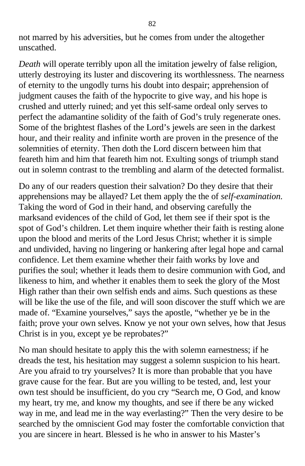not marred by his adversities, but he comes from under the altogether unscathed.

*Death* will operate terribly upon all the imitation jewelry of false religion, utterly destroying its luster and discovering its worthlessness. The nearness of eternity to the ungodly turns his doubt into despair; apprehension of judgment causes the faith of the hypocrite to give way, and his hope is crushed and utterly ruined; and yet this self-same ordeal only serves to perfect the adamantine solidity of the faith of God's truly regenerate ones. Some of the brightest flashes of the Lord's jewels are seen in the darkest hour, and their reality and infinite worth are proven in the presence of the solemnities of eternity. Then doth the Lord discern between him that feareth him and him that feareth him not. Exulting songs of triumph stand out in solemn contrast to the trembling and alarm of the detected formalist.

Do any of our readers question their salvation? Do they desire that their apprehensions may be allayed? Let them apply the the of *self-examination.* Taking the word of God in their hand, and observing carefully the marksand evidences of the child of God, let them see if their spot is the spot of God's children. Let them inquire whether their faith is resting alone upon the blood and merits of the Lord Jesus Christ; whether it is simple and undivided, having no lingering or hankering after legal hope and carnal confidence. Let them examine whether their faith works by love and purifies the soul; whether it leads them to desire communion with God, and likeness to him, and whether it enables them to seek the glory of the Most High rather than their own selfish ends and aims. Such questions as these will be like the use of the file, and will soon discover the stuff which we are made of. "Examine yourselves," says the apostle, "whether ye be in the faith; prove your own selves. Know ye not your own selves, how that Jesus Christ is in you, except ye be reprobates?"

No man should hesitate to apply this the with solemn earnestness; if he dreads the test, his hesitation may suggest a solemn suspicion to his heart. Are you afraid to try yourselves? It is more than probable that you have grave cause for the fear. But are you willing to be tested, and, lest your own test should be insufficient, do you cry "Search me, O God, and know my heart, try me, and know my thoughts, and see if there be any wicked way in me, and lead me in the way everlasting?" Then the very desire to be searched by the omniscient God may foster the comfortable conviction that you are sincere in heart. Blessed is he who in answer to his Master's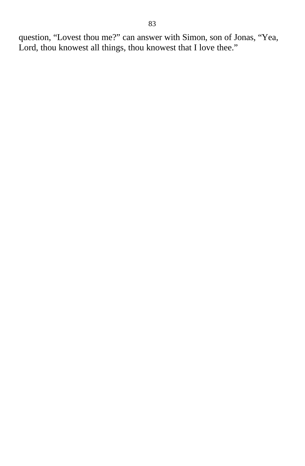question, "Lovest thou me?" can answer with Simon, son of Jonas, "Yea, Lord, thou knowest all things, thou knowest that I love thee."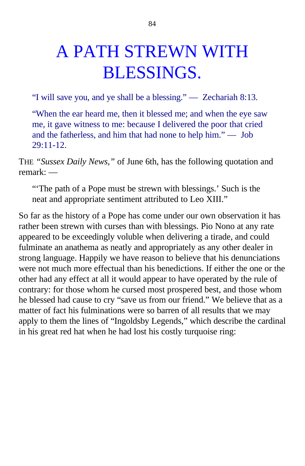# A PATH STREWN WITH BLESSINGS.

"I will save you, and ye shall be a blessing." — Zechariah 8:13.

"When the ear heard me, then it blessed me; and when the eye saw me, it gave witness to me: because I delivered the poor that cried and the fatherless, and him that had none to help him." — Job  $29:11-12.$ 

THE *"Sussex Daily News,"* of June 6th, has the following quotation and remark: —

"The path of a Pope must be strewn with blessings.' Such is the neat and appropriate sentiment attributed to Leo XIII."

So far as the history of a Pope has come under our own observation it has rather been strewn with curses than with blessings. Pio Nono at any rate appeared to be exceedingly voluble when delivering a tirade, and could fulminate an anathema as neatly and appropriately as any other dealer in strong language. Happily we have reason to believe that his denunciations were not much more effectual than his benedictions. If either the one or the other had any effect at all it would appear to have operated by the rule of contrary: for those whom he cursed most prospered best, and those whom he blessed had cause to cry "save us from our friend." We believe that as a matter of fact his fulminations were so barren of all results that we may apply to them the lines of "Ingoldsby Legends," which describe the cardinal in his great red hat when he had lost his costly turquoise ring: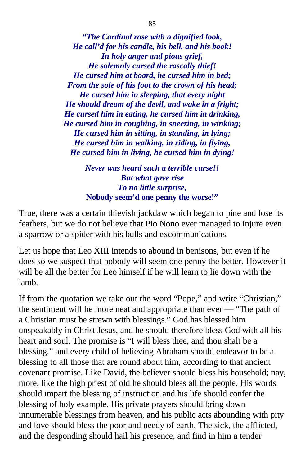*"The Cardinal rose with a dignified look, He call'd for his candle, his bell, and his book! In holy anger and pious grief, He solemnly cursed the rascally thief! He cursed him at board, he cursed him in bed; From the sole of his foot to the crown of his head; He cursed him in sleeping, that every night He should dream of the devil, and wake in a fright; He cursed him in eating, he cursed him in drinking, He cursed him in coughing, in sneezing, in winking; He cursed him in sitting, in standing, in lying; He cursed him in walking, in riding, in flying, He cursed him in living, he cursed him in dying!*

> *Never was heard such a terrible curse!! But what gave rise To no little surprise,* **Nobody seem'd one penny the worse!"**

True, there was a certain thievish jackdaw which began to pine and lose its feathers, but we do not believe that Pio Nono ever managed to injure even a sparrow or a spider with his bulls and excommunications.

Let us hope that Leo XIII intends to abound in benisons, but even if he does so we suspect that nobody will seem one penny the better. However it will be all the better for Leo himself if he will learn to lie down with the lamb.

If from the quotation we take out the word "Pope," and write "Christian," the sentiment will be more neat and appropriate than ever — "The path of a Christian must be strewn with blessings." God has blessed him unspeakably in Christ Jesus, and he should therefore bless God with all his heart and soul. The promise is "I will bless thee, and thou shalt be a blessing," and every child of believing Abraham should endeavor to be a blessing to all those that are round about him, according to that ancient covenant promise. Like David, the believer should bless his household; nay, more, like the high priest of old he should bless all the people. His words should impart the blessing of instruction and his life should confer the blessing of holy example. His private prayers should bring down innumerable blessings from heaven, and his public acts abounding with pity and love should bless the poor and needy of earth. The sick, the afflicted, and the desponding should hail his presence, and find in him a tender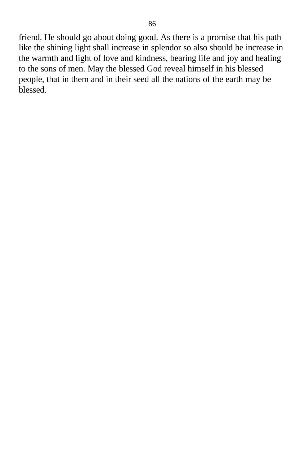friend. He should go about doing good. As there is a promise that his path like the shining light shall increase in splendor so also should he increase in the warmth and light of love and kindness, bearing life and joy and healing to the sons of men. May the blessed God reveal himself in his blessed people, that in them and in their seed all the nations of the earth may be blessed.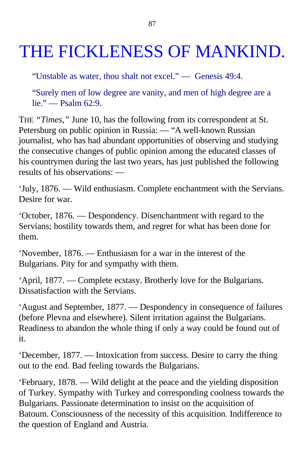# THE FICKLENESS OF MANKIND.

"Unstable as water, thou shalt not excel." — Genesis 49:4.

"Surely men of low degree are vanity, and men of high degree are a lie." — Psalm 62:9.

THE *"Times,"* June 10, has the following from its correspondent at St. Petersburg on public opinion in Russia: — "A well-known Russian journalist, who has had abundant opportunities of observing and studying the consecutive changes of public opinion among the educated classes of his countrymen during the last two years, has just published the following results of his observations: —

'July, 1876. — Wild enthusiasm. Complete enchantment with the Servians. Desire for war.

'October, 1876. — Despondency. Disenchantment with regard to the Servians; hostility towards them, and regret for what has been done for them.

'November, 1876. — Enthusiasm for a war in the interest of the Bulgarians. Pity for and sympathy with them.

'April, 1877. — Complete ecstasy. Brotherly love for the Bulgarians. Dissatisfaction with the Servians.

'August and September, 1877. — Despondency in consequence of failures (before Plevna and elsewhere). Silent irritation against the Bulgarians. Readiness to abandon the whole thing if only a way could be found out of it.

'December, 1877. — Intoxication from success. Desire to carry the thing out to the end. Bad feeling towards the Bulgarians.

'February, 1878. — Wild delight at the peace and the yielding disposition of Turkey. Sympathy with Turkey and corresponding coolness towards the Bulgarians. Passionate determination to insist on the acquisition of Batoum. Consciousness of the necessity of this acquisition. Indifference to the question of England and Austria.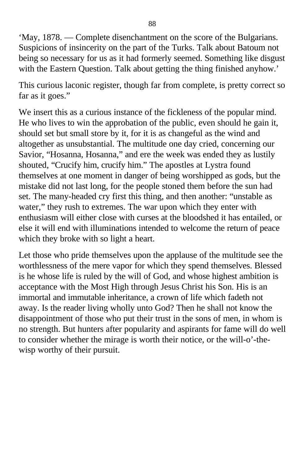'May, 1878. — Complete disenchantment on the score of the Bulgarians. Suspicions of insincerity on the part of the Turks. Talk about Batoum not being so necessary for us as it had formerly seemed. Something like disgust with the Eastern Question. Talk about getting the thing finished anyhow.'

This curious laconic register, though far from complete, is pretty correct so far as it goes."

We insert this as a curious instance of the fickleness of the popular mind. He who lives to win the approbation of the public, even should he gain it, should set but small store by it, for it is as changeful as the wind and altogether as unsubstantial. The multitude one day cried, concerning our Savior, "Hosanna, Hosanna," and ere the week was ended they as lustily shouted, "Crucify him, crucify him." The apostles at Lystra found themselves at one moment in danger of being worshipped as gods, but the mistake did not last long, for the people stoned them before the sun had set. The many-headed cry first this thing, and then another: "unstable as water," they rush to extremes. The war upon which they enter with enthusiasm will either close with curses at the bloodshed it has entailed, or else it will end with illuminations intended to welcome the return of peace which they broke with so light a heart.

Let those who pride themselves upon the applause of the multitude see the worthlessness of the mere vapor for which they spend themselves. Blessed is he whose life is ruled by the will of God, and whose highest ambition is acceptance with the Most High through Jesus Christ his Son. His is an immortal and immutable inheritance, a crown of life which fadeth not away. Is the reader living wholly unto God? Then he shall not know the disappointment of those who put their trust in the sons of men, in whom is no strength. But hunters after popularity and aspirants for fame will do well to consider whether the mirage is worth their notice, or the will-o'-thewisp worthy of their pursuit.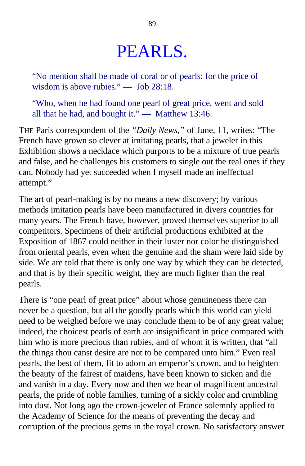## PEARLS.

"No mention shall be made of coral or of pearls: for the price of wisdom is above rubies." — Job 28:18.

"Who, when he had found one pearl of great price, went and sold all that he had, and bought it." — Matthew 13:46.

THE Paris correspondent of the *"Daily News,"* of June, 11, writes: "The French have grown so clever at imitating pearls, that a jeweler in this Exhibition shows a necklace which purports to be a mixture of true pearls and false, and he challenges his customers to single out the real ones if they can. Nobody had yet succeeded when I myself made an ineffectual attempt."

The art of pearl-making is by no means a new discovery; by various methods imitation pearls have been manufactured in divers countries for many years. The French have, however, proved themselves superior to all competitors. Specimens of their artificial productions exhibited at the Exposition of 1867 could neither in their luster nor color be distinguished from oriental pearls, even when the genuine and the sham were laid side by side. We are told that there is only one way by which they can be detected, and that is by their specific weight, they are much lighter than the real pearls.

There is "one pearl of great price" about whose genuineness there can never be a question, but all the goodly pearls which this world can yield need to be weighed before we may conclude them to be of any great value; indeed, the choicest pearls of earth are insignificant in price compared with him who is more precious than rubies, and of whom it is written, that "all the things thou canst desire are not to be compared unto him." Even real pearls, the best of them, fit to adorn an emperor's crown, and to heighten the beauty of the fairest of maidens, have been known to sicken and die and vanish in a day. Every now and then we hear of magnificent ancestral pearls, the pride of noble families, turning of a sickly color and crumbling into dust. Not long ago the crown-jeweler of France solemnly applied to the Academy of Science for the means of preventing the decay and corruption of the precious gems in the royal crown. No satisfactory answer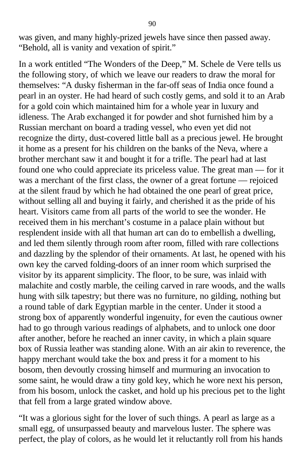was given, and many highly-prized jewels have since then passed away. "Behold, all is vanity and vexation of spirit."

In a work entitled "The Wonders of the Deep," M. Schele de Vere tells us the following story, of which we leave our readers to draw the moral for themselves: "A dusky fisherman in the far-off seas of India once found a pearl in an oyster. He had heard of such costly gems, and sold it to an Arab for a gold coin which maintained him for a whole year in luxury and idleness. The Arab exchanged it for powder and shot furnished him by a Russian merchant on board a trading vessel, who even yet did not recognize the dirty, dust-covered little ball as a precious jewel. He brought it home as a present for his children on the banks of the Neva, where a brother merchant saw it and bought it for a trifle. The pearl had at last found one who could appreciate its priceless value. The great man — for it was a merchant of the first class, the owner of a great fortune — rejoiced at the silent fraud by which he had obtained the one pearl of great price, without selling all and buying it fairly, and cherished it as the pride of his heart. Visitors came from all parts of the world to see the wonder. He received them in his merchant's costume in a palace plain without but resplendent inside with all that human art can do to embellish a dwelling, and led them silently through room after room, filled with rare collections and dazzling by the splendor of their ornaments. At last, he opened with his own key the carved folding-doors of an inner room which surprised the visitor by its apparent simplicity. The floor, to be sure, was inlaid with malachite and costly marble, the ceiling carved in rare woods, and the walls hung with silk tapestry; but there was no furniture, no gilding, nothing but a round table of dark Egyptian marble in the center. Under it stood a strong box of apparently wonderful ingenuity, for even the cautious owner had to go through various readings of alphabets, and to unlock one door after another, before he reached an inner cavity, in which a plain square box of Russia leather was standing alone. With an air akin to reverence, the happy merchant would take the box and press it for a moment to his bosom, then devoutly crossing himself and murmuring an invocation to some saint, he would draw a tiny gold key, which he wore next his person, from his bosom, unlock the casket, and hold up his precious pet to the light that fell from a large grated window above.

"It was a glorious sight for the lover of such things. A pearl as large as a small egg, of unsurpassed beauty and marvelous luster. The sphere was perfect, the play of colors, as he would let it reluctantly roll from his hands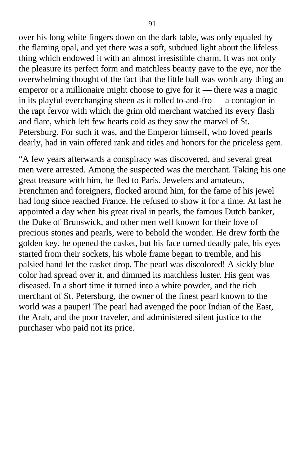over his long white fingers down on the dark table, was only equaled by the flaming opal, and yet there was a soft, subdued light about the lifeless thing which endowed it with an almost irresistible charm. It was not only the pleasure its perfect form and matchless beauty gave to the eye, nor the overwhelming thought of the fact that the little ball was worth any thing an emperor or a millionaire might choose to give for it — there was a magic in its playful everchanging sheen as it rolled to-and-fro — a contagion in the rapt fervor with which the grim old merchant watched its every flash and flare, which left few hearts cold as they saw the marvel of St. Petersburg. For such it was, and the Emperor himself, who loved pearls dearly, had in vain offered rank and titles and honors for the priceless gem.

"A few years afterwards a conspiracy was discovered, and several great men were arrested. Among the suspected was the merchant. Taking his one great treasure with him, he fled to Paris. Jewelers and amateurs, Frenchmen and foreigners, flocked around him, for the fame of his jewel had long since reached France. He refused to show it for a time. At last he appointed a day when his great rival in pearls, the famous Dutch banker, the Duke of Brunswick, and other men well known for their love of precious stones and pearls, were to behold the wonder. He drew forth the golden key, he opened the casket, but his face turned deadly pale, his eyes started from their sockets, his whole frame began to tremble, and his palsied hand let the casket drop. The pearl was discolored! A sickly blue color had spread over it, and dimmed its matchless luster. His gem was diseased. In a short time it turned into a white powder, and the rich merchant of St. Petersburg, the owner of the finest pearl known to the world was a pauper! The pearl had avenged the poor Indian of the East, the Arab, and the poor traveler, and administered silent justice to the purchaser who paid not its price.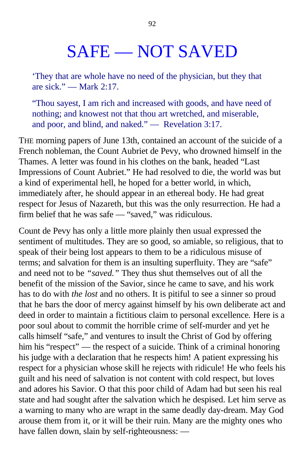## SAFE — NOT SAVED

'They that are whole have no need of the physician, but they that are sick." — Mark 2:17.

"Thou sayest, I am rich and increased with goods, and have need of nothing; and knowest not that thou art wretched, and miserable, and poor, and blind, and naked." — Revelation 3:17.

THE morning papers of June 13th, contained an account of the suicide of a French nobleman, the Count Aubriet de Pevy, who drowned himself in the Thames. A letter was found in his clothes on the bank, headed "Last Impressions of Count Aubriet." He had resolved to die, the world was but a kind of experimental hell, he hoped for a better world, in which, immediately after, he should appear in an ethereal body. He had great respect for Jesus of Nazareth, but this was the only resurrection. He had a firm belief that he was safe — "saved," was ridiculous.

Count de Pevy has only a little more plainly then usual expressed the sentiment of multitudes. They are so good, so amiable, so religious, that to speak of their being lost appears to them to be a ridiculous misuse of terms; and salvation for them is an insulting superfluity. They are "safe" and need not to be *"saved."* They thus shut themselves out of all the benefit of the mission of the Savior, since he came to save, and his work has to do with *the lost* and no others. It is pitiful to see a sinner so proud that he bars the door of mercy against himself by his own deliberate act and deed in order to maintain a fictitious claim to personal excellence*.* Here is a poor soul about to commit the horrible crime of self-murder and yet he calls himself "safe," and ventures to insult the Christ of God by offering him his "respect" — the respect of a suicide. Think of a criminal honoring his judge with a declaration that he respects him! A patient expressing his respect for a physician whose skill he rejects with ridicule! He who feels his guilt and his need of salvation is not content with cold respect, but loves and adores his Savior. O that this poor child of Adam had but seen his real state and had sought after the salvation which he despised. Let him serve as a warning to many who are wrapt in the same deadly day-dream. May God arouse them from it, or it will be their ruin. Many are the mighty ones who have fallen down, slain by self-righteousness: —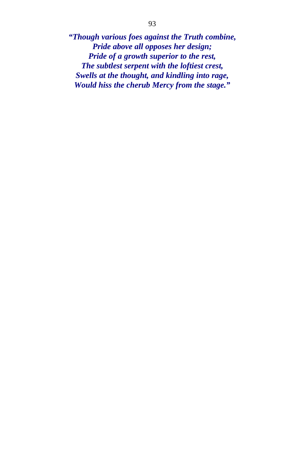*"Though various foes against the Truth combine, Pride above all opposes her design; Pride of a growth superior to the rest, The subtlest serpent with the loftiest crest, Swells at the thought, and kindling into rage, Would hiss the cherub Mercy from the stage."*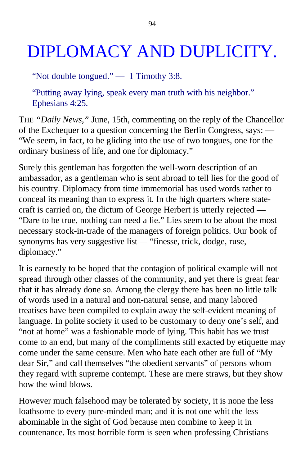# DIPLOMACY AND DUPLICITY.

"Not double tongued." — 1 Timothy 3:8.

"Putting away lying, speak every man truth with his neighbor." Ephesians 4:25.

THE *"Daily News,"* June, 15th, commenting on the reply of the Chancellor of the Exchequer to a question concerning the Berlin Congress, says: — "We seem, in fact, to be gliding into the use of two tongues, one for the ordinary business of life, and one for diplomacy."

Surely this gentleman has forgotten the well-worn description of an ambassador, as a gentleman who is sent abroad to tell lies for the good of his country. Diplomacy from time immemorial has used words rather to conceal its meaning than to express it. In the high quarters where statecraft is carried on, the dictum of George Herbert is utterly rejected — "Dare to be true, nothing can need a lie." Lies seem to be about the most necessary stock-in-trade of the managers of foreign politics. Our book of synonyms has very suggestive list *—* "finesse, trick, dodge, ruse, diplomacy."

It is earnestly to be hoped that the contagion of political example will not spread through other classes of the community, and yet there is great fear that it has already done so. Among the clergy there has been no little talk of words used in a natural and non-natural sense, and many labored treatises have been compiled to explain away the self-evident meaning of language. In polite society it used to be customary to deny one's self, and "not at home" was a fashionable mode of lying. This habit has we trust come to an end, but many of the compliments still exacted by etiquette may come under the same censure. Men who hate each other are full of "My dear Sir," and call themselves "the obedient servants" of persons whom they regard with supreme contempt. These are mere straws, but they show how the wind blows.

However much falsehood may be tolerated by society, it is none the less loathsome to every pure-minded man; and it is not one whit the less abominable in the sight of God because men combine to keep it in countenance. Its most horrible form is seen when professing Christians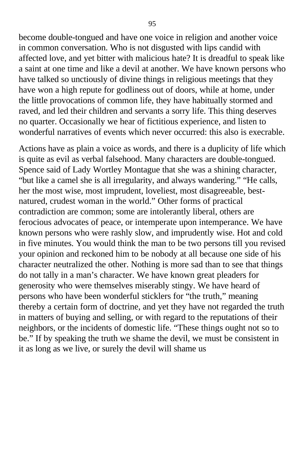become double-tongued and have one voice in religion and another voice in common conversation. Who is not disgusted with lips candid with affected love, and yet bitter with malicious hate? It is dreadful to speak like a saint at one time and like a devil at another. We have known persons who have talked so unctiously of divine things in religious meetings that they have won a high repute for godliness out of doors, while at home, under the little provocations of common life, they have habitually stormed and raved, and led their children and servants a sorry life. This thing deserves no quarter. Occasionally we hear of fictitious experience, and listen to wonderful narratives of events which never occurred: this also is execrable.

Actions have as plain a voice as words, and there is a duplicity of life which is quite as evil as verbal falsehood. Many characters are double-tongued. Spence said of Lady Wortley Montague that she was a shining character, "but like a camel she is all irregularity, and always wandering." "He calls, her the most wise, most imprudent, loveliest, most disagreeable, bestnatured, crudest woman in the world." Other forms of practical contradiction are common; some are intolerantly liberal, others are ferocious advocates of peace, or intemperate upon intemperance. We have known persons who were rashly slow, and imprudently wise. Hot and cold in five minutes. You would think the man to be two persons till you revised your opinion and reckoned him to be nobody at all because one side of his character neutralized the other. Nothing is more sad than to see that things do not tally in a man's character. We have known great pleaders for generosity who were themselves miserably stingy. We have heard of persons who have been wonderful sticklers for "the truth," meaning thereby a certain form of doctrine, and yet they have not regarded the truth in matters of buying and selling, or with regard to the reputations of their neighbors, or the incidents of domestic life. "These things ought not so to be." If by speaking the truth we shame the devil, we must be consistent in it as long as we live, or surely the devil will shame us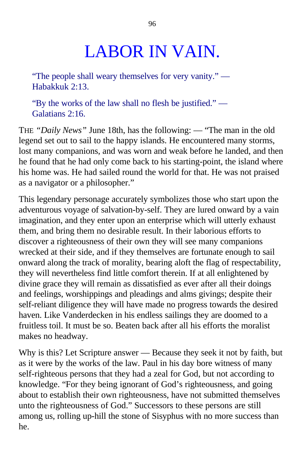# LABOR IN VAIN.

"The people shall weary themselves for very vanity." — Habakkuk 2:13.

"By the works of the law shall no flesh be justified." — Galatians 2:16.

THE *"Daily News"* June 18th, has the following: — "The man in the old legend set out to sail to the happy islands. He encountered many storms, lost many companions, and was worn and weak before he landed, and then he found that he had only come back to his starting-point, the island where his home was. He had sailed round the world for that. He was not praised as a navigator or a philosopher."

This legendary personage accurately symbolizes those who start upon the adventurous voyage of salvation-by-self. They are lured onward by a vain imagination, and they enter upon an enterprise which will utterly exhaust them, and bring them no desirable result. In their laborious efforts to discover a righteousness of their own they will see many companions wrecked at their side, and if they themselves are fortunate enough to sail onward along the track of morality, bearing aloft the flag of respectability, they will nevertheless find little comfort therein. If at all enlightened by divine grace they will remain as dissatisfied as ever after all their doings and feelings, worshippings and pleadings and alms givings; despite their self-reliant diligence they will have made no progress towards the desired haven. Like Vanderdecken in his endless sailings they are doomed to a fruitless toil. It must be so. Beaten back after all his efforts the moralist makes no headway.

Why is this? Let Scripture answer — Because they seek it not by faith, but as it were by the works of the law. Paul in his day bore witness of many self-righteous persons that they had a zeal for God, but not according to knowledge. "For they being ignorant of God's righteousness, and going about to establish their own righteousness, have not submitted themselves unto the righteousness of God." Successors to these persons are still among us, rolling up-hill the stone of Sisyphus with no more success than he.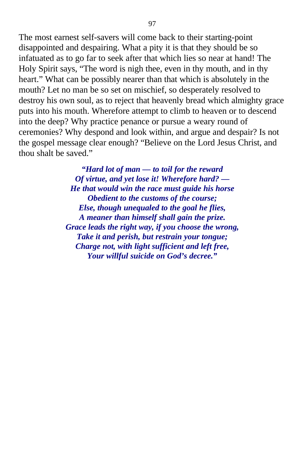The most earnest self-savers will come back to their starting-point disappointed and despairing. What a pity it is that they should be so infatuated as to go far to seek after that which lies so near at hand! The Holy Spirit says, "The word is nigh thee, even in thy mouth, and in thy heart." What can be possibly nearer than that which is absolutely in the mouth? Let no man be so set on mischief, so desperately resolved to destroy his own soul, as to reject that heavenly bread which almighty grace puts into his mouth. Wherefore attempt to climb to heaven or to descend into the deep? Why practice penance or pursue a weary round of ceremonies? Why despond and look within, and argue and despair? Is not the gospel message clear enough? "Believe on the Lord Jesus Christ, and thou shalt be saved."

> *"Hard lot of man — to toil for the reward Of virtue, and yet lose it! Wherefore hard? — He that would win the race must guide his horse Obedient to the customs of the course; Else, though unequaled to the goal he flies, A meaner than himself shall gain the prize. Grace leads the right way, if you choose the wrong, Take it and perish, but restrain your tongue; Charge not, with light sufficient and left free, Your willful suicide on God's decree."*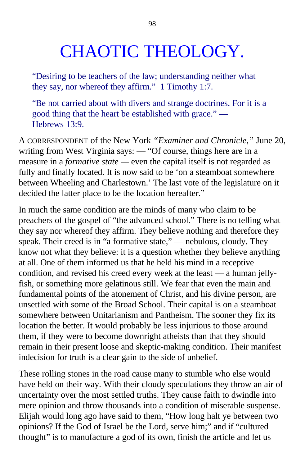## CHAOTIC THEOLOGY.

"Desiring to be teachers of the law; understanding neither what they say, nor whereof they affirm." 1 Timothy 1:7.

"Be not carried about with divers and strange doctrines. For it is a good thing that the heart be established with grace." — Hebrews 13:9.

A CORRESPONDENT of the New York *"Examiner and Chronicle,"* June 20, writing from West Virginia says: — "Of course, things here are in a measure in a *formative state —* even the capital itself is not regarded as fully and finally located. It is now said to be 'on a steamboat somewhere between Wheeling and Charlestown.' The last vote of the legislature on it decided the latter place to be the location hereafter."

In much the same condition are the minds of many who claim to be preachers of the gospel of "the advanced school." There is no telling what they say nor whereof they affirm. They believe nothing and therefore they speak. Their creed is in "a formative state," — nebulous, cloudy. They know not what they believe: it is a question whether they believe anything at all. One of them informed us that he held his mind in a receptive condition, and revised his creed every week at the least — a human jellyfish, or something more gelatinous still. We fear that even the main and fundamental points of the atonement of Christ, and his divine person, are unsettled with some of the Broad School. Their capital is on a steamboat somewhere between Unitarianism and Pantheism. The sooner they fix its location the better. It would probably be less injurious to those around them, if they were to become downright atheists than that they should remain in their present loose and skeptic-making condition. Their manifest indecision for truth is a clear gain to the side of unbelief.

These rolling stones in the road cause many to stumble who else would have held on their way. With their cloudy speculations they throw an air of uncertainty over the most settled truths. They cause faith to dwindle into mere opinion and throw thousands into a condition of miserable suspense. Elijah would long ago have said to them, "How long halt ye between two opinions? If the God of Israel be the Lord, serve him;" and if "cultured thought" is to manufacture a god of its own, finish the article and let us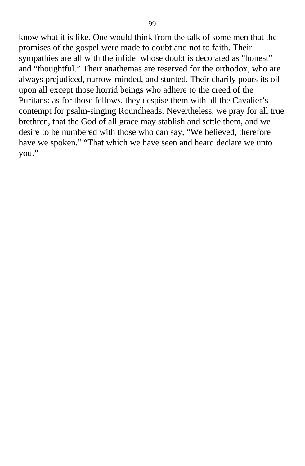know what it is like. One would think from the talk of some men that the promises of the gospel were made to doubt and not to faith. Their sympathies are all with the infidel whose doubt is decorated as "honest" and "thoughtful." Their anathemas are reserved for the orthodox, who are always prejudiced, narrow-minded, and stunted. Their charily pours its oil upon all except those horrid beings who adhere to the creed of the Puritans: as for those fellows, they despise them with all the Cavalier's contempt for psalm-singing Roundheads. Nevertheless, we pray for all true brethren, that the God of all grace may stablish and settle them, and we desire to be numbered with those who can say, "We believed, therefore have we spoken." "That which we have seen and heard declare we unto you."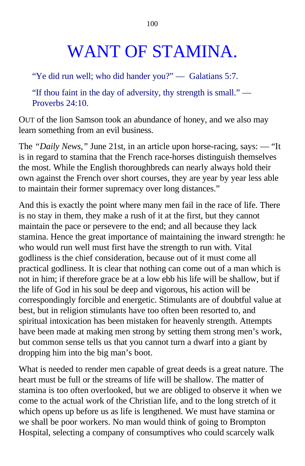# WANT OF STAMINA.

"Ye did run well; who did hander you?" — Galatians 5:7.

"If thou faint in the day of adversity, thy strength is small." — Proverbs 24:10.

OUT of the lion Samson took an abundance of honey, and we also may learn something from an evil business.

The *"Daily News,"* June 21st, in an article upon horse-racing, says: — "It is in regard to stamina that the French race-horses distinguish themselves the most. While the English thoroughbreds can nearly always hold their own against the French over short courses, they are year by year less able to maintain their former supremacy over long distances."

And this is exactly the point where many men fail in the race of life. There is no stay in them, they make a rush of it at the first, but they cannot maintain the pace or persevere to the end; and all because they lack stamina. Hence the great importance of maintaining the inward strength: he who would run well must first have the strength to run with. Vital godliness is the chief consideration, because out of it must come all practical godliness. It is clear that nothing can come out of a man which is not in him; if therefore grace be at a low ebb his life will be shallow, but if the life of God in his soul be deep and vigorous, his action will be correspondingly forcible and energetic. Stimulants are of doubtful value at best, but in religion stimulants have too often been resorted to, and spiritual intoxication has been mistaken for heavenly strength. Attempts have been made at making men strong by setting them strong men's work, but common sense tells us that you cannot turn a dwarf into a giant by dropping him into the big man's boot.

What is needed to render men capable of great deeds is a great nature. The heart must be full or the streams of life will be shallow. The matter of stamina is too often overlooked, but we are obliged to observe it when we come to the actual work of the Christian life, and to the long stretch of it which opens up before us as life is lengthened. We must have stamina or we shall be poor workers. No man would think of going to Brompton Hospital, selecting a company of consumptives who could scarcely walk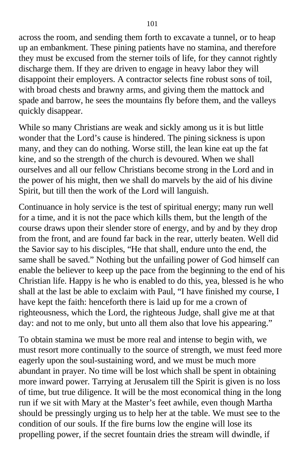across the room, and sending them forth to excavate a tunnel, or to heap up an embankment. These pining patients have no stamina, and therefore they must be excused from the sterner toils of life, for they cannot rightly discharge them. If they are driven to engage in heavy labor they will disappoint their employers. A contractor selects fine robust sons of toil, with broad chests and brawny arms, and giving them the mattock and spade and barrow, he sees the mountains fly before them, and the valleys quickly disappear.

While so many Christians are weak and sickly among us it is but little wonder that the Lord's cause is hindered. The pining sickness is upon many, and they can do nothing. Worse still, the lean kine eat up the fat kine, and so the strength of the church is devoured. When we shall ourselves and all our fellow Christians become strong in the Lord and in the power of his might, then we shall do marvels by the aid of his divine Spirit, but till then the work of the Lord will languish.

Continuance in holy service is the test of spiritual energy; many run well for a time, and it is not the pace which kills them, but the length of the course draws upon their slender store of energy, and by and by they drop from the front, and are found far back in the rear, utterly beaten. Well did the Savior say to his disciples, "He that shall, endure unto the end, the same shall be saved." Nothing but the unfailing power of God himself can enable the believer to keep up the pace from the beginning to the end of his Christian life. Happy is he who is enabled to do this, yea, blessed is he who shall at the last be able to exclaim with Paul, "I have finished my course, I have kept the faith: henceforth there is laid up for me a crown of righteousness, which the Lord, the righteous Judge, shall give me at that day: and not to me only, but unto all them also that love his appearing."

To obtain stamina we must be more real and intense to begin with, we must resort more continually to the source of strength, we must feed more eagerly upon the soul-sustaining word, and we must be much more abundant in prayer. No time will be lost which shall be spent in obtaining more inward power. Tarrying at Jerusalem till the Spirit is given is no loss of time, but true diligence. It will be the most economical thing in the long run if we sit with Mary at the Master's feet awhile, even though Martha should be pressingly urging us to help her at the table. We must see to the condition of our souls. If the fire burns low the engine will lose its propelling power, if the secret fountain dries the stream will dwindle, if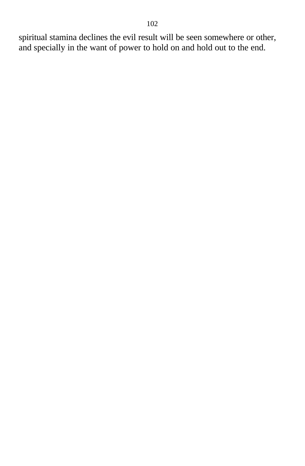spiritual stamina declines the evil result will be seen somewhere or other, and specially in the want of power to hold on and hold out to the end.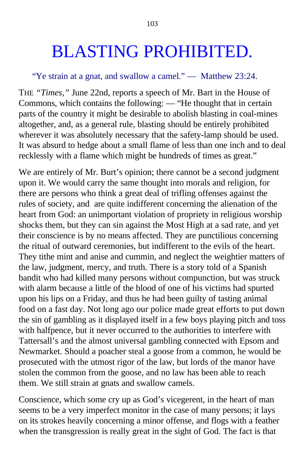# BLASTING PROHIBITED.

#### "Ye strain at a gnat, and swallow a camel." — Matthew 23:24.

THE *"Times,"* June 22nd, reports a speech of Mr. Bart in the House of Commons, which contains the following: — "He thought that in certain parts of the country it might be desirable to abolish blasting in coal-mines altogether, and, as a general rule, blasting should be entirely prohibited wherever it was absolutely necessary that the safety-lamp should be used. It was absurd to hedge about a small flame of less than one inch and to deal recklessly with a flame which might be hundreds of times as great."

We are entirely of Mr. Burt's opinion; there cannot be a second judgment upon it. We would carry the same thought into morals and religion, for there are persons who think a great deal of trifling offenses against the rules of society, and are quite indifferent concerning the alienation of the heart from God: an unimportant violation of propriety in religious worship shocks them, but they can sin against the Most High at a sad rate, and yet their conscience is by no means affected. They are punctilious concerning the ritual of outward ceremonies, but indifferent to the evils of the heart. They tithe mint and anise and cummin, and neglect the weightier matters of the law, judgment, mercy, and truth. There is a story told of a Spanish bandit who had killed many persons without compunction, but was struck with alarm because a little of the blood of one of his victims had spurted upon his lips on a Friday, and thus he had been guilty of tasting animal food on a fast day. Not long ago our police made great efforts to put down the sin of gambling as it displayed itself in a few boys playing pitch and toss with halfpence, but it never occurred to the authorities to interfere with Tattersall's and the almost universal gambling connected with Epsom and Newmarket. Should a poacher steal a goose from a common, he would be prosecuted with the utmost rigor of the law, but lords of the manor have stolen the common from the goose, and no law has been able to reach them. We still strain at gnats and swallow camels.

Conscience, which some cry up as God's vicegerent, in the heart of man seems to be a very imperfect monitor in the case of many persons; it lays on its strokes heavily concerning a minor offense, and flogs with a feather when the transgression is really great in the sight of God. The fact is that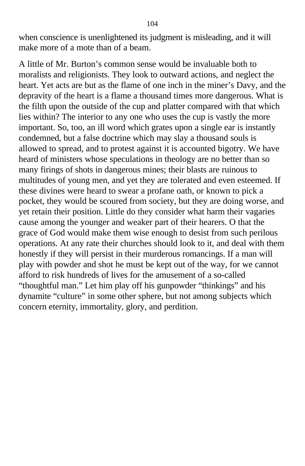when conscience is unenlightened its judgment is misleading, and it will make more of a mote than of a beam.

A little of Mr. Burton's common sense would be invaluable both to moralists and religionists. They look to outward actions, and neglect the heart. Yet acts are but as the flame of one inch in the miner's Davy, and the depravity of the heart is a flame a thousand times more dangerous. What is the filth upon the outside of the cup and platter compared with that which lies within? The interior to any one who uses the cup is vastly the more important. So, too, an ill word which grates upon a single ear is instantly condemned, but a false doctrine which may slay a thousand souls is allowed to spread, and to protest against it is accounted bigotry. We have heard of ministers whose speculations in theology are no better than so many firings of shots in dangerous mines; their blasts are ruinous to multitudes of young men, and yet they are tolerated and even esteemed. If these divines were heard to swear a profane oath, or known to pick a pocket, they would be scoured from society, but they are doing worse, and yet retain their position. Little do they consider what harm their vagaries cause among the younger and weaker part of their hearers. O that the grace of God would make them wise enough to desist from such perilous operations. At any rate their churches should look to it, and deal with them honestly if they will persist in their murderous romancings. If a man will play with powder and shot he must be kept out of the way, for we cannot afford to risk hundreds of lives for the amusement of a so-called "thoughtful man." Let him play off his gunpowder "thinkings" and his dynamite "culture" in some other sphere, but not among subjects which concern eternity, immortality, glory, and perdition.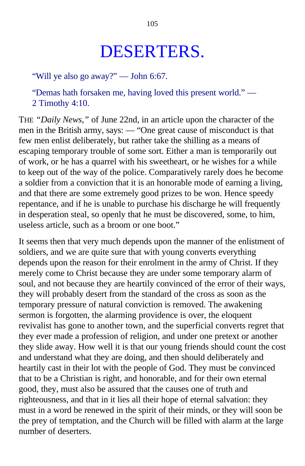## DESERTERS.

"Will ye also go away?" — John 6:67.

"Demas hath forsaken me, having loved this present world." — 2 Timothy 4:10.

THE *"Daily News,"* of June 22nd, in an article upon the character of the men in the British army, says: — "One great cause of misconduct is that few men enlist deliberately, but rather take the shilling as a means of escaping temporary trouble of some sort. Either a man is temporarily out of work, or he has a quarrel with his sweetheart, or he wishes for a while to keep out of the way of the police. Comparatively rarely does he become a soldier from a conviction that it is an honorable mode of earning a living, and that there are some extremely good prizes to be won. Hence speedy repentance, and if he is unable to purchase his discharge he will frequently in desperation steal, so openly that he must be discovered, some, to him, useless article, such as a broom or one boot."

It seems then that very much depends upon the manner of the enlistment of soldiers, and we are quite sure that with young converts everything depends upon the reason for their enrolment in the army of Christ. If they merely come to Christ because they are under some temporary alarm of soul, and not because they are heartily convinced of the error of their ways, they will probably desert from the standard of the cross as soon as the temporary pressure of natural conviction is removed. The awakening sermon is forgotten, the alarming providence is over, the eloquent revivalist has gone to another town, and the superficial converts regret that they ever made a profession of religion, and under one pretext or another they slide away. How well it is that our young friends should count the cost and understand what they are doing, and then should deliberately and heartily cast in their lot with the people of God. They must be convinced that to be a Christian is right, and honorable, and for their own eternal good, they, must also be assured that the causes one of truth and righteousness, and that in it lies all their hope of eternal salvation: they must in a word be renewed in the spirit of their minds, or they will soon be the prey of temptation, and the Church will be filled with alarm at the large number of deserters.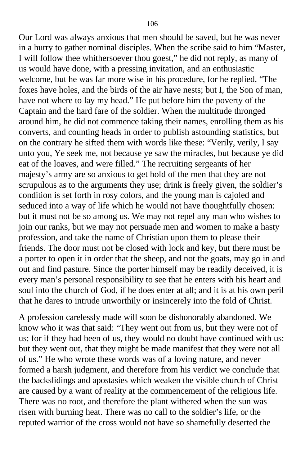Our Lord was always anxious that men should be saved, but he was never in a hurry to gather nominal disciples. When the scribe said to him "Master, I will follow thee whithersoever thou goest," he did not reply, as many of us would have done, with a pressing invitation, and an enthusiastic welcome, but he was far more wise in his procedure, for he replied, "The foxes have holes, and the birds of the air have nests; but I, the Son of man, have not where to lay my head." He put before him the poverty of the Captain and the hard fare of the soldier. When the multitude thronged around him, he did not commence taking their names, enrolling them as his converts, and counting heads in order to publish astounding statistics, but on the contrary he sifted them with words like these: "Verily, verily, I say unto you, Ye seek me, not because ye saw the miracles, but because ye did eat of the loaves, and were filled." The recruiting sergeants of her majesty's army are so anxious to get hold of the men that they are not scrupulous as to the arguments they use; drink is freely given, the soldier's condition is set forth in rosy colors, and the young man is cajoled and seduced into a way of life which he would not have thoughtfully chosen: but it must not be so among us. We may not repel any man who wishes to join our ranks, but we may not persuade men and women to make a hasty profession, and take the name of Christian upon them to please their friends. The door must not be closed with lock and key, but there must be a porter to open it in order that the sheep, and not the goats, may go in and out and find pasture. Since the porter himself may be readily deceived, it is every man's personal responsibility to see that he enters with his heart and soul into the church of God, if he does enter at all; and it is at his own peril that he dares to intrude unworthily or insincerely into the fold of Christ.

A profession carelessly made will soon be dishonorably abandoned. We know who it was that said: "They went out from us, but they were not of us; for if they had been of us, they would no doubt have continued with us: but they went out, that they might be made manifest that they were not all of us." He who wrote these words was of a loving nature, and never formed a harsh judgment, and therefore from his verdict we conclude that the backslidings and apostasies which weaken the visible church of Christ are caused by a want of reality at the commencement of the religious life. There was no root, and therefore the plant withered when the sun was risen with burning heat. There was no call to the soldier's life, or the reputed warrior of the cross would not have so shamefully deserted the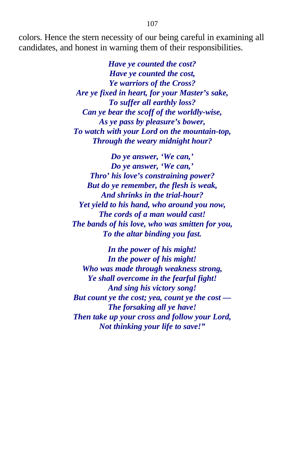colors. Hence the stern necessity of our being careful in examining all candidates, and honest in warning them of their responsibilities.

> *Have ye counted the cost? Have ye counted the cost, Ye warriors of the Cross? Are ye fixed in heart, for your Master's sake, To suffer all earthly loss? Can ye bear the scoff of the worldly-wise, As ye pass by pleasure's bower, To watch with your Lord on the mountain-top, Through the weary midnight hour?*

*Do ye answer, 'We can,' Do ye answer, 'We can,' Thro' his love's constraining power? But do ye remember, the flesh is weak, And shrinks in the trial-hour? Yet yield to his hand, who around you now, The cords of a man would cast! The bands of his love, who was smitten for you, To the altar binding you fast.*

*In the power of his might! In the power of his might! Who was made through weakness strong, Ye shall overcome in the fearful fight! And sing his victory song! But count ye the cost; yea, count ye the cost — The forsaking all ye have! Then take up your cross and follow your Lord, Not thinking your life to save!"*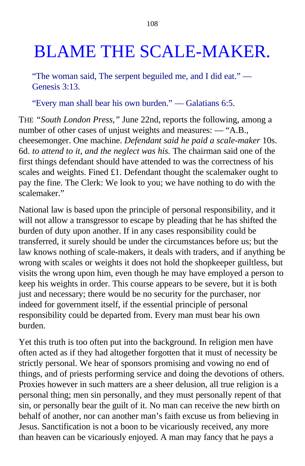# BLAME THE SCALE-MAKER.

"The woman said, The serpent beguiled me, and I did eat." — Genesis 3:13.

"Every man shall bear his own burden." — Galatians 6:5.

THE *"South London Press,"* June 22nd, reports the following, among a number of other cases of unjust weights and measures: — "A.B., cheesemonger. One machine. *Defendant said he paid a scale-maker* 10s. 6d. *to attend to it, and the neglect was his.* The chairman said one of the first things defendant should have attended to was the correctness of his scales and weights. Fined £1. Defendant thought the scalemaker ought to pay the fine. The Clerk: We look to you; we have nothing to do with the scalemaker."

National law is based upon the principle of personal responsibility, and it will not allow a transgressor to escape by pleading that he has shifted the burden of duty upon another. If in any cases responsibility could be transferred, it surely should be under the circumstances before us; but the law knows nothing of scale-makers, it deals with traders, and if anything be wrong with scales or weights it does not hold the shopkeeper guiltless, but visits the wrong upon him, even though he may have employed a person to keep his weights in order. This course appears to be severe, but it is both just and necessary; there would be no security for the purchaser, nor indeed for government itself, if the essential principle of personal responsibility could be departed from. Every man must bear his own burden.

Yet this truth is too often put into the background. In religion men have often acted as if they had altogether forgotten that it must of necessity be strictly personal. We hear of sponsors promising and vowing no end of things, and of priests performing service and doing the devotions of others. Proxies however in such matters are a sheer delusion, all true religion is a personal thing; men sin personally, and they must personally repent of that sin, or personally bear the guilt of it. No man can receive the new birth on behalf of another, nor can another man's faith excuse us from believing in Jesus. Sanctification is not a boon to be vicariously received, any more than heaven can be vicariously enjoyed. A man may fancy that he pays a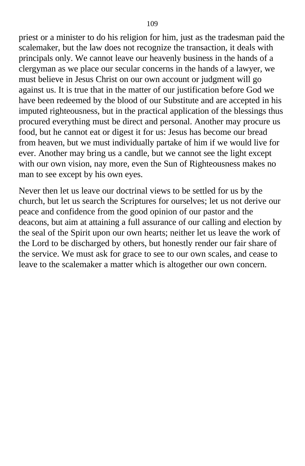priest or a minister to do his religion for him, just as the tradesman paid the scalemaker*,* but the law does not recognize the transaction, it deals with principals only. We cannot leave our heavenly business in the hands of a clergyman as we place our secular concerns in the hands of a lawyer, we must believe in Jesus Christ on our own account or judgment will go against us. It is true that in the matter of our justification before God we have been redeemed by the blood of our Substitute and are accepted in his imputed righteousness, but in the practical application of the blessings thus procured everything must be direct and personal. Another may procure us food, but he cannot eat or digest it for us: Jesus has become our bread from heaven, but we must individually partake of him if we would live for ever. Another may bring us a candle, but we cannot see the light except with our own vision, nay more, even the Sun of Righteousness makes no man to see except by his own eyes.

Never then let us leave our doctrinal views to be settled for us by the church, but let us search the Scriptures for ourselves; let us not derive our peace and confidence from the good opinion of our pastor and the deacons, but aim at attaining a full assurance of our calling and election by the seal of the Spirit upon our own hearts; neither let us leave the work of the Lord to be discharged by others, but honestly render our fair share of the service. We must ask for grace to see to our own scales, and cease to leave to the scalemaker a matter which is altogether our own concern.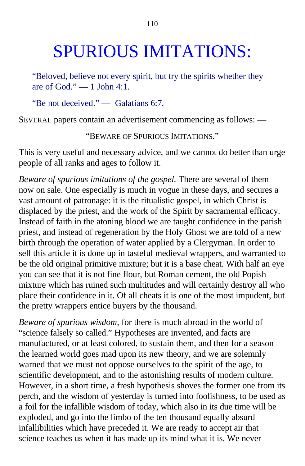## SPURIOUS IMITATIONS:

"Beloved, believe not every spirit, but try the spirits whether they are of  $God." - 1$  John 4:1.

"Be not deceived." — Galatians 6:7.

SEVERAL papers contain an advertisement commencing as follows: —

"BEWARE OF SPURIOUS IMITATIONS."

This is very useful and necessary advice, and we cannot do better than urge people of all ranks and ages to follow it.

*Beware of spurious imitations of the gospel.* There are several of them now on sale. One especially is much in vogue in these days, and secures a vast amount of patronage: it is the ritualistic gospel, in which Christ is displaced by the priest, and the work of the Spirit by sacramental efficacy. Instead of faith in the atoning blood we are taught confidence in the parish priest, and instead of regeneration by the Holy Ghost we are told of a new birth through the operation of water applied by a Clergyman. In order to sell this article it is done up in tasteful medieval wrappers, and warranted to be the old original primitive mixture; but it is a base cheat. With half an eye you can see that it is not fine flour, but Roman cement, the old Popish mixture which has ruined such multitudes and will certainly destroy all who place their confidence in it. Of all cheats it is one of the most impudent, but the pretty wrappers entice buyers by the thousand.

*Beware of spurious wisdom,* for there is much abroad in the world of "science falsely so called." Hypotheses are invented, and facts are manufactured, or at least colored, to sustain them, and then for a season the learned world goes mad upon its new theory, and we are solemnly warned that we must not oppose ourselves to the spirit of the age, to scientific development, and to the astonishing results of modern culture. However, in a short time, a fresh hypothesis shoves the former one from its perch, and the wisdom of yesterday is turned into foolishness, to be used as a foil for the infallible wisdom of today, which also in its due time will be exploded, and go into the limbo of the ten thousand equally absurd infallibilities which have preceded it. We are ready to accept air that science teaches us when it has made up its mind what it is. We never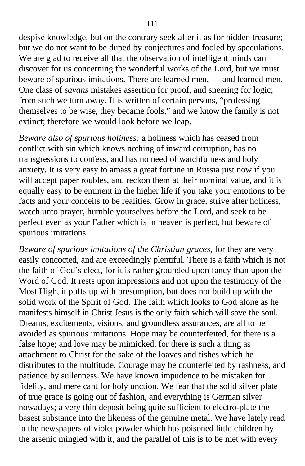despise knowledge, but on the contrary seek after it as for hidden treasure; but we do not want to be duped by conjectures and fooled by speculations. We are glad to receive all that the observation of intelligent minds can discover for us concerning the wonderful works of the Lord, but we must beware of spurious imitations. There are learned men, — and learned men. One class of *savans* mistakes assertion for proof, and sneering for logic; from such we turn away. It is written of certain persons, "professing themselves to be wise, they became fools," and we know the family is not extinct; therefore we would look before we leap.

*Beware also of spurious holiness:* a holiness which has ceased from conflict with sin which knows nothing of inward corruption, has no transgressions to confess, and has no need of watchfulness and holy anxiety. It is very easy to amass a great fortune in Russia just now if you will accept paper roubles, and reckon them at their nominal value, and it is equally easy to be eminent in the higher life if you take your emotions to be facts and your conceits to be realities. Grow in grace, strive after holiness, watch unto prayer, humble yourselves before the Lord, and seek to be perfect even as your Father which is in heaven is perfect, but beware of spurious imitations.

*Beware of spurious imitations of the Christian graces,* for they are very easily concocted, and are exceedingly plentiful. There is a faith which is not the faith of God's elect, for it is rather grounded upon fancy than upon the Word of God. It rests upon impressions and not upon the testimony of the Most High, it puffs up with presumption, but does not build up with the solid work of the Spirit of God. The faith which looks to God alone as he manifests himself in Christ Jesus is the only faith which will save the soul. Dreams, excitements, visions, and groundless assurances, are all to be avoided as spurious imitations. Hope may be counterfeited, for there is a false hope; and love may be mimicked, for there is such a thing as attachment to Christ for the sake of the loaves and fishes which he distributes to the multitude. Courage may be counterfeited by rashness, and patience by sullenness. We have known impudence to be mistaken for fidelity, and mere cant for holy unction. We fear that the solid silver plate of true grace is going out of fashion, and everything is German silver nowadays; a very thin deposit being quite sufficient to electro-plate the basest substance into the likeness of the genuine metal. We have lately read in the newspapers of violet powder which has poisoned little children by the arsenic mingled with it, and the parallel of this is to be met with every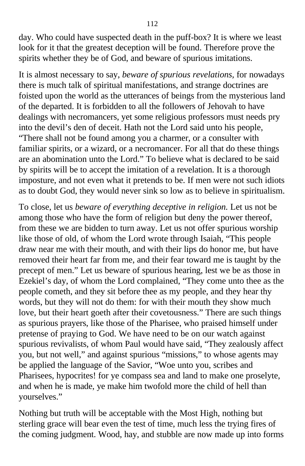day. Who could have suspected death in the puff-box? It is where we least look for it that the greatest deception will be found. Therefore prove the spirits whether they be of God, and beware of spurious imitations.

It is almost necessary to say, *beware of spurious revelations,* for nowadays there is much talk of spiritual manifestations, and strange doctrines are foisted upon the world as the utterances of beings from the mysterious land of the departed. It is forbidden to all the followers of Jehovah to have dealings with necromancers, yet some religious professors must needs pry into the devil's den of deceit. Hath not the Lord said unto his people, "There shall not be found among you a charmer, or a consulter with familiar spirits, or a wizard, or a necromancer. For all that do these things are an abomination unto the Lord." To believe what is declared to be said by spirits will be to accept the imitation of a revelation. It is a thorough imposture, and not even what it pretends to be. If men were not such idiots as to doubt God, they would never sink so low as to believe in spiritualism.

To close, let us *beware of everything deceptive in religion.* Let us not be among those who have the form of religion but deny the power thereof, from these we are bidden to turn away. Let us not offer spurious worship like those of old, of whom the Lord wrote through Isaiah, "This people draw near me with their mouth, and with their lips do honor me, but have removed their heart far from me, and their fear toward me is taught by the precept of men." Let us beware of spurious hearing, lest we be as those in Ezekiel's day, of whom the Lord complained, "They come unto thee as the people cometh, and they sit before thee as my people, and they hear thy words, but they will not do them: for with their mouth they show much love, but their heart goeth after their covetousness." There are such things as spurious prayers, like those of the Pharisee, who praised himself under pretense of praying to God. We have need to be on our watch against spurious revivalists, of whom Paul would have said, "They zealously affect you, but not well," and against spurious "missions," to whose agents may be applied the language of the Savior, "Woe unto you, scribes and Pharisees, hypocrites! for ye compass sea and land to make one proselyte, and when he is made, ye make him twofold more the child of hell than yourselves."

Nothing but truth will be acceptable with the Most High, nothing but sterling grace will bear even the test of time, much less the trying fires of the coming judgment. Wood, hay, and stubble are now made up into forms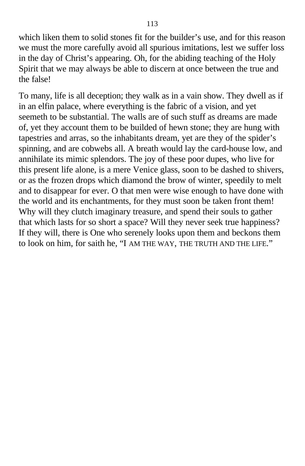which liken them to solid stones fit for the builder's use, and for this reason we must the more carefully avoid all spurious imitations, lest we suffer loss in the day of Christ's appearing. Oh, for the abiding teaching of the Holy Spirit that we may always be able to discern at once between the true and the false!

To many, life is all deception; they walk as in a vain show. They dwell as if in an elfin palace, where everything is the fabric of a vision, and yet seemeth to be substantial. The walls are of such stuff as dreams are made of, yet they account them to be builded of hewn stone; they are hung with tapestries and arras, so the inhabitants dream, yet are they of the spider's spinning, and are cobwebs all. A breath would lay the card-house low, and annihilate its mimic splendors. The joy of these poor dupes, who live for this present life alone, is a mere Venice glass, soon to be dashed to shivers, or as the frozen drops which diamond the brow of winter, speedily to melt and to disappear for ever. O that men were wise enough to have done with the world and its enchantments, for they must soon be taken front them! Why will they clutch imaginary treasure, and spend their souls to gather that which lasts for so short a space? Will they never seek true happiness? If they will, there is One who serenely looks upon them and beckons them to look on him, for saith he, "I AM THE WAY, THE TRUTH AND THE LIFE."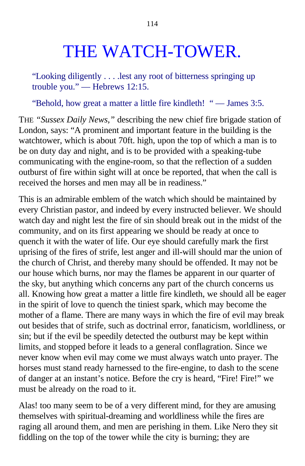## THE WATCH-TOWER.

"Looking diligently . . . .lest any root of bitterness springing up trouble you." — Hebrews 12:15.

"Behold, how great a matter a little fire kindleth! " — James 3:5.

THE *"Sussex Daily News,"* describing the new chief fire brigade station of London, says: "A prominent and important feature in the building is the watchtower, which is about 70ft. high, upon the top of which a man is to be on duty day and night, and is to be provided with a speaking-tube communicating with the engine-room, so that the reflection of a sudden outburst of fire within sight will at once be reported, that when the call is received the horses and men may all be in readiness."

This is an admirable emblem of the watch which should be maintained by every Christian pastor, and indeed by every instructed believer. We should watch day and night lest the fire of sin should break out in the midst of the community, and on its first appearing we should be ready at once to quench it with the water of life. Our eye should carefully mark the first uprising of the fires of strife, lest anger and ill-will should mar the union of the church of Christ, and thereby many should be offended. It may not be our house which burns, nor may the flames be apparent in our quarter of the sky, but anything which concerns any part of the church concerns us all. Knowing how great a matter a little fire kindleth, we should all be eager in the spirit of love to quench the tiniest spark, which may become the mother of a flame. There are many ways in which the fire of evil may break out besides that of strife, such as doctrinal error, fanaticism, worldliness, or sin; but if the evil be speedily detected the outburst may be kept within limits, and stopped before it leads to a general conflagration. Since we never know when evil may come we must always watch unto prayer. The horses must stand ready harnessed to the fire-engine, to dash to the scene of danger at an instant's notice. Before the cry is heard, "Fire! Fire!" we must be already on the road to it.

Alas! too many seem to be of a very different mind, for they are amusing themselves with spiritual-dreaming and worldliness while the fires are raging all around them, and men are perishing in them. Like Nero they sit fiddling on the top of the tower while the city is burning; they are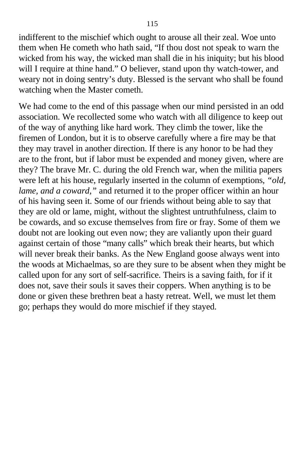indifferent to the mischief which ought to arouse all their zeal. Woe unto them when He cometh who hath said, "If thou dost not speak to warn the wicked from his way, the wicked man shall die in his iniquity; but his blood will I require at thine hand." O believer, stand upon thy watch-tower, and weary not in doing sentry's duty. Blessed is the servant who shall be found watching when the Master cometh.

We had come to the end of this passage when our mind persisted in an odd association. We recollected some who watch with all diligence to keep out of the way of anything like hard work. They climb the tower, like the firemen of London, but it is to observe carefully where a fire may be that they may travel in another direction. If there is any honor to be had they are to the front, but if labor must be expended and money given, where are they? The brave Mr. C. during the old French war, when the militia papers were left at his house, regularly inserted in the column of exemptions, *"old, lame, and a coward,"* and returned it to the proper officer within an hour of his having seen it. Some of our friends without being able to say that they are old or lame, might, without the slightest untruthfulness, claim to be cowards, and so excuse themselves from fire or fray. Some of them we doubt not are looking out even now; they are valiantly upon their guard against certain of those "many calls" which break their hearts, but which will never break their banks. As the New England goose always went into the woods at Michaelmas, so are they sure to be absent when they might be called upon for any sort of self-sacrifice. Theirs is a saving faith, for if it does not, save their souls it saves their coppers. When anything is to be done or given these brethren beat a hasty retreat. Well, we must let them go; perhaps they would do more mischief if they stayed.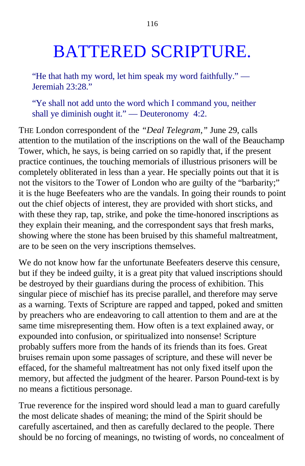## BATTERED SCRIPTURE.

"He that hath my word, let him speak my word faithfully." — Jeremiah 23:28."

"Ye shall not add unto the word which I command you, neither shall ye diminish ought it." — Deuteronomy 4:2.

THE London correspondent of the *"Deal Telegram,"* June 29, calls attention to the mutilation of the inscriptions on the wall of the Beauchamp Tower, which, he says, is being carried on so rapidly that, if the present practice continues, the touching memorials of illustrious prisoners will be completely obliterated in less than a year. He specially points out that it is not the visitors to the Tower of London who are guilty of the "barbarity;" it is the huge Beefeaters who are the vandals. In going their rounds to point out the chief objects of interest, they are provided with short sticks, and with these they rap, tap, strike, and poke the time-honored inscriptions as they explain their meaning, and the correspondent says that fresh marks, showing where the stone has been bruised by this shameful maltreatment, are to be seen on the very inscriptions themselves.

We do not know how far the unfortunate Beefeaters deserve this censure. but if they be indeed guilty, it is a great pity that valued inscriptions should be destroyed by their guardians during the process of exhibition. This singular piece of mischief has its precise parallel, and therefore may serve as a warning. Texts of Scripture are rapped and tapped, poked and smitten by preachers who are endeavoring to call attention to them and are at the same time misrepresenting them. How often is a text explained away, or expounded into confusion, or spiritualized into nonsense! Scripture probably suffers more from the hands of its friends than its foes. Great bruises remain upon some passages of scripture, and these will never be effaced, for the shameful maltreatment has not only fixed itself upon the memory, but affected the judgment of the hearer. Parson Pound-text is by no means a fictitious personage.

True reverence for the inspired word should lead a man to guard carefully the most delicate shades of meaning; the mind of the Spirit should be carefully ascertained, and then as carefully declared to the people. There should be no forcing of meanings, no twisting of words, no concealment of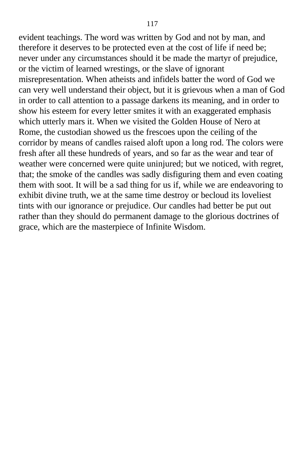evident teachings. The word was written by God and not by man, and therefore it deserves to be protected even at the cost of life if need be; never under any circumstances should it be made the martyr of prejudice, or the victim of learned wrestings, or the slave of ignorant misrepresentation. When atheists and infidels batter the word of God we can very well understand their object, but it is grievous when a man of God in order to call attention to a passage darkens its meaning, and in order to show his esteem for every letter smites it with an exaggerated emphasis which utterly mars it. When we visited the Golden House of Nero at Rome, the custodian showed us the frescoes upon the ceiling of the corridor by means of candles raised aloft upon a long rod. The colors were fresh after all these hundreds of years, and so far as the wear and tear of weather were concerned were quite uninjured; but we noticed, with regret, that; the smoke of the candles was sadly disfiguring them and even coating them with soot. It will be a sad thing for us if, while we are endeavoring to exhibit divine truth, we at the same time destroy or becloud its loveliest tints with our ignorance or prejudice. Our candles had better be put out rather than they should do permanent damage to the glorious doctrines of grace, which are the masterpiece of Infinite Wisdom.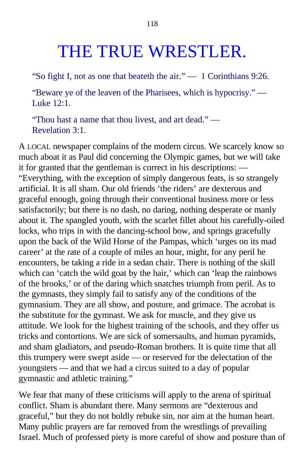#### THE TRUE WRESTLER.

"So fight I, not as one that beateth the air." — 1 Corinthians 9:26.

"Beware ye of the leaven of the Pharisees, which is hypocrisy." — Luke  $12:1$ .

"Thou hast a name that thou livest, and art dead." — Revelation 3:1.

A LOCAL newspaper complains of the modern circus. We scarcely know so much aboat it as Paul did concerning the Olympic games, but we will take it for granted that the gentleman is correct in his descriptions: — "Everything, with the exception of simply dangerous feats, is so strangely artificial. It is all sham. Our old friends 'the riders' are dexterous and graceful enough, going through their conventional business more or less satisfactorily; but there is no dash, no daring, nothing desperate or manly about it. The spangled youth, with the scarlet fillet about his carefully-oiled locks, who trips in with the dancing-school bow, and springs gracefully upon the back of the Wild Horse of the Pampas, which 'urges on its mad career' at the rate of a couple of miles an hour, might, for any peril he encounters, be taking a ride in a sedan chair. There is nothing of the skill which can 'catch the wild goat by the hair,' which can 'leap the rainbows of the brooks,' or of the daring which snatches triumph from peril. As to the gymnasts, they simply fail to satisfy any of the conditions of the gymnasium. They are all show, and posture, and grimace. The acrobat is the substitute for the gymnast. We ask for muscle, and they give us attitude. We look for the highest training of the schools, and they offer us tricks and contortions. We are sick of somersaults, and human pyramids, and sham gladiators, and pseudo-Roman brothers. It is quite time that all this trumpery were swept aside — or reserved for the delectation of the youngsters — and that we had a circus suited to a day of popular gymnastic and athletic training."

We fear that many of these criticisms will apply to the arena of spiritual conflict. Sham is abundant there. Many sermons are "dexterous and graceful," but they do not boldly rebuke sin, nor aim at the human heart. Many public prayers are far removed from the wrestlings of prevailing Israel. Much of professed piety is more careful of show and posture than of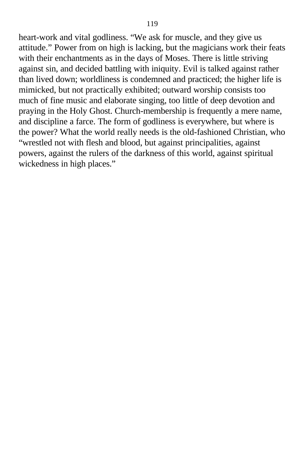heart-work and vital godliness. "We ask for muscle, and they give us attitude." Power from on high is lacking, but the magicians work their feats with their enchantments as in the days of Moses. There is little striving against sin, and decided battling with iniquity. Evil is talked against rather than lived down; worldliness is condemned and practiced; the higher life is mimicked, but not practically exhibited; outward worship consists too much of fine music and elaborate singing, too little of deep devotion and praying in the Holy Ghost. Church-membership is frequently a mere name, and discipline a farce. The form of godliness is everywhere, but where is the power? What the world really needs is the old-fashioned Christian, who "wrestled not with flesh and blood, but against principalities, against powers, against the rulers of the darkness of this world, against spiritual wickedness in high places."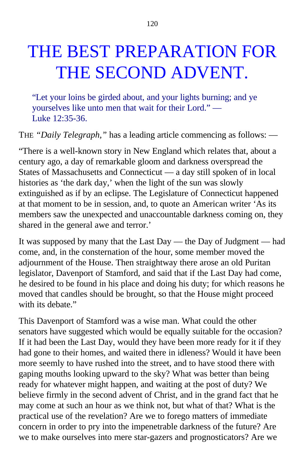# THE BEST PREPARATION FOR THE SECOND ADVENT.

"Let your loins be girded about, and your lights burning; and ye yourselves like unto men that wait for their Lord." — Luke 12:35-36.

THE *"Daily Telegraph,"* has a leading article commencing as follows: —

"There is a well-known story in New England which relates that, about a century ago, a day of remarkable gloom and darkness overspread the States of Massachusetts and Connecticut — a day still spoken of in local histories as 'the dark day,' when the light of the sun was slowly extinguished as if by an eclipse. The Legislature of Connecticut happened at that moment to be in session, and, to quote an American writer 'As its members saw the unexpected and unaccountable darkness coming on, they shared in the general awe and terror.'

It was supposed by many that the Last Day — the Day of Judgment — had come, and, in the consternation of the hour, some member moved the adjournment of the House. Then straightway there arose an old Puritan legislator, Davenport of Stamford, and said that if the Last Day had come, he desired to be found in his place and doing his duty; for which reasons he moved that candles should be brought, so that the House might proceed with its debate."

This Davenport of Stamford was a wise man. What could the other senators have suggested which would be equally suitable for the occasion? If it had been the Last Day, would they have been more ready for it if they had gone to their homes, and waited there in idleness? Would it have been more seemly to have rushed into the street, and to have stood there with gaping mouths looking upward to the sky? What was better than being ready for whatever might happen, and waiting at the post of duty? We believe firmly in the second advent of Christ, and in the grand fact that he may come at such an hour as we think not, but what of that? What is the practical use of the revelation? Are we to forego matters of immediate concern in order to pry into the impenetrable darkness of the future? Are we to make ourselves into mere star-gazers and prognosticators? Are we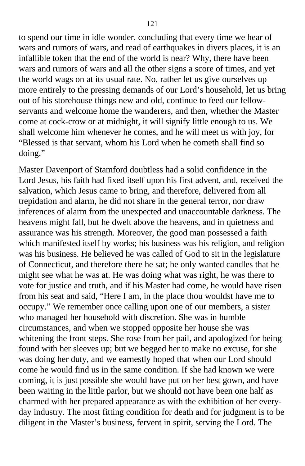to spend our time in idle wonder, concluding that every time we hear of wars and rumors of wars, and read of earthquakes in divers places, it is an infallible token that the end of the world is near? Why, there have been wars and rumors of wars and all the other signs a score of times, and yet the world wags on at its usual rate. No, rather let us give ourselves up more entirely to the pressing demands of our Lord's household, let us bring out of his storehouse things new and old, continue to feed our fellowservants and welcome home the wanderers, and then, whether the Master come at cock-crow or at midnight, it will signify little enough to us. We shall welcome him whenever he comes, and he will meet us with joy, for "Blessed is that servant, whom his Lord when he cometh shall find so doing."

Master Davenport of Stamford doubtless had a solid confidence in the Lord Jesus, his faith had fixed itself upon his first advent, and, received the salvation, which Jesus came to bring, and therefore, delivered from all trepidation and alarm, he did not share in the general terror, nor draw inferences of alarm from the unexpected and unaccountable darkness. The heavens might fall, but he dwelt above the heavens, and in quietness and assurance was his strength. Moreover, the good man possessed a faith which manifested itself by works; his business was his religion, and religion was his business. He believed he was called of God to sit in the legislature of Connecticut, and therefore there he sat; he only wanted candles that he might see what he was at. He was doing what was right, he was there to vote for justice and truth, and if his Master had come, he would have risen from his seat and said, "Here I am, in the place thou wouldst have me to occupy." We remember once calling upon one of our members, a sister who managed her household with discretion. She was in humble circumstances, and when we stopped opposite her house she was whitening the front steps. She rose from her pail, and apologized for being found with her sleeves up; but we begged her to make no excuse, for she was doing her duty, and we earnestly hoped that when our Lord should come he would find us in the same condition. If she had known we were coming, it is just possible she would have put on her best gown, and have been waiting in the little parlor, but we should not have been one half as charmed with her prepared appearance as with the exhibition of her everyday industry. The most fitting condition for death and for judgment is to be diligent in the Master's business, fervent in spirit, serving the Lord. The